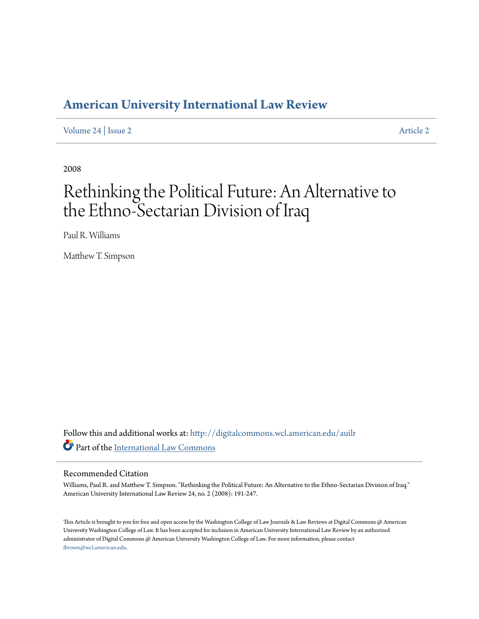## **[American University International Law Review](http://digitalcommons.wcl.american.edu/auilr?utm_source=digitalcommons.wcl.american.edu%2Fauilr%2Fvol24%2Fiss2%2F2&utm_medium=PDF&utm_campaign=PDFCoverPages)**

[Volume 24](http://digitalcommons.wcl.american.edu/auilr/vol24?utm_source=digitalcommons.wcl.american.edu%2Fauilr%2Fvol24%2Fiss2%2F2&utm_medium=PDF&utm_campaign=PDFCoverPages) | [Issue 2](http://digitalcommons.wcl.american.edu/auilr/vol24/iss2?utm_source=digitalcommons.wcl.american.edu%2Fauilr%2Fvol24%2Fiss2%2F2&utm_medium=PDF&utm_campaign=PDFCoverPages) [Article 2](http://digitalcommons.wcl.american.edu/auilr/vol24/iss2/2?utm_source=digitalcommons.wcl.american.edu%2Fauilr%2Fvol24%2Fiss2%2F2&utm_medium=PDF&utm_campaign=PDFCoverPages)

2008

# Rethinking the Political Future: An Alternative to the Ethno-Sectarian Division of Iraq

Paul R. Williams

Matthew T. Simpson

Follow this and additional works at: [http://digitalcommons.wcl.american.edu/auilr](http://digitalcommons.wcl.american.edu/auilr?utm_source=digitalcommons.wcl.american.edu%2Fauilr%2Fvol24%2Fiss2%2F2&utm_medium=PDF&utm_campaign=PDFCoverPages) Part of the [International Law Commons](http://network.bepress.com/hgg/discipline/609?utm_source=digitalcommons.wcl.american.edu%2Fauilr%2Fvol24%2Fiss2%2F2&utm_medium=PDF&utm_campaign=PDFCoverPages)

### Recommended Citation

Williams, Paul R. and Matthew T. Simpson. "Rethinking the Political Future: An Alternative to the Ethno-Sectarian Division of Iraq." American University International Law Review 24, no. 2 (2008): 191-247.

This Article is brought to you for free and open access by the Washington College of Law Journals & Law Reviews at Digital Commons @ American University Washington College of Law. It has been accepted for inclusion in American University International Law Review by an authorized administrator of Digital Commons @ American University Washington College of Law. For more information, please contact [fbrown@wcl.american.edu](mailto:fbrown@wcl.american.edu).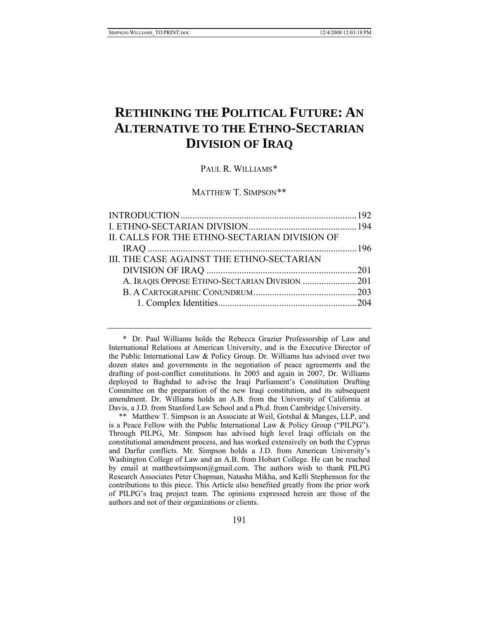## **RETHINKING THE POLITICAL FUTURE: AN ALTERNATIVE TO THE ETHNO-SECTARIAN DIVISION OF IRAQ**

## PAUL R. WILLIAMS[\\*](#page-1-0)

#### MATTHEW T. SIMPSON[\\*\\*](#page-1-1)

| II. CALLS FOR THE ETHNO-SECTARIAN DIVISION OF |  |
|-----------------------------------------------|--|
|                                               |  |
| III. THE CASE AGAINST THE ETHNO-SECTARIAN     |  |
|                                               |  |
| A. IRAQIS OPPOSE ETHNO-SECTARIAN DIVISION 201 |  |
|                                               |  |
|                                               |  |
|                                               |  |

<span id="page-1-0"></span> \* Dr. Paul Williams holds the Rebecca Grazier Professorship of Law and International Relations at American University, and is the Executive Director of the Public International Law & Policy Group. Dr. Williams has advised over two dozen states and governments in the negotiation of peace agreements and the drafting of post-conflict constitutions. In 2005 and again in 2007, Dr. Williams deployed to Baghdad to advise the Iraqi Parliament's Constitution Drafting Committee on the preparation of the new Iraqi constitution, and its subsequent amendment. Dr. Williams holds an A.B. from the University of California at Davis, a J.D. from Stanford Law School and a Ph.d. from Cambridge University.

<span id="page-1-1"></span> \*\* Matthew T. Simpson is an Associate at Weil, Gotshal & Manges, LLP, and is a Peace Fellow with the Public International Law & Policy Group ("PILPG"). Through PILPG, Mr. Simpson has advised high level Iraqi officials on the constitutional amendment process, and has worked extensively on both the Cyprus and Darfur conflicts. Mr. Simpson holds a J.D. from American University's Washington College of Law and an A.B. from Hobart College. He can be reached by email at matthewtsimpson@gmail.com. The authors wish to thank PILPG Research Associates Peter Chapman, Natasha Mikha, and Kelli Stephenson for the contributions to this piece. This Article also benefited greatly from the prior work of PILPG's Iraq project team. The opinions expressed herein are those of the authors and not of their organizations or clients.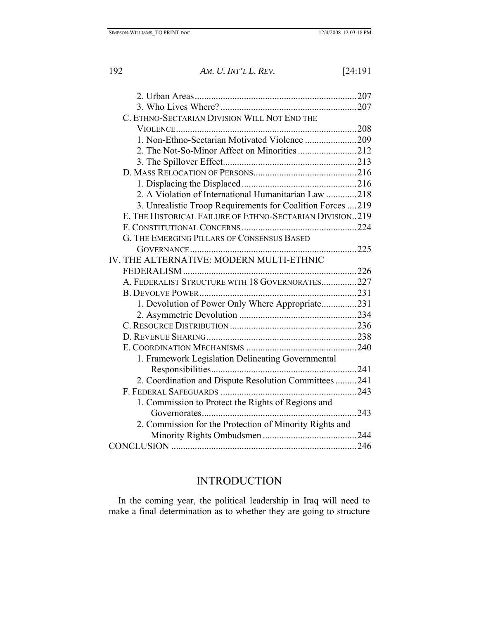<span id="page-2-0"></span>

| 192 | AM. U. INT'L L. REV.                                       | [24:191] |
|-----|------------------------------------------------------------|----------|
|     |                                                            |          |
|     |                                                            |          |
|     |                                                            |          |
|     | C. ETHNO-SECTARIAN DIVISION WILL NOT END THE               |          |
|     |                                                            |          |
|     | 1. Non-Ethno-Sectarian Motivated Violence 209              |          |
|     |                                                            |          |
|     |                                                            |          |
|     |                                                            |          |
|     |                                                            |          |
|     | 2. A Violation of International Humanitarian Law 218       |          |
|     | 3. Unrealistic Troop Requirements for Coalition Forces 219 |          |
|     | E. THE HISTORICAL FAILURE OF ETHNO-SECTARIAN DIVISION219   |          |
|     |                                                            |          |
|     | G. THE EMERGING PILLARS OF CONSENSUS BASED                 |          |
|     |                                                            |          |
|     | IV. THE ALTERNATIVE: MODERN MULTI-ETHNIC                   |          |
|     |                                                            |          |
|     | A. FEDERALIST STRUCTURE WITH 18 GOVERNORATES227            |          |
|     |                                                            |          |
|     | 1. Devolution of Power Only Where Appropriate231           |          |
|     |                                                            |          |
|     |                                                            |          |
|     |                                                            |          |
|     |                                                            |          |
|     | 1. Framework Legislation Delineating Governmental          |          |
|     |                                                            |          |
|     | 2. Coordination and Dispute Resolution Committees 241      |          |
|     |                                                            |          |
|     | 1. Commission to Protect the Rights of Regions and         |          |
|     |                                                            | 243      |
|     | 2. Commission for the Protection of Minority Rights and    |          |
|     |                                                            |          |
|     |                                                            |          |
|     |                                                            |          |

## INTRODUCTION

In the coming year, the political leadership in Iraq will need to make a final determination as to whether they are going to structure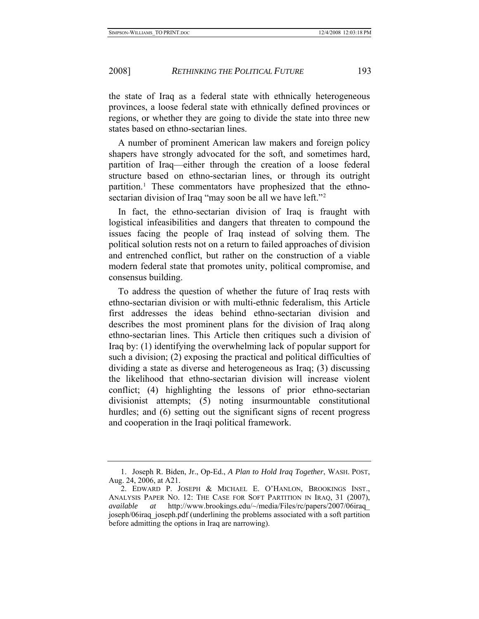the state of Iraq as a federal state with ethnically heterogeneous provinces, a loose federal state with ethnically defined provinces or regions, or whether they are going to divide the state into three new states based on ethno-sectarian lines.

A number of prominent American law makers and foreign policy shapers have strongly advocated for the soft, and sometimes hard, partition of Iraq—either through the creation of a loose federal structure based on ethno-sectarian lines, or through its outright partition.[1](#page-3-0) These commentators have prophesized that the ethno-sectarian division of Iraq "may soon be all we have left."<sup>[2](#page-3-1)</sup>

In fact, the ethno-sectarian division of Iraq is fraught with logistical infeasibilities and dangers that threaten to compound the issues facing the people of Iraq instead of solving them. The political solution rests not on a return to failed approaches of division and entrenched conflict, but rather on the construction of a viable modern federal state that promotes unity, political compromise, and consensus building.

To address the question of whether the future of Iraq rests with ethno-sectarian division or with multi-ethnic federalism, this Article first addresses the ideas behind ethno-sectarian division and describes the most prominent plans for the division of Iraq along ethno-sectarian lines. This Article then critiques such a division of Iraq by: (1) identifying the overwhelming lack of popular support for such a division; (2) exposing the practical and political difficulties of dividing a state as diverse and heterogeneous as Iraq; (3) discussing the likelihood that ethno-sectarian division will increase violent conflict; (4) highlighting the lessons of prior ethno-sectarian divisionist attempts; (5) noting insurmountable constitutional hurdles; and (6) setting out the significant signs of recent progress and cooperation in the Iraqi political framework.

<span id="page-3-0"></span> <sup>1.</sup> Joseph R. Biden, Jr., Op-Ed., *A Plan to Hold Iraq Together*, WASH. POST, Aug. 24, 2006, at A21.

<span id="page-3-1"></span> <sup>2.</sup> EDWARD P. JOSEPH & MICHAEL E. O'HANLON, BROOKINGS INST., ANALYSIS PAPER NO. 12: THE CASE FOR SOFT PARTITION IN IRAQ, 31 (2007), *available at* http://www.brookings.edu/~/media/Files/rc/papers/2007/06iraq\_ joseph/06iraq\_joseph.pdf (underlining the problems associated with a soft partition before admitting the options in Iraq are narrowing).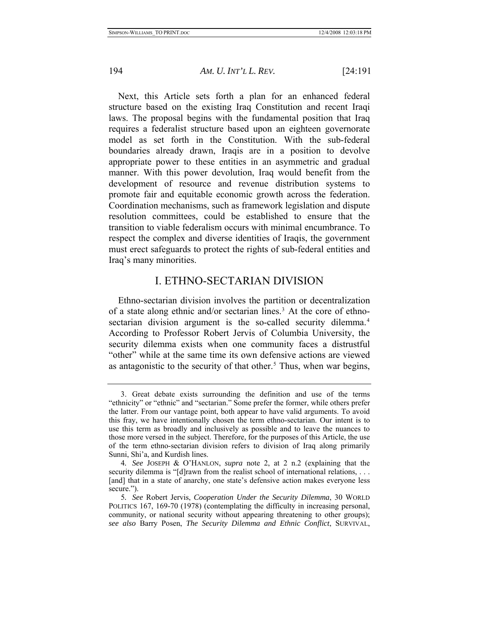<span id="page-4-0"></span>

Next, this Article sets forth a plan for an enhanced federal structure based on the existing Iraq Constitution and recent Iraqi laws. The proposal begins with the fundamental position that Iraq requires a federalist structure based upon an eighteen governorate model as set forth in the Constitution. With the sub-federal boundaries already drawn, Iraqis are in a position to devolve appropriate power to these entities in an asymmetric and gradual manner. With this power devolution, Iraq would benefit from the development of resource and revenue distribution systems to promote fair and equitable economic growth across the federation. Coordination mechanisms, such as framework legislation and dispute resolution committees, could be established to ensure that the transition to viable federalism occurs with minimal encumbrance. To respect the complex and diverse identities of Iraqis, the government must erect safeguards to protect the rights of sub-federal entities and Iraq's many minorities.

## I. ETHNO-SECTARIAN DIVISION

Ethno-sectarian division involves the partition or decentralization of a state along ethnic and/or sectarian lines[.3](#page-4-1) At the core of ethno-sectarian division argument is the so-called security dilemma.<sup>[4](#page-4-2)</sup> According to Professor Robert Jervis of Columbia University, the security dilemma exists when one community faces a distrustful "other" while at the same time its own defensive actions are viewed as antagonistic to the security of that other.<sup>[5](#page-4-3)</sup> Thus, when war begins,

<span id="page-4-1"></span> <sup>3.</sup> Great debate exists surrounding the definition and use of the terms "ethnicity" or "ethnic" and "sectarian." Some prefer the former, while others prefer the latter. From our vantage point, both appear to have valid arguments. To avoid this fray, we have intentionally chosen the term ethno-sectarian. Our intent is to use this term as broadly and inclusively as possible and to leave the nuances to those more versed in the subject. Therefore, for the purposes of this Article, the use of the term ethno-sectarian division refers to division of Iraq along primarily Sunni, Shi'a, and Kurdish lines.

<span id="page-4-2"></span><sup>4</sup>*. See* JOSEPH & O'HANLON, *supra* note 2, at 2 n.2 (explaining that the security dilemma is "[d]rawn from the realist school of international relations, ... [and] that in a state of anarchy, one state's defensive action makes everyone less secure.").

<span id="page-4-3"></span><sup>5</sup>*. See* Robert Jervis, *Cooperation Under the Security Dilemma*, 30 WORLD POLITICS 167, 169-70 (1978) (contemplating the difficulty in increasing personal, community, or national security without appearing threatening to other groups); *see also* Barry Posen, *The Security Dilemma and Ethnic Conflict*, SURVIVAL,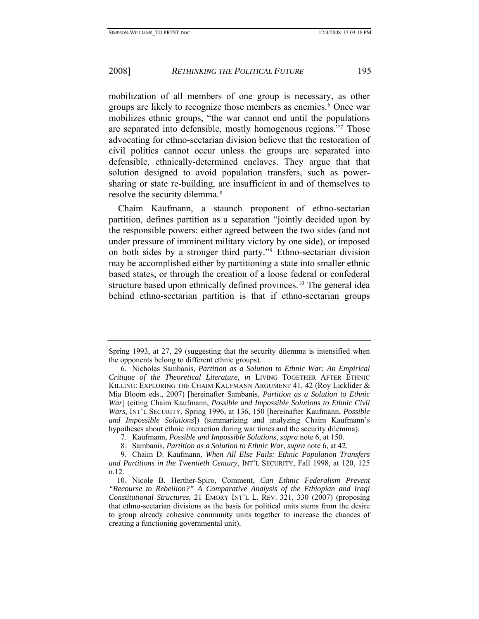mobilization of all members of one group is necessary, as other groups are likely to recognize those members as enemies.<sup>[6](#page-5-0)</sup> Once war mobilizes ethnic groups, "the war cannot end until the populations are separated into defensible, mostly homogenous regions."[7](#page-5-1) Those advocating for ethno-sectarian division believe that the restoration of civil politics cannot occur unless the groups are separated into defensible, ethnically-determined enclaves. They argue that that solution designed to avoid population transfers, such as powersharing or state re-building, are insufficient in and of themselves to resolve the security dilemma.<sup>[8](#page-5-2)</sup>

Chaim Kaufmann, a staunch proponent of ethno-sectarian partition, defines partition as a separation "jointly decided upon by the responsible powers: either agreed between the two sides (and not under pressure of imminent military victory by one side), or imposed on both sides by a stronger third party."[9](#page-5-3) Ethno-sectarian division may be accomplished either by partitioning a state into smaller ethnic based states, or through the creation of a loose federal or confederal structure based upon ethnically defined provinces.<sup>[10](#page-5-4)</sup> The general idea behind ethno-sectarian partition is that if ethno-sectarian groups

Spring 1993, at 27, 29 (suggesting that the security dilemma is intensified when the opponents belong to different ethnic groups).

<span id="page-5-0"></span> <sup>6.</sup> Nicholas Sambanis, *Partition as a Solution to Ethnic War: An Empirical Critique of the Theoretical Literature*, *in* LIVING TOGETHER AFTER ETHNIC KILLING: EXPLORING THE CHAIM KAUFMANN ARGUMENT 41, 42 (Roy Licklider & Mia Bloom eds., 2007) [hereinafter Sambanis, *Partition as a Solution to Ethnic War*] (citing Chaim Kaufmann, *Possible and Impossible Solutions to Ethnic Civil Wars*, INT'L SECURITY, Spring 1996, at 136, 150 [hereinafter Kaufmann, *Possible and Impossible Solutions*]) (summarizing and analyzing Chaim Kaufmann's hypotheses about ethnic interaction during war times and the security dilemma).

 <sup>7.</sup> Kaufmann, *Possible and Impossible Solutions*, *supra* note 6, at 150.

 <sup>8.</sup> Sambanis, *Partition as a Solution to Ethnic War*, *supra* note 6, at 42.

<span id="page-5-3"></span><span id="page-5-2"></span><span id="page-5-1"></span> <sup>9.</sup> Chaim D. Kaufmann, *When All Else Fails: Ethnic Population Transfers and Partitions in the Twentieth Century*, INT'L SECURITY, Fall 1998, at 120, 125 n.12.

<span id="page-5-4"></span> <sup>10.</sup> Nicole B. Herther-Spiro, Comment, *Can Ethnic Federalism Prevent "Recourse to Rebellion?" A Comparative Analysis of the Ethiopian and Iraqi Constitutional Structures*, 21 EMORY INT'L L. REV. 321, 330 (2007) (proposing that ethno-sectarian divisions as the basis for political units stems from the desire to group already cohesive community units together to increase the chances of creating a functioning governmental unit).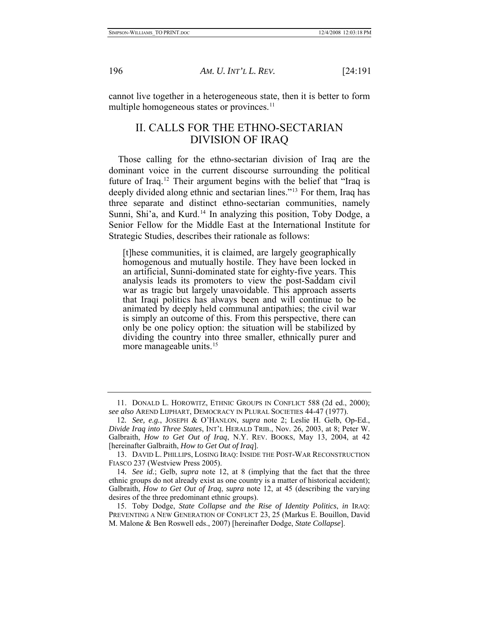<span id="page-6-0"></span>

cannot live together in a heterogeneous state, then it is better to form multiple homogeneous states or provinces.<sup>[11](#page-6-1)</sup>

## II. CALLS FOR THE ETHNO-SECTARIAN DIVISION OF IRAQ

Those calling for the ethno-sectarian division of Iraq are the dominant voice in the current discourse surrounding the political future of Iraq.[12](#page-6-2) Their argument begins with the belief that "Iraq is deeply divided along ethnic and sectarian lines."<sup>[13](#page-6-3)</sup> For them, Iraq has three separate and distinct ethno-sectarian communities, namely Sunni, Shi'a, and Kurd.<sup>[14](#page-6-4)</sup> In analyzing this position, Toby Dodge, a Senior Fellow for the Middle East at the International Institute for Strategic Studies, describes their rationale as follows:

[t]hese communities, it is claimed, are largely geographically homogenous and mutually hostile. They have been locked in an artificial, Sunni-dominated state for eighty-five years. This analysis leads its promoters to view the post-Saddam civil war as tragic but largely unavoidable. This approach asserts that Iraqi politics has always been and will continue to be animated by deeply held communal antipathies; the civil war is simply an outcome of this. From this perspective, there can only be one policy option: the situation will be stabilized by dividing the country into three smaller, ethnically purer and more manageable units.<sup>[15](#page-6-5)</sup>

<span id="page-6-1"></span> <sup>11.</sup> DONALD L. HOROWITZ, ETHNIC GROUPS IN CONFLICT 588 (2d ed., 2000); *see also* AREND LIJPHART, DEMOCRACY IN PLURAL SOCIETIES 44-47 (1977).

<span id="page-6-2"></span><sup>12</sup>*. See, e.g.*, JOSEPH & O'HANLON, *supra* note 2; Leslie H. Gelb, Op-Ed., *Divide Iraq into Three States*, INT'L HERALD TRIB., Nov. 26, 2003, at 8; Peter W. Galbraith, *How to Get Out of Iraq*, N.Y. REV. BOOKS, May 13, 2004, at 42 [hereinafter Galbraith, *How to Get Out of Iraq*].

<span id="page-6-3"></span> <sup>13.</sup> DAVID L. PHILLIPS, LOSING IRAQ: INSIDE THE POST-WAR RECONSTRUCTION FIASCO 237 (Westview Press 2005).

<span id="page-6-4"></span><sup>14</sup>*. See id.*; Gelb, *supra* note 12, at 8 (implying that the fact that the three ethnic groups do not already exist as one country is a matter of historical accident); Galbraith, *How to Get Out of Iraq*, *supra* note 12, at 45 (describing the varying desires of the three predominant ethnic groups).

<span id="page-6-5"></span> <sup>15.</sup> Toby Dodge, *State Collapse and the Rise of Identity Politics*, *in* IRAQ: PREVENTING A NEW GENERATION OF CONFLICT 23, 25 (Markus E. Bouillon, David M. Malone & Ben Roswell eds., 2007) [hereinafter Dodge, *State Collapse*].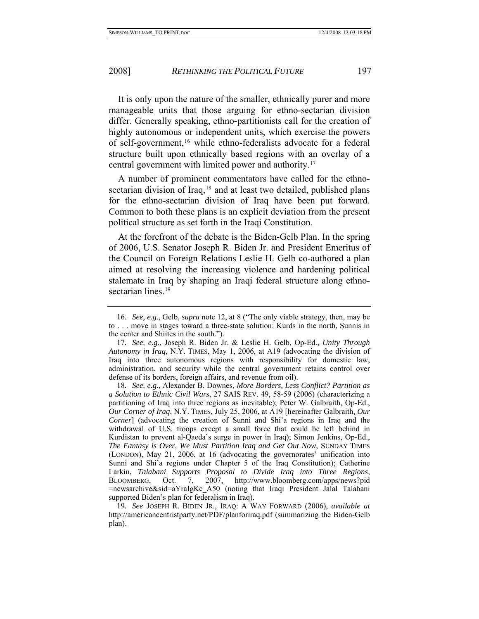It is only upon the nature of the smaller, ethnically purer and more manageable units that those arguing for ethno-sectarian division differ. Generally speaking, ethno-partitionists call for the creation of highly autonomous or independent units, which exercise the powers of self-government,<sup>[16](#page-7-0)</sup> while ethno-federalists advocate for a federal structure built upon ethnically based regions with an overlay of a central government with limited power and authority[.17](#page-7-1)

A number of prominent commentators have called for the ethno-sectarian division of Iraq,<sup>[18](#page-7-2)</sup> and at least two detailed, published plans for the ethno-sectarian division of Iraq have been put forward. Common to both these plans is an explicit deviation from the present political structure as set forth in the Iraqi Constitution.

At the forefront of the debate is the Biden-Gelb Plan. In the spring of 2006, U.S. Senator Joseph R. Biden Jr. and President Emeritus of the Council on Foreign Relations Leslie H. Gelb co-authored a plan aimed at resolving the increasing violence and hardening political stalemate in Iraq by shaping an Iraqi federal structure along ethno-sectarian lines.<sup>[19](#page-7-3)</sup>

<span id="page-7-0"></span><sup>16</sup>*. See, e.g.*, Gelb, *supra* note 12, at 8 ("The only viable strategy, then, may be to . . . move in stages toward a three-state solution: Kurds in the north, Sunnis in the center and Shiites in the south.").

<span id="page-7-1"></span><sup>17</sup>*. See, e.g.*, Joseph R. Biden Jr. & Leslie H. Gelb, Op-Ed., *Unity Through Autonomy in Iraq*, N.Y. TIMES, May 1, 2006, at A19 (advocating the division of Iraq into three autonomous regions with responsibility for domestic law, administration, and security while the central government retains control over defense of its borders, foreign affairs, and revenue from oil).

<span id="page-7-2"></span><sup>18</sup>*. See, e.g.*, Alexander B. Downes, *More Borders, Less Conflict? Partition as a Solution to Ethnic Civil Wars*, 27 SAIS REV. 49, 58-59 (2006) (characterizing a partitioning of Iraq into three regions as inevitable); Peter W. Galbraith, Op-Ed., *Our Corner of Iraq*, N.Y. TIMES, July 25, 2006, at A19 [hereinafter Galbraith, *Our Corner*] (advocating the creation of Sunni and Shi'a regions in Iraq and the withdrawal of U.S. troops except a small force that could be left behind in Kurdistan to prevent al-Qaeda's surge in power in Iraq); Simon Jenkins, Op-Ed., *The Fantasy is Over, We Must Partition Iraq and Get Out Now*, SUNDAY TIMES (LONDON), May 21, 2006, at 16 (advocating the governorates' unification into Sunni and Shi'a regions under Chapter 5 of the Iraq Constitution); Catherine Larkin, *Talabani Supports Proposal to Divide Iraq into Three Regions*, BLOOMBERG, Oct. 7, 2007, http://www.bloomberg.com/apps/news?pid =newsarchive&sid=aYraIgKc\_A50 (noting that Iraqi President Jalal Talabani supported Biden's plan for federalism in Iraq).

<span id="page-7-3"></span><sup>19</sup>*. See* JOSEPH R. BIDEN JR., IRAQ: A WAY FORWARD (2006), *available at* http://americancentristparty.net/PDF/planforiraq.pdf (summarizing the Biden-Gelb plan).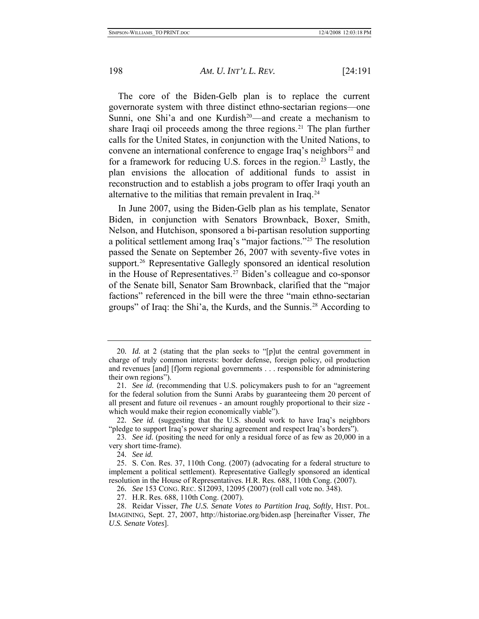The core of the Biden-Gelb plan is to replace the current governorate system with three distinct ethno-sectarian regions—one Sunni, one Shi'a and one Kurdish<sup>[20](#page-8-0)</sup>—and create a mechanism to share Iraqi oil proceeds among the three regions.<sup>[21](#page-8-1)</sup> The plan further calls for the United States, in conjunction with the United Nations, to convene an international conference to engage Iraq's neighbors<sup>[22](#page-8-2)</sup> and for a framework for reducing U.S. forces in the region.<sup>[23](#page-8-3)</sup> Lastly, the plan envisions the allocation of additional funds to assist in reconstruction and to establish a jobs program to offer Iraqi youth an alternative to the militias that remain prevalent in Iraq.<sup>[24](#page-8-4)</sup>

In June 2007, using the Biden-Gelb plan as his template, Senator Biden, in conjunction with Senators Brownback, Boxer, Smith, Nelson, and Hutchison, sponsored a bi-partisan resolution supporting a political settlement among Iraq's "major factions."[25](#page-8-5) The resolution passed the Senate on September 26, 2007 with seventy-five votes in support.<sup>26</sup> Representative Gallegly sponsored an identical resolution in the House of Representatives.[27](#page-8-7) Biden's colleague and co-sponsor of the Senate bill, Senator Sam Brownback, clarified that the "major factions" referenced in the bill were the three "main ethno-sectarian groups" of Iraq: the Shi'a, the Kurds, and the Sunnis.[28](#page-8-8) According to

<span id="page-8-0"></span><sup>20</sup>*. Id.* at 2 (stating that the plan seeks to "[p]ut the central government in charge of truly common interests: border defense, foreign policy, oil production and revenues [and] [f]orm regional governments . . . responsible for administering their own regions").

<span id="page-8-1"></span><sup>21</sup>*. See id.* (recommending that U.S. policymakers push to for an "agreement for the federal solution from the Sunni Arabs by guaranteeing them 20 percent of all present and future oil revenues - an amount roughly proportional to their size which would make their region economically viable").

<span id="page-8-2"></span><sup>22</sup>*. See id.* (suggesting that the U.S. should work to have Iraq's neighbors "pledge to support Iraq's power sharing agreement and respect Iraq's borders").

<span id="page-8-3"></span><sup>23</sup>*. See id.* (positing the need for only a residual force of as few as 20,000 in a very short time-frame).

<sup>24</sup>*. See id.*

<span id="page-8-5"></span><span id="page-8-4"></span> <sup>25.</sup> S. Con. Res. 37, 110th Cong. (2007) (advocating for a federal structure to implement a political settlement). Representative Gallegly sponsored an identical resolution in the House of Representatives. H.R. Res. 688, 110th Cong. (2007).

<sup>26</sup>*. See* 153 CONG. REC. S12093, 12095 (2007) (roll call vote no. 348).

 <sup>27.</sup> H.R. Res. 688, 110th Cong. (2007).

<span id="page-8-8"></span><span id="page-8-7"></span><span id="page-8-6"></span> <sup>28.</sup> Reidar Visser, *The U.S. Senate Votes to Partition Iraq, Softly*, HIST. POL. IMAGINING, Sept. 27, 2007, http://historiae.org/biden.asp [hereinafter Visser, *The U.S. Senate Votes*].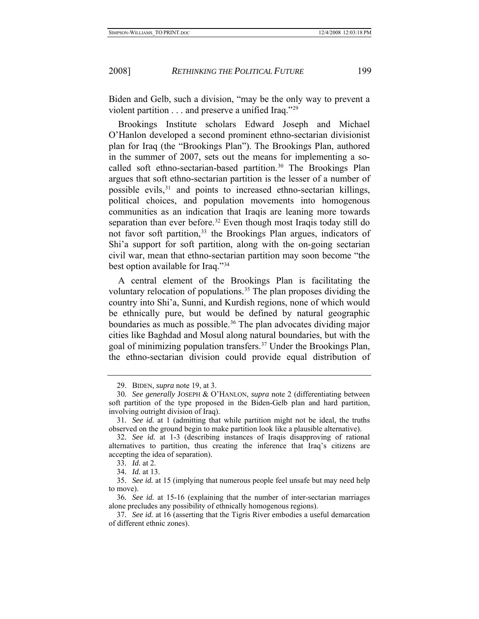Biden and Gelb, such a division, "may be the only way to prevent a violent partition . . . and preserve a unified Iraq."[29](#page-9-0)

Brookings Institute scholars Edward Joseph and Michael O'Hanlon developed a second prominent ethno-sectarian divisionist plan for Iraq (the "Brookings Plan"). The Brookings Plan, authored in the summer of 2007, sets out the means for implementing a so-called soft ethno-sectarian-based partition.<sup>[30](#page-9-1)</sup> The Brookings Plan argues that soft ethno-sectarian partition is the lesser of a number of possible evils, $31$  and points to increased ethno-sectarian killings, political choices, and population movements into homogenous communities as an indication that Iraqis are leaning more towards separation than ever before.<sup>[32](#page-9-3)</sup> Even though most Iraqis today still do not favor soft partition,<sup>[33](#page-9-4)</sup> the Brookings Plan argues, indicators of Shi'a support for soft partition, along with the on-going sectarian civil war, mean that ethno-sectarian partition may soon become "the best option available for Iraq.["34](#page-9-5)

A central element of the Brookings Plan is facilitating the voluntary relocation of populations.<sup>[35](#page-9-6)</sup> The plan proposes dividing the country into Shi'a, Sunni, and Kurdish regions, none of which would be ethnically pure, but would be defined by natural geographic boundaries as much as possible.<sup>[36](#page-9-7)</sup> The plan advocates dividing major cities like Baghdad and Mosul along natural boundaries, but with the goal of minimizing population transfers.<sup>[37](#page-9-8)</sup> Under the Brookings Plan, the ethno-sectarian division could provide equal distribution of

 <sup>29.</sup> BIDEN, *supra* note 19, at 3.

<span id="page-9-1"></span><span id="page-9-0"></span><sup>30</sup>*. See generally* JOSEPH & O'HANLON, *supra* note 2 (differentiating between soft partition of the type proposed in the Biden-Gelb plan and hard partition, involving outright division of Iraq).

<span id="page-9-2"></span><sup>31</sup>*. See id.* at 1 (admitting that while partition might not be ideal, the truths observed on the ground begin to make partition look like a plausible alternative).

<span id="page-9-3"></span><sup>32</sup>*. See id.* at 1-3 (describing instances of Iraqis disapproving of rational alternatives to partition, thus creating the inference that Iraq's citizens are accepting the idea of separation).

<sup>33</sup>*. Id.* at 2.

<sup>34</sup>*. Id.* at 13.

<span id="page-9-6"></span><span id="page-9-5"></span><span id="page-9-4"></span><sup>35</sup>*. See id.* at 15 (implying that numerous people feel unsafe but may need help to move).

<span id="page-9-7"></span><sup>36</sup>*. See id.* at 15-16 (explaining that the number of inter-sectarian marriages alone precludes any possibility of ethnically homogenous regions).

<span id="page-9-8"></span><sup>37</sup>*. See id.* at 16 (asserting that the Tigris River embodies a useful demarcation of different ethnic zones).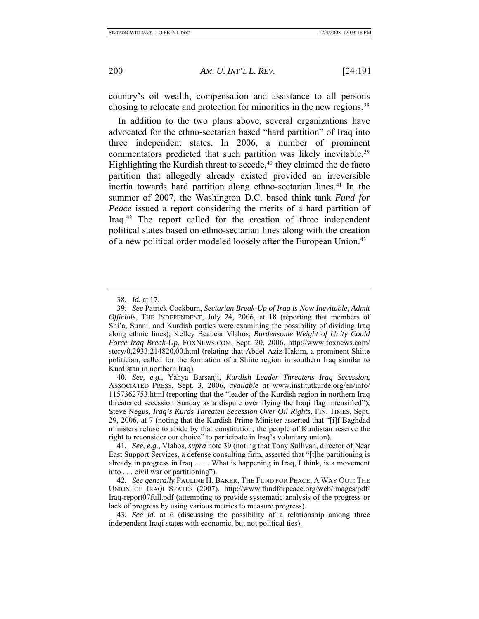country's oil wealth, compensation and assistance to all persons chosing to relocate and protection for minorities in the new regions.<sup>[38](#page-10-0)</sup>

In addition to the two plans above, several organizations have advocated for the ethno-sectarian based "hard partition" of Iraq into three independent states. In 2006, a number of prominent commentators predicted that such partition was likely inevitable.<sup>39</sup> Highlighting the Kurdish threat to secede, $40$  they claimed the de facto partition that allegedly already existed provided an irreversible inertia towards hard partition along ethno-sectarian lines.<sup>[41](#page-10-3)</sup> In the summer of 2007, the Washington D.C. based think tank *Fund for Peace* issued a report considering the merits of a hard partition of Iraq.[42](#page-10-4) The report called for the creation of three independent political states based on ethno-sectarian lines along with the creation of a new political order modeled loosely after the European Union.<sup>[43](#page-10-5)</sup>

<sup>38</sup>*. Id.* at 17.

<span id="page-10-1"></span><span id="page-10-0"></span><sup>39</sup>*. See* Patrick Cockburn, *Sectarian Break-Up of Iraq is Now Inevitable, Admit Officials*, THE INDEPENDENT, July 24, 2006, at 18 (reporting that members of Shi'a, Sunni, and Kurdish parties were examining the possibility of dividing Iraq along ethnic lines); Kelley Beaucar Vlahos, *Burdensome Weight of Unity Could Force Iraq Break-Up*, FOXNEWS.COM, Sept. 20, 2006, http://www.foxnews.com/ story/0,2933,214820,00.html (relating that Abdel Aziz Hakim, a prominent Shiite politician, called for the formation of a Shiite region in southern Iraq similar to Kurdistan in northern Iraq).

<span id="page-10-2"></span><sup>40</sup>*. See, e.g.*, Yahya Barsanji, *Kurdish Leader Threatens Iraq Secession*, ASSOCIATED PRESS, Sept. 3, 2006, *available at* www.institutkurde.org/en/info/ 1157362753.html (reporting that the "leader of the Kurdish region in northern Iraq threatened secession Sunday as a dispute over flying the Iraqi flag intensified"); Steve Negus, *Iraq's Kurds Threaten Secession Over Oil Rights*, FIN. TIMES, Sept. 29, 2006, at 7 (noting that the Kurdish Prime Minister asserted that "[i]f Baghdad ministers refuse to abide by that constitution, the people of Kurdistan reserve the right to reconsider our choice" to participate in Iraq's voluntary union).

<span id="page-10-3"></span><sup>41</sup>*. See, e.g.*, Vlahos, *supra* note 39 (noting that Tony Sullivan, director of Near East Support Services, a defense consulting firm, asserted that "[t]he partitioning is already in progress in Iraq . . . . What is happening in Iraq, I think, is a movement into . . . civil war or partitioning").

<span id="page-10-4"></span><sup>42</sup>*. See generally* PAULINE H. BAKER, THE FUND FOR PEACE, A WAY OUT: THE UNION OF IRAQI STATES (2007), http://www.fundforpeace.org/web/images/pdf/ Iraq-report07full.pdf (attempting to provide systematic analysis of the progress or lack of progress by using various metrics to measure progress).

<span id="page-10-5"></span><sup>43</sup>*. See id.* at 6 (discussing the possibility of a relationship among three independent Iraqi states with economic, but not political ties).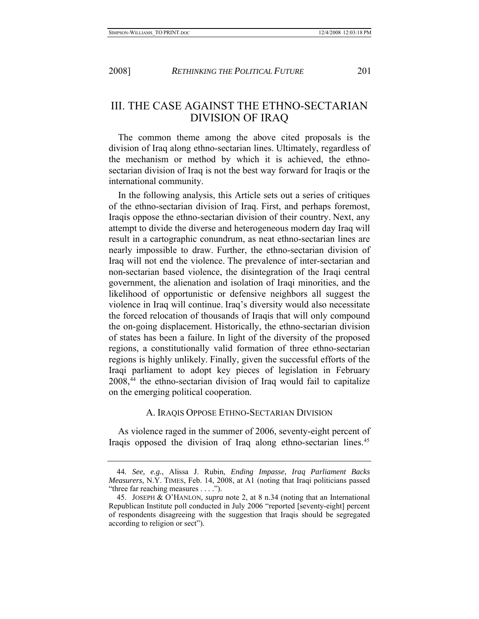<span id="page-11-0"></span>

## III. THE CASE AGAINST THE ETHNO-SECTARIAN DIVISION OF IRAQ

The common theme among the above cited proposals is the division of Iraq along ethno-sectarian lines. Ultimately, regardless of the mechanism or method by which it is achieved, the ethnosectarian division of Iraq is not the best way forward for Iraqis or the international community.

In the following analysis, this Article sets out a series of critiques of the ethno-sectarian division of Iraq. First, and perhaps foremost, Iraqis oppose the ethno-sectarian division of their country. Next, any attempt to divide the diverse and heterogeneous modern day Iraq will result in a cartographic conundrum, as neat ethno-sectarian lines are nearly impossible to draw. Further, the ethno-sectarian division of Iraq will not end the violence. The prevalence of inter-sectarian and non-sectarian based violence, the disintegration of the Iraqi central government, the alienation and isolation of Iraqi minorities, and the likelihood of opportunistic or defensive neighbors all suggest the violence in Iraq will continue. Iraq's diversity would also necessitate the forced relocation of thousands of Iraqis that will only compound the on-going displacement. Historically, the ethno-sectarian division of states has been a failure. In light of the diversity of the proposed regions, a constitutionally valid formation of three ethno-sectarian regions is highly unlikely. Finally, given the successful efforts of the Iraqi parliament to adopt key pieces of legislation in February 2008[,44](#page-11-1) the ethno-sectarian division of Iraq would fail to capitalize on the emerging political cooperation.

## A. IRAQIS OPPOSE ETHNO-SECTARIAN DIVISION

As violence raged in the summer of 2006, seventy-eight percent of Iraqis opposed the division of Iraq along ethno-sectarian lines.[45](#page-11-2)

<span id="page-11-1"></span><sup>44</sup>*. See, e.g.*, Alissa J. Rubin, *Ending Impasse, Iraq Parliament Backs Measurers*, N.Y. TIMES, Feb. 14, 2008, at A1 (noting that Iraqi politicians passed "three far reaching measures . . . .").

<span id="page-11-2"></span> <sup>45.</sup> JOSEPH & O'HANLON, *supra* note 2, at 8 n.34 (noting that an International Republican Institute poll conducted in July 2006 "reported [seventy-eight] percent of respondents disagreeing with the suggestion that Iraqis should be segregated according to religion or sect").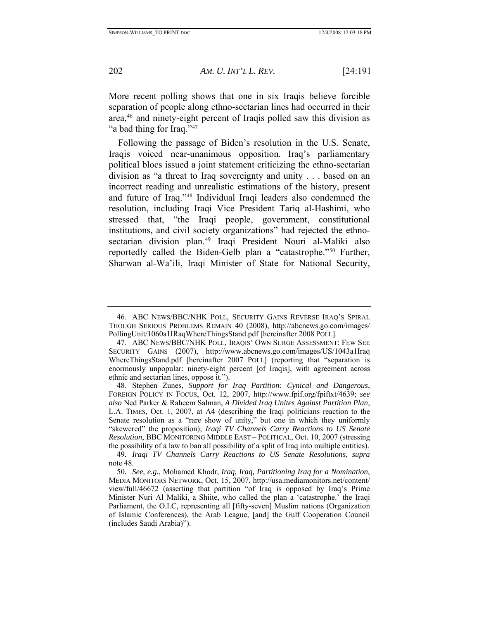More recent polling shows that one in six Iraqis believe forcible separation of people along ethno-sectarian lines had occurred in their area[,46](#page-12-0) and ninety-eight percent of Iraqis polled saw this division as "a bad thing for Iraq."<sup>[47](#page-12-1)</sup>

Following the passage of Biden's resolution in the U.S. Senate, Iraqis voiced near-unanimous opposition. Iraq's parliamentary political blocs issued a joint statement criticizing the ethno-sectarian division as "a threat to Iraq sovereignty and unity . . . based on an incorrect reading and unrealistic estimations of the history, present and future of Iraq."[48](#page-12-2) Individual Iraqi leaders also condemned the resolution, including Iraqi Vice President Tariq al-Hashimi, who stressed that, "the Iraqi people, government, constitutional institutions, and civil society organizations" had rejected the ethno-sectarian division plan.<sup>[49](#page-12-3)</sup> Iraqi President Nouri al-Maliki also reportedly called the Biden-Gelb plan a "catastrophe."[50](#page-12-4) Further, Sharwan al-Wa'ili, Iraqi Minister of State for National Security,

<span id="page-12-0"></span> <sup>46.</sup> ABC NEWS/BBC/NHK POLL, SECURITY GAINS REVERSE IRAQ'S SPIRAL THOUGH SERIOUS PROBLEMS REMAIN 40 (2008), http://abcnews.go.com/images/ PollingUnit/1060a1IRaqWhereThingsStand.pdf [hereinafter 2008 POLL].

<span id="page-12-1"></span> <sup>47.</sup> ABC NEWS/BBC/NHK POLL, IRAQIS' OWN SURGE ASSESSMENT: FEW SEE SECURITY GAINS (2007), http://www.abcnews.go.com/images/US/1043a1Iraq WhereThingsStand.pdf [hereinafter 2007 POLL] (reporting that "separation is enormously unpopular: ninety-eight percent [of Iraqis], with agreement across ethnic and sectarian lines, oppose it.").

<span id="page-12-2"></span> <sup>48.</sup> Stephen Zunes, *Support for Iraq Partition: Cynical and Dangerous*, FOREIGN POLICY IN FOCUS, Oct. 12, 2007, <http://www.fpif.org/fpiftxt/4639>; *see also* Ned Parker & Raheem Salman, *A Divided Iraq Unites Against Partition Plan*, L.A. TIMES, Oct. 1, 2007, at A4 (describing the Iraqi politicians reaction to the Senate resolution as a "rare show of unity," but one in which they uniformly "skewered" the proposition); *Iraqi TV Channels Carry Reactions to US Senate Resolution*, BBC MONITORING MIDDLE EAST – POLITICAL, Oct. 10, 2007 (stressing the possibility of a law to ban all possibility of a split of Iraq into multiple entities).

<span id="page-12-3"></span><sup>49</sup>*. Iraqi TV Channels Carry Reactions to US Senate Resolutions*, *supra* note 48.

<span id="page-12-4"></span><sup>50</sup>*. See, e.g.*, Mohamed Khodr, *Iraq, Iraq, Partitioning Iraq for a Nomination*, MEDIA MONITORS NETWORK, Oct. 15, 2007, http://usa.mediamonitors.net/content/ view/full/46672 (asserting that partition "of Iraq is opposed by Iraq's Prime Minister Nuri Al Maliki, a Shiite, who called the plan a 'catastrophe.' the Iraqi Parliament, the O.I.C, representing all [fifty-seven] Muslim nations (Organization of Islamic Conferences), the Arab League, [and] the Gulf Cooperation Council (includes Saudi Arabia)").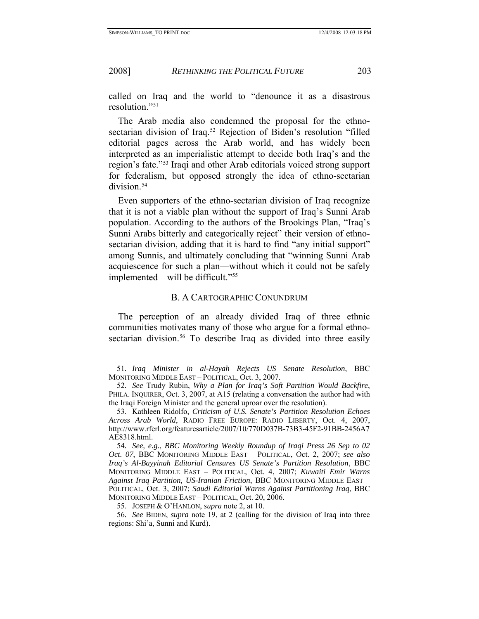<span id="page-13-0"></span>called on Iraq and the world to "denounce it as a disastrous resolution."[51](#page-13-1)

The Arab media also condemned the proposal for the ethno-sectarian division of Iraq.<sup>[52](#page-13-2)</sup> Rejection of Biden's resolution "filled editorial pages across the Arab world, and has widely been interpreted as an imperialistic attempt to decide both Iraq's and the region's fate."[53](#page-13-3) Iraqi and other Arab editorials voiced strong support for federalism, but opposed strongly the idea of ethno-sectarian division.<sup>[54](#page-13-4)</sup>

Even supporters of the ethno-sectarian division of Iraq recognize that it is not a viable plan without the support of Iraq's Sunni Arab population. According to the authors of the Brookings Plan, "Iraq's Sunni Arabs bitterly and categorically reject" their version of ethnosectarian division, adding that it is hard to find "any initial support" among Sunnis, and ultimately concluding that "winning Sunni Arab acquiescence for such a plan—without which it could not be safely implemented—will be difficult."[55](#page-13-5)

#### B. A CARTOGRAPHIC CONUNDRUM

The perception of an already divided Iraq of three ethnic communities motivates many of those who argue for a formal ethno-sectarian division.<sup>[56](#page-13-6)</sup> To describe Iraq as divided into three easily

<span id="page-13-1"></span><sup>51</sup>*. Iraq Minister in al-Hayah Rejects US Senate Resolution*, BBC MONITORING MIDDLE EAST – POLITICAL, Oct. 3, 2007.

<span id="page-13-2"></span><sup>52</sup>*. See* Trudy Rubin, *Why a Plan for Iraq's Soft Partition Would Backfire*, PHILA. INQUIRER, Oct. 3, 2007, at A15 (relating a conversation the author had with the Iraqi Foreign Minister and the general uproar over the resolution).

<span id="page-13-3"></span> <sup>53.</sup> Kathleen Ridolfo, *Criticism of U.S. Senate's Partition Resolution Echoes Across Arab World*, RADIO FREE EUROPE: RADIO LIBERTY, Oct. 4, 2007, http://www.rferl.org/featuresarticle/2007/10/770D037B-73B3-45F2-91BB-2456A7 AE8318.html.

<span id="page-13-4"></span><sup>54</sup>*. See, e.g.*, *BBC Monitoring Weekly Roundup of Iraqi Press 26 Sep to 02 Oct. 07*, BBC MONITORING MIDDLE EAST – POLITICAL, Oct. 2, 2007; *see also Iraq's Al-Bayyinah Editorial Censures US Senate's Partition Resolution*, BBC MONITORING MIDDLE EAST – POLITICAL, Oct. 4, 2007; *Kuwaiti Emir Warns Against Iraq Partition, US-Iranian Friction*, BBC MONITORING MIDDLE EAST – POLITICAL, Oct. 3, 2007; *Saudi Editorial Warns Against Partitioning Iraq*, BBC MONITORING MIDDLE EAST – POLITICAL, Oct. 20, 2006.

 <sup>55.</sup> JOSEPH & O'HANLON, *supra* note 2, at 10.

<span id="page-13-6"></span><span id="page-13-5"></span><sup>56</sup>*. See* BIDEN, *supra* note 19, at 2 (calling for the division of Iraq into three regions: Shi'a, Sunni and Kurd).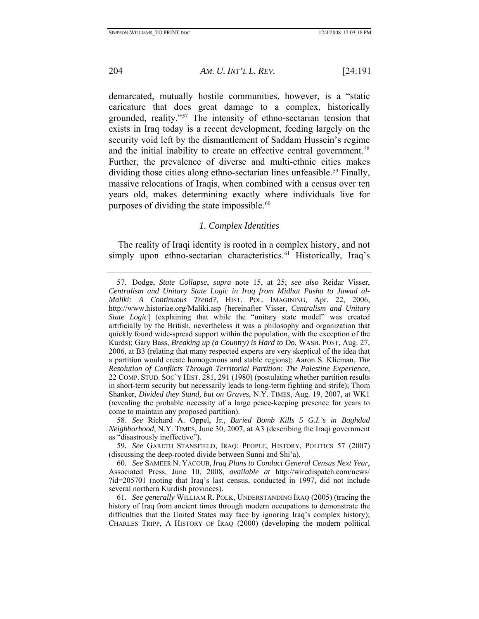<span id="page-14-0"></span>

demarcated, mutually hostile communities, however, is a "static caricature that does great damage to a complex, historically grounded, reality."[57](#page-14-1) The intensity of ethno-sectarian tension that exists in Iraq today is a recent development, feeding largely on the security void left by the dismantlement of Saddam Hussein's regime and the initial inability to create an effective central government.<sup>[58](#page-14-2)</sup> Further, the prevalence of diverse and multi-ethnic cities makes dividing those cities along ethno-sectarian lines unfeasible.<sup>[59](#page-14-3)</sup> Finally, massive relocations of Iraqis, when combined with a census over ten years old, makes determining exactly where individuals live for purposes of dividing the state impossible.<sup>[60](#page-14-4)</sup>

## *1. Complex Identities*

The reality of Iraqi identity is rooted in a complex history, and not simply upon ethno-sectarian characteristics.<sup>[61](#page-14-5)</sup> Historically, Iraq's

<span id="page-14-1"></span> <sup>57.</sup> Dodge, *State Collapse*, *supra* note 15, at 25; *see also* Reidar Visser, *Centralism and Unitary State Logic in Iraq from Midhat Pasha to Jawad al-Maliki: A Continuous Trend?*, HIST. POL. IMAGINING, Apr. 22, 2006, http://www.historiae.org/Maliki.asp [hereinafter Visser, *Centralism and Unitary State Logic*] (explaining that while the "unitary state model" was created artificially by the British, nevertheless it was a philosophy and organization that quickly found wide-spread support within the population, with the exception of the Kurds); Gary Bass, *Breaking up (a Country) is Hard to Do*, WASH. POST, Aug. 27, 2006, at B3 (relating that many respected experts are very skeptical of the idea that a partition would create homogenous and stable regions); Aaron S. Klieman, *The Resolution of Conflicts Through Territorial Partition: The Palestine Experience*, 22 COMP. STUD. SOC'Y HIST. 281, 291 (1980) (postulating whether partition results in short-term security but necessarily leads to long-term fighting and strife); Thom Shanker, *Divided they Stand, but on Graves*, N.Y. TIMES, Aug. 19, 2007, at WK1 (revealing the probable necessity of a large peace-keeping presence for years to come to maintain any proposed partition).

<span id="page-14-2"></span> <sup>58.</sup> *See* Richard A. Oppel, Jr., *Buried Bomb Kills 5 G.I.'s in Baghdad Neighborhood*, N.Y. TIMES, June 30, 2007, at A3 (describing the Iraqi government as "disastrously ineffective").

<span id="page-14-3"></span><sup>59</sup>*. See* GARETH STANSFIELD, IRAQ: PEOPLE, HISTORY, POLITICS 57 (2007) (discussing the deep-rooted divide between Sunni and Shi'a).

<span id="page-14-4"></span><sup>60</sup>*. See* SAMEER N. YACOUB, *Iraq Plans to Conduct General Census Next Year*, Associated Press, June 10, 2008, *available at* http://wiredispatch.com/news/ ?id=205701 (noting that Iraq's last census, conducted in 1997, did not include several northern Kurdish provinces).

<span id="page-14-5"></span><sup>61</sup>*. See generally* WILLIAM R. POLK, UNDERSTANDING IRAQ (2005) (tracing the history of Iraq from ancient times through modern occupations to demonstrate the difficulties that the United States may face by ignoring Iraq's complex history); CHARLES TRIPP, A HISTORY OF IRAQ (2000) (developing the modern political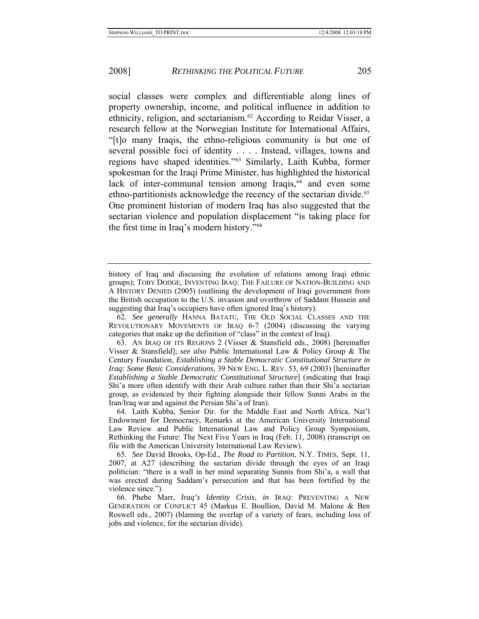social classes were complex and differentiable along lines of property ownership, income, and political influence in addition to ethnicity, religion, and sectarianism.[62](#page-15-0) According to Reidar Visser, a research fellow at the Norwegian Institute for International Affairs, "[t]o many Iraqis, the ethno-religious community is but one of several possible foci of identity . . . . Instead, villages, towns and regions have shaped identities."[63](#page-15-1) Similarly, Laith Kubba, former spokesman for the Iraqi Prime Minister, has highlighted the historical lack of inter-communal tension among Iraqis, $64$  and even some ethno-partitionists acknowledge the recency of the sectarian divide.<sup>65</sup> One prominent historian of modern Iraq has also suggested that the sectarian violence and population displacement "is taking place for the first time in Iraq's modern history.["66](#page-15-4)

<span id="page-15-0"></span>62*. See generally* HANNA BATATU, THE OLD SOCIAL CLASSES AND THE REVOLUTIONARY MOVEMENTS OF IRAQ 6-7 (2004) (discussing the varying categories that make up the definition of "class" in the context of Iraq).

history of Iraq and discussing the evolution of relations among Iraqi ethnic groups); TOBY DODGE, INVENTING IRAQ: THE FAILURE OF NATION-BUILDING AND A HISTORY DENIED (2005) (outlining the development of Iraqi government from the British occupation to the U.S. invasion and overthrow of Saddam Hussein and suggesting that Iraq's occupiers have often ignored Iraq's history).

<span id="page-15-1"></span> <sup>63.</sup> AN IRAQ OF ITS REGIONS 2 (Visser & Stansfield eds., 2008) [hereinafter Visser & Stansfield]; *see also* Public International Law & Policy Group & The Century Foundation, *Establishing a Stable Democratic Constitutional Structure in Iraq: Some Basic Considerations*, 39 NEW ENG. L. REV. 53, 69 (2003) [hereinafter *Establishing a Stable Democratic Constitutional Structure*] (indicating that Iraqi Shi'a more often identify with their Arab culture rather than their Shi'a sectarian group, as evidenced by their fighting alongside their fellow Sunni Arabs in the Iran/Iraq war and against the Persian Shi'a of Iran).

<span id="page-15-2"></span> <sup>64.</sup> Laith Kubba, Senior Dir. for the Middle East and North Africa, Nat'l Endowment for Democracy, Remarks at the American University International Law Review and Public International Law and Policy Group Symposium, Rethinking the Future: The Next Five Years in Iraq (Feb. 11, 2008) (transcript on file with the American University International Law Review).

<span id="page-15-3"></span><sup>65</sup>*. See* David Brooks, Op-Ed., *The Road to Partition*, N.Y. TIMES, Sept. 11, 2007, at A27 (describing the sectarian divide through the eyes of an Iraqi politician: "there is a wall in her mind separating Sunnis from Shi'a, a wall that was erected during Saddam's persecution and that has been fortified by the violence since.").

<span id="page-15-4"></span> <sup>66.</sup> Phebe Marr, *Iraq's Identity Crisis*, *in* IRAQ: PREVENTING A NEW GENERATION OF CONFLICT 45 (Markus E. Boullion, David M. Malone & Ben Roswell eds., 2007) (blaming the overlap of a variety of fears, including loss of jobs and violence, for the sectarian divide).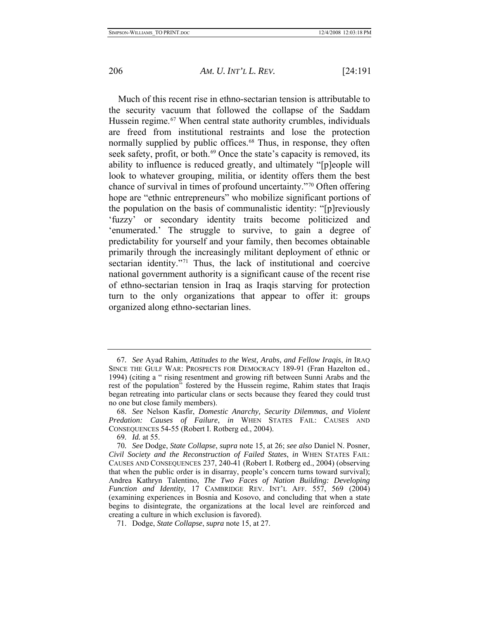Much of this recent rise in ethno-sectarian tension is attributable to the security vacuum that followed the collapse of the Saddam Hussein regime.<sup>[67](#page-16-0)</sup> When central state authority crumbles, individuals are freed from institutional restraints and lose the protection normally supplied by public offices.<sup>[68](#page-16-1)</sup> Thus, in response, they often seek safety, profit, or both.<sup>[69](#page-16-2)</sup> Once the state's capacity is removed, its ability to influence is reduced greatly, and ultimately "[p]eople will look to whatever grouping, militia, or identity offers them the best chance of survival in times of profound uncertainty."[70](#page-16-3) Often offering hope are "ethnic entrepreneurs" who mobilize significant portions of the population on the basis of communalistic identity: "[p]reviously 'fuzzy' or secondary identity traits become politicized and 'enumerated.' The struggle to survive, to gain a degree of predictability for yourself and your family, then becomes obtainable primarily through the increasingly militant deployment of ethnic or sectarian identity."<sup>[71](#page-16-4)</sup> Thus, the lack of institutional and coercive national government authority is a significant cause of the recent rise of ethno-sectarian tension in Iraq as Iraqis starving for protection turn to the only organizations that appear to offer it: groups organized along ethno-sectarian lines.

<span id="page-16-0"></span><sup>67</sup>*. See* Ayad Rahim, *Attitudes to the West, Arabs, and Fellow Iraqis*, *in* IRAQ SINCE THE GULF WAR: PROSPECTS FOR DEMOCRACY 189-91 (Fran Hazelton ed., 1994) (citing a " rising resentment and growing rift between Sunni Arabs and the rest of the population" fostered by the Hussein regime, Rahim states that Iraqis began retreating into particular clans or sects because they feared they could trust no one but close family members).

<span id="page-16-1"></span><sup>68</sup>*. See* Nelson Kasfir, *Domestic Anarchy, Security Dilemmas, and Violent Predation: Causes of Failure*, *in* WHEN STATES FAIL: CAUSES AND CONSEQUENCES 54-55 (Robert I. Rotberg ed., 2004).

<sup>69</sup>*. Id.* at 55.

<span id="page-16-3"></span><span id="page-16-2"></span><sup>70</sup>*. See* Dodge, *State Collapse*, *supra* note 15, at 26; *see also* Daniel N. Posner, *Civil Society and the Reconstruction of Failed States*, *in* WHEN STATES FAIL: CAUSES AND CONSEQUENCES 237, 240-41 (Robert I. Rotberg ed., 2004) (observing that when the public order is in disarray, people's concern turns toward survival); Andrea Kathryn Talentino, *The Two Faces of Nation Building: Developing Function and Identity*, 17 CAMBRIDGE REV. INT'L AFF. 557, 569 (2004) (examining experiences in Bosnia and Kosovo, and concluding that when a state begins to disintegrate, the organizations at the local level are reinforced and creating a culture in which exclusion is favored).

<span id="page-16-4"></span> <sup>71.</sup> Dodge, *State Collapse*, *supra* note 15, at 27.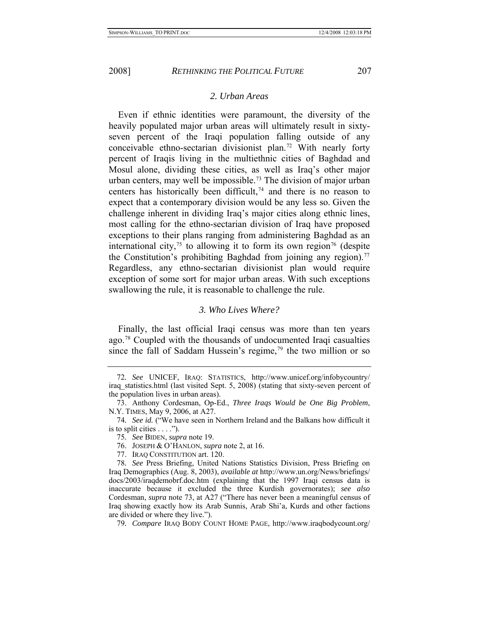<span id="page-17-0"></span>

#### *2. Urban Areas*

Even if ethnic identities were paramount, the diversity of the heavily populated major urban areas will ultimately result in sixtyseven percent of the Iraqi population falling outside of any conceivable ethno-sectarian divisionist plan.[72](#page-17-1) With nearly forty percent of Iraqis living in the multiethnic cities of Baghdad and Mosul alone, dividing these cities, as well as Iraq's other major urban centers, may well be impossible.<sup>73</sup> The division of major urban centers has historically been difficult,<sup>[74](#page-17-3)</sup> and there is no reason to expect that a contemporary division would be any less so. Given the challenge inherent in dividing Iraq's major cities along ethnic lines, most calling for the ethno-sectarian division of Iraq have proposed exceptions to their plans ranging from administering Baghdad as an international city,<sup>[75](#page-17-4)</sup> to allowing it to form its own region<sup>[76](#page-17-5)</sup> (despite the Constitution's prohibiting Baghdad from joining any region).<sup>77</sup> Regardless, any ethno-sectarian divisionist plan would require exception of some sort for major urban areas. With such exceptions swallowing the rule, it is reasonable to challenge the rule.

## *3. Who Lives Where?*

Finally, the last official Iraqi census was more than ten years ago.[78](#page-17-7) Coupled with the thousands of undocumented Iraqi casualties since the fall of Saddam Hussein's regime,<sup>[79](#page-17-8)</sup> the two million or so

<span id="page-17-1"></span><sup>72</sup>*. See* UNICEF, IRAQ: STATISTICS, http://www.unicef.org/infobycountry/ iraq\_statistics.html (last visited Sept. 5, 2008) (stating that sixty-seven percent of the population lives in urban areas).

<span id="page-17-2"></span> <sup>73.</sup> Anthony Cordesman, Op-Ed., *Three Iraqs Would be One Big Problem*, N.Y. TIMES, May 9, 2006, at A27.

<span id="page-17-4"></span><span id="page-17-3"></span><sup>74</sup>*. See id.* ("We have seen in Northern Ireland and the Balkans how difficult it is to split cities  $\dots$ .").

<sup>75</sup>*. See* BIDEN, *supra* note 19.

 <sup>76.</sup> JOSEPH & O'HANLON, *supra* note 2, at 16.

 <sup>77.</sup> IRAQ CONSTITUTION art. 120.

<span id="page-17-7"></span><span id="page-17-6"></span><span id="page-17-5"></span><sup>78</sup>*. See* Press Briefing, United Nations Statistics Division, Press Briefing on Iraq Demographics (Aug. 8, 2003), *available at* http://www.un.org/News/briefings/ docs/2003/iraqdemobrf.doc.htm (explaining that the 1997 Iraqi census data is inaccurate because it excluded the three Kurdish governorates); *see also* Cordesman, *supra* note 73, at A27 ("There has never been a meaningful census of Iraq showing exactly how its Arab Sunnis, Arab Shi'a, Kurds and other factions are divided or where they live.").

<span id="page-17-8"></span><sup>79</sup>*. Compare* IRAQ BODY COUNT HOME PAGE, http://www.iraqbodycount.org/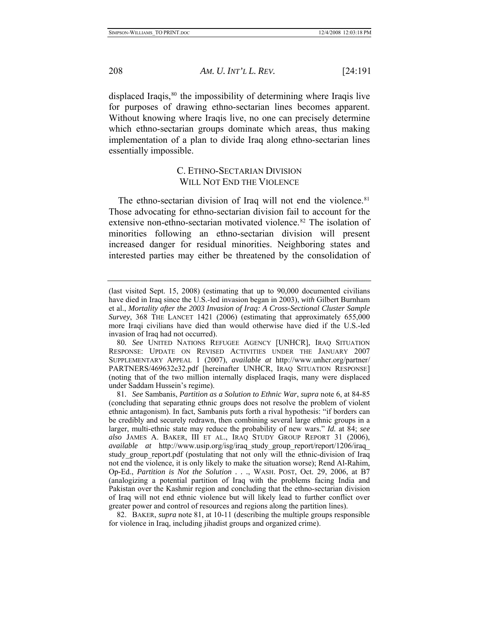displaced Iraqis, $80$  the impossibility of determining where Iraqis live for purposes of drawing ethno-sectarian lines becomes apparent. Without knowing where Iraqis live, no one can precisely determine which ethno-sectarian groups dominate which areas, thus making implementation of a plan to divide Iraq along ethno-sectarian lines essentially impossible.

## C. ETHNO-SECTARIAN DIVISION WILL NOT END THE VIOLENCE

The ethno-sectarian division of Iraq will not end the violence.<sup>81</sup> Those advocating for ethno-sectarian division fail to account for the extensive non-ethno-sectarian motivated violence.<sup>[82](#page-18-3)</sup> The isolation of minorities following an ethno-sectarian division will present increased danger for residual minorities. Neighboring states and interested parties may either be threatened by the consolidation of

<span id="page-18-3"></span> 82. BAKER, *supra* note 81, at 10-11 (describing the multiple groups responsible for violence in Iraq, including jihadist groups and organized crime).

<span id="page-18-0"></span>

<sup>(</sup>last visited Sept. 15, 2008) (estimating that up to 90,000 documented civilians have died in Iraq since the U.S.-led invasion began in 2003), *with* Gilbert Burnham et al., *Mortality after the 2003 Invasion of Iraq: A Cross-Sectional Cluster Sample Survey*, 368 THE LANCET 1421 (2006) (estimating that approximately 655,000 more Iraqi civilians have died than would otherwise have died if the U.S.-led invasion of Iraq had not occurred).

<span id="page-18-1"></span><sup>80</sup>*. See* UNITED NATIONS REFUGEE AGENCY [UNHCR], IRAQ SITUATION RESPONSE: UPDATE ON REVISED ACTIVITIES UNDER THE JANUARY 2007 SUPPLEMENTARY APPEAL 1 (2007), *available at* http://www.unhcr.org/partner/ PARTNERS/469632e32.pdf [hereinafter UNHCR, IRAQ SITUATION RESPONSE] (noting that of the two million internally displaced Iraqis, many were displaced under Saddam Hussein's regime).

<span id="page-18-2"></span><sup>81</sup>*. See* Sambanis, *Partition as a Solution to Ethnic War*, *supra* note 6, at 84-85 (concluding that separating ethnic groups does not resolve the problem of violent ethnic antagonism). In fact, Sambanis puts forth a rival hypothesis: "if borders can be credibly and securely redrawn, then combining several large ethnic groups in a larger, multi-ethnic state may reduce the probability of new wars." *Id.* at 84; *see also* JAMES A. BAKER, III ET AL., IRAQ STUDY GROUP REPORT 31 (2006), *available at* http://www.usip.org/isg/iraq\_study\_group\_report/report/1206/iraq\_ study\_group\_report.pdf (postulating that not only will the ethnic-division of Iraq not end the violence, it is only likely to make the situation worse); Rend Al-Rahim, Op-Ed., *Partition is Not the Solution . . .*, WASH. POST, Oct. 29, 2006, at B7 (analogizing a potential partition of Iraq with the problems facing India and Pakistan over the Kashmir region and concluding that the ethno-sectarian division of Iraq will not end ethnic violence but will likely lead to further conflict over greater power and control of resources and regions along the partition lines).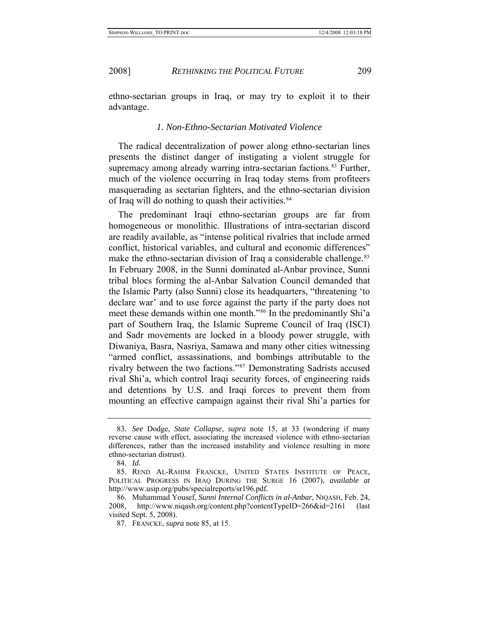<span id="page-19-0"></span>

ethno-sectarian groups in Iraq, or may try to exploit it to their advantage.

## *1. Non-Ethno-Sectarian Motivated Violence*

The radical decentralization of power along ethno-sectarian lines presents the distinct danger of instigating a violent struggle for supremacy among already warring intra-sectarian factions.<sup>[83](#page-19-1)</sup> Further, much of the violence occurring in Iraq today stems from profiteers masquerading as sectarian fighters, and the ethno-sectarian division of Iraq will do nothing to quash their activities.<sup>[84](#page-19-2)</sup>

The predominant Iraqi ethno-sectarian groups are far from homogeneous or monolithic. Illustrations of intra-sectarian discord are readily available, as "intense political rivalries that include armed conflict, historical variables, and cultural and economic differences" make the ethno-sectarian division of Iraq a considerable challenge.<sup>[85](#page-19-3)</sup> In February 2008, in the Sunni dominated al-Anbar province, Sunni tribal blocs forming the al-Anbar Salvation Council demanded that the Islamic Party (also Sunni) close its headquarters, "threatening 'to declare war' and to use force against the party if the party does not meet these demands within one month."[86](#page-19-4) In the predominantly Shi'a part of Southern Iraq, the Islamic Supreme Council of Iraq (ISCI) and Sadr movements are locked in a bloody power struggle, with Diwaniya, Basra, Nasriya, Samawa and many other cities witnessing "armed conflict, assassinations, and bombings attributable to the rivalry between the two factions."[87](#page-19-5) Demonstrating Sadrists accused rival Shi'a, which control Iraqi security forces, of engineering raids and detentions by U.S. and Iraqi forces to prevent them from mounting an effective campaign against their rival Shi'a parties for

<span id="page-19-1"></span><sup>83</sup>*. See* Dodge, *State Collapse*, *supra* note 15, at 33 (wondering if many reverse cause with effect, associating the increased violence with ethno-sectarian differences, rather than the increased instability and violence resulting in more ethno-sectarian distrust).

<sup>84</sup>*. Id.*

<span id="page-19-3"></span><span id="page-19-2"></span> <sup>85.</sup> REND AL-RAHIM FRANCKE, UNITED STATES INSTITUTE OF PEACE, POLITICAL PROGRESS IN IRAQ DURING THE SURGE 16 (2007), *available at* http://www.usip.org/pubs/specialreports/sr196.pdf.

<span id="page-19-5"></span><span id="page-19-4"></span> <sup>86.</sup> Muhammad Yousef, *Sunni Internal Conflicts in al-Anbar*, NIQASH, Feb. 24, 2008, http://www.niqash.org/content.php?contentTypeID=266&id=2161 (last visited Sept. 5, 2008).

 <sup>87.</sup> FRANCKE, *supra* note 85, at 15.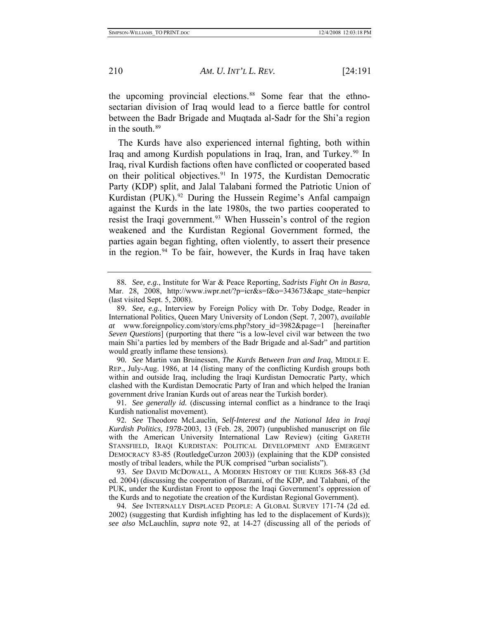the upcoming provincial elections.<sup>[88](#page-20-0)</sup> Some fear that the ethnosectarian division of Iraq would lead to a fierce battle for control between the Badr Brigade and Muqtada al-Sadr for the Shi'a region in the south.<sup>[89](#page-20-1)</sup>

The Kurds have also experienced internal fighting, both within Iraq and among Kurdish populations in Iraq, Iran, and Turkey.<sup>[90](#page-20-2)</sup> In Iraq, rival Kurdish factions often have conflicted or cooperated based on their political objectives.<sup>[91](#page-20-3)</sup> In 1975, the Kurdistan Democratic Party (KDP) split, and Jalal Talabani formed the Patriotic Union of Kurdistan (PUK).<sup>[92](#page-20-4)</sup> During the Hussein Regime's Anfal campaign against the Kurds in the late 1980s, the two parties cooperated to resist the Iraqi government.<sup>[93](#page-20-5)</sup> When Hussein's control of the region weakened and the Kurdistan Regional Government formed, the parties again began fighting, often violently, to assert their presence in the region.<sup>[94](#page-20-6)</sup> To be fair, however, the Kurds in Iraq have taken

<span id="page-20-2"></span>90*. See* Martin van Bruinessen, *The Kurds Between Iran and Iraq*, MIDDLE E. REP., July-Aug. 1986, at 14 (listing many of the conflicting Kurdish groups both within and outside Iraq, including the Iraqi Kurdistan Democratic Party, which clashed with the Kurdistan Democratic Party of Iran and which helped the Iranian government drive Iranian Kurds out of areas near the Turkish border).

<span id="page-20-3"></span>91*. See generally id.* (discussing internal conflict as a hindrance to the Iraqi Kurdish nationalist movement).

<span id="page-20-4"></span>92*. See* Theodore McLauclin, *Self-Interest and the National Idea in Iraqi Kurdish Politics, 1978-*2003, 13 (Feb. 28, 2007) (unpublished manuscript on file with the American University International Law Review) (citing GARETH STANSFIELD, IRAQI KURDISTAN: POLITICAL DEVELOPMENT AND EMERGENT DEMOCRACY 83-85 (RoutledgeCurzon 2003)) (explaining that the KDP consisted mostly of tribal leaders, while the PUK comprised "urban socialists").

<span id="page-20-5"></span>93*. See* DAVID MCDOWALL, A MODERN HISTORY OF THE KURDS 368-83 (3d ed. 2004) (discussing the cooperation of Barzani, of the KDP, and Talabani, of the PUK, under the Kurdistan Front to oppose the Iraqi Government's oppression of the Kurds and to negotiate the creation of the Kurdistan Regional Government).

<span id="page-20-6"></span>94*. See* INTERNALLY DISPLACED PEOPLE: A GLOBAL SURVEY 171-74 (2d ed. 2002) (suggesting that Kurdish infighting has led to the displacement of Kurds)); *see also* McLauchlin, *supra* note 92, at 14-27 (discussing all of the periods of

<span id="page-20-0"></span><sup>88</sup>*. See, e.g.*, Institute for War & Peace Reporting, *Sadrists Fight On in Basra*, Mar. 28, 2008, http://www.iwpr.net/?p=icr&s=f&o=343673&apc\_state=henpicr (last visited Sept. 5, 2008).

<span id="page-20-1"></span><sup>89</sup>*. See, e.g.*, Interview by Foreign Policy with Dr. Toby Dodge, Reader in International Politics, Queen Mary University of London (Sept. 7, 2007), *available at* www.foreignpolicy.com/story/cms.php?story\_id=3982&page=1 [hereinafter *Seven Questions*] (purporting that there "is a low-level civil war between the two main Shi'a parties led by members of the Badr Brigade and al-Sadr" and partition would greatly inflame these tensions).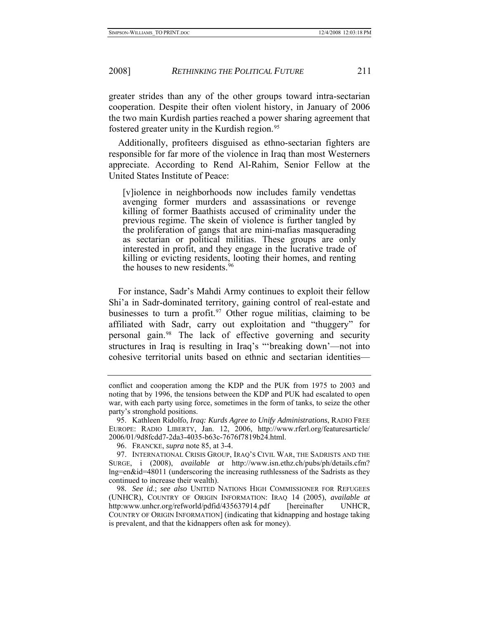greater strides than any of the other groups toward intra-sectarian cooperation. Despite their often violent history, in January of 2006 the two main Kurdish parties reached a power sharing agreement that fostered greater unity in the Kurdish region.<sup>[95](#page-21-0)</sup>

Additionally, profiteers disguised as ethno-sectarian fighters are responsible for far more of the violence in Iraq than most Westerners appreciate. According to Rend Al-Rahim, Senior Fellow at the United States Institute of Peace:

[v]iolence in neighborhoods now includes family vendettas avenging former murders and assassinations or revenge killing of former Baathists accused of criminality under the previous regime. The skein of violence is further tangled by the proliferation of gangs that are mini-mafias masquerading as sectarian or political militias. These groups are only interested in profit, and they engage in the lucrative trade of killing or evicting residents, looting their homes, and renting the houses to new residents.<sup>[96](#page-21-1)</sup>

For instance, Sadr's Mahdi Army continues to exploit their fellow Shi'a in Sadr-dominated territory, gaining control of real-estate and businesses to turn a profit.<sup>[97](#page-21-2)</sup> Other rogue militias, claiming to be affiliated with Sadr, carry out exploitation and "thuggery" for personal gain.[98](#page-21-3) The lack of effective governing and security structures in Iraq is resulting in Iraq's "'breaking down'—not into cohesive territorial units based on ethnic and sectarian identities—

conflict and cooperation among the KDP and the PUK from 1975 to 2003 and noting that by 1996, the tensions between the KDP and PUK had escalated to open war, with each party using force, sometimes in the form of tanks, to seize the other party's stronghold positions.

<span id="page-21-0"></span> <sup>95.</sup> Kathleen Ridolfo, *Iraq: Kurds Agree to Unify Administrations*, RADIO FREE EUROPE: RADIO LIBERTY, Jan. 12, 2006, http://www.rferl.org/featuresarticle/ 2006/01/9d8fcdd7-2da3-4035-b63c-7676f7819b24.html.

 <sup>96.</sup> FRANCKE, *supra* note 85, at 3-4.

<span id="page-21-2"></span><span id="page-21-1"></span> <sup>97.</sup> INTERNATIONAL CRISIS GROUP, IRAQ'S CIVIL WAR, THE SADRISTS AND THE SURGE, i (2008), *available at* http://www.isn.ethz.ch/pubs/ph/details.cfm? lng=en&id=48011 (underscoring the increasing ruthlessness of the Sadrists as they continued to increase their wealth).

<span id="page-21-3"></span><sup>98</sup>*. See id.*; *see also* UNITED NATIONS HIGH COMMISSIONER FOR REFUGEES (UNHCR), COUNTRY OF ORIGIN INFORMATION: IRAQ 14 (2005), *available at* http:www.unhcr.org/refworld/pdfid/435637914.pdf [hereinafter UNHCR, COUNTRY OF ORIGIN INFORMATION] (indicating that kidnapping and hostage taking is prevalent, and that the kidnappers often ask for money).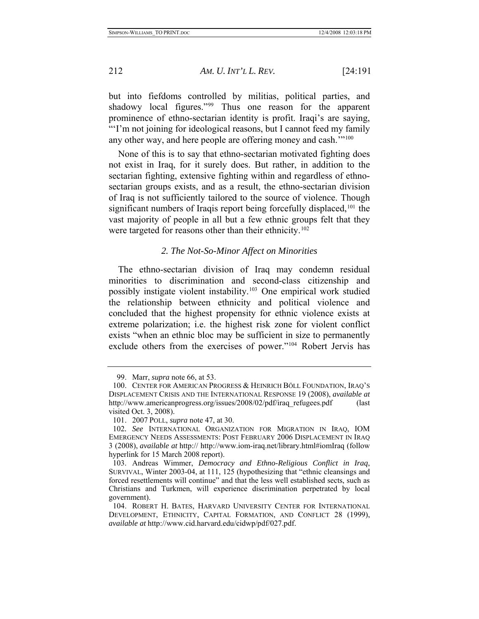but into fiefdoms controlled by militias, political parties, and shadowy local figures."[99](#page-22-1) Thus one reason for the apparent prominence of ethno-sectarian identity is profit. Iraqi's are saying, "'I'm not joining for ideological reasons, but I cannot feed my family any other way, and here people are offering money and cash."<sup>[100](#page-22-2)</sup>

None of this is to say that ethno-sectarian motivated fighting does not exist in Iraq, for it surely does. But rather, in addition to the sectarian fighting, extensive fighting within and regardless of ethnosectarian groups exists, and as a result, the ethno-sectarian division of Iraq is not sufficiently tailored to the source of violence. Though significant numbers of Iraqis report being forcefully displaced,<sup>[101](#page-22-3)</sup> the vast majority of people in all but a few ethnic groups felt that they were targeted for reasons other than their ethnicity.<sup>[102](#page-22-4)</sup>

## *2. The Not-So-Minor Affect on Minorities*

The ethno-sectarian division of Iraq may condemn residual minorities to discrimination and second-class citizenship and possibly instigate violent instability.[103](#page-22-5) One empirical work studied the relationship between ethnicity and political violence and concluded that the highest propensity for ethnic violence exists at extreme polarization; i.e. the highest risk zone for violent conflict exists "when an ethnic bloc may be sufficient in size to permanently exclude others from the exercises of power."[104](#page-22-6) Robert Jervis has

<span id="page-22-0"></span>

 <sup>99.</sup> Marr, *supra* note 66, at 53.

<span id="page-22-2"></span><span id="page-22-1"></span> <sup>100.</sup> CENTER FOR AMERICAN PROGRESS & HEINRICH BÖLL FOUNDATION, IRAQ'S DISPLACEMENT CRISIS AND THE INTERNATIONAL RESPONSE 19 (2008), *available at*  http://www.americanprogress.org/issues/2008/02/pdf/iraq\_refugees.pdf (last visited Oct. 3, 2008).

 <sup>101. 2007</sup> POLL, *supra* note 47, at 30.

<span id="page-22-4"></span><span id="page-22-3"></span><sup>102</sup>*. See* INTERNATIONAL ORGANIZATION FOR MIGRATION IN IRAQ, IOM EMERGENCY NEEDS ASSESSMENTS: POST FEBRUARY 2006 DISPLACEMENT IN IRAQ 3 (2008), *available at* http:// http://www.iom-iraq.net/library.html#iomIraq (follow hyperlink for 15 March 2008 report).

<span id="page-22-5"></span> <sup>103.</sup> Andreas Wimmer, *Democracy and Ethno-Religious Conflict in Iraq*, SURVIVAL, Winter 2003-04, at 111, 125 (hypothesizing that "ethnic cleansings and forced resettlements will continue" and that the less well established sects, such as Christians and Turkmen, will experience discrimination perpetrated by local government).

<span id="page-22-6"></span> <sup>104.</sup> ROBERT H. BATES, HARVARD UNIVERSITY CENTER FOR INTERNATIONAL DEVELOPMENT, ETHNICITY, CAPITAL FORMATION, AND CONFLICT 28 (1999), *available at* http://www.cid.harvard.edu/cidwp/pdf/027.pdf.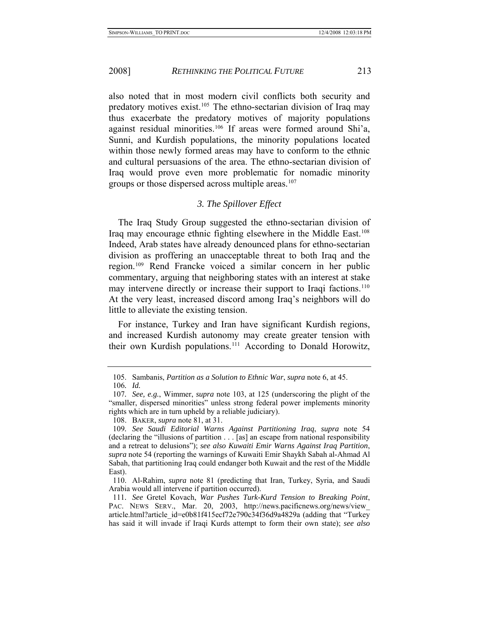<span id="page-23-0"></span>also noted that in most modern civil conflicts both security and predatory motives exist.<sup>[105](#page-23-1)</sup> The ethno-sectarian division of Iraq may thus exacerbate the predatory motives of majority populations against residual minorities.[106](#page-23-2) If areas were formed around Shi'a, Sunni, and Kurdish populations, the minority populations located within those newly formed areas may have to conform to the ethnic and cultural persuasions of the area. The ethno-sectarian division of Iraq would prove even more problematic for nomadic minority groups or those dispersed across multiple areas.<sup>[107](#page-23-3)</sup>

#### *3. The Spillover Effect*

The Iraq Study Group suggested the ethno-sectarian division of Iraq may encourage ethnic fighting elsewhere in the Middle East.[108](#page-23-4) Indeed, Arab states have already denounced plans for ethno-sectarian division as proffering an unacceptable threat to both Iraq and the region.[109](#page-23-5) Rend Francke voiced a similar concern in her public commentary, arguing that neighboring states with an interest at stake may intervene directly or increase their support to Iraqi factions.<sup>[110](#page-23-6)</sup> At the very least, increased discord among Iraq's neighbors will do little to alleviate the existing tension.

For instance, Turkey and Iran have significant Kurdish regions, and increased Kurdish autonomy may create greater tension with their own Kurdish populations.[111](#page-23-7) According to Donald Horowitz,

 <sup>105.</sup> Sambanis, *Partition as a Solution to Ethnic War*, *supra* note 6, at 45.

<sup>106</sup>*. Id.*

<span id="page-23-3"></span><span id="page-23-2"></span><span id="page-23-1"></span><sup>107</sup>*. See, e.g.*, Wimmer, *supra* note 103, at 125 (underscoring the plight of the "smaller, dispersed minorities" unless strong federal power implements minority rights which are in turn upheld by a reliable judiciary).

 <sup>108.</sup> BAKER, *supra* note 81, at 31.

<span id="page-23-5"></span><span id="page-23-4"></span><sup>109</sup>*. See Saudi Editorial Warns Against Partitioning Iraq*, *supra* note 54 (declaring the "illusions of partition . . . [as] an escape from national responsibility and a retreat to delusions"); *see also Kuwaiti Emir Warns Against Iraq Partition*, *supra* note 54 (reporting the warnings of Kuwaiti Emir Shaykh Sabah al-Ahmad Al Sabah, that partitioning Iraq could endanger both Kuwait and the rest of the Middle East).

<span id="page-23-6"></span> <sup>110.</sup> Al-Rahim, *supra* note 81 (predicting that Iran, Turkey, Syria, and Saudi Arabia would all intervene if partition occurred).

<span id="page-23-7"></span><sup>111</sup>*. See* Gretel Kovach, *War Pushes Turk-Kurd Tension to Breaking Point*, PAC. NEWS SERV., Mar. 20, 2003, http://news.pacificnews.org/news/view article.html?article\_id=e0b81f415ecf72e790c34f36d9a4829a (adding that "Turkey has said it will invade if Iraqi Kurds attempt to form their own state); *see also*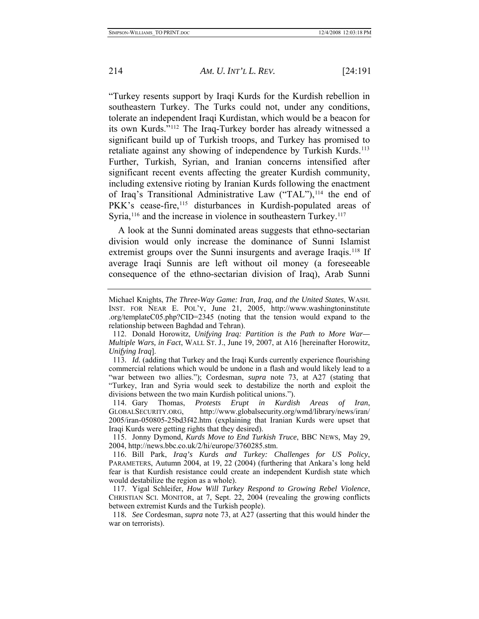"Turkey resents support by Iraqi Kurds for the Kurdish rebellion in southeastern Turkey. The Turks could not, under any conditions, tolerate an independent Iraqi Kurdistan, which would be a beacon for its own Kurds."[112](#page-24-0) The Iraq-Turkey border has already witnessed a significant build up of Turkish troops, and Turkey has promised to retaliate against any showing of independence by Turkish Kurds.<sup>[113](#page-24-1)</sup> Further, Turkish, Syrian, and Iranian concerns intensified after significant recent events affecting the greater Kurdish community, including extensive rioting by Iranian Kurds following the enactment of Iraq's Transitional Administrative Law ("TAL"),<sup>[114](#page-24-2)</sup> the end of PKK's cease-fire,<sup>[115](#page-24-3)</sup> disturbances in Kurdish-populated areas of Syria,<sup>[116](#page-24-4)</sup> and the increase in violence in southeastern Turkey.<sup>[117](#page-24-5)</sup>

A look at the Sunni dominated areas suggests that ethno-sectarian division would only increase the dominance of Sunni Islamist extremist groups over the Sunni insurgents and average Iraqis.<sup>[118](#page-24-6)</sup> If average Iraqi Sunnis are left without oil money (a foreseeable consequence of the ethno-sectarian division of Iraq), Arab Sunni

<span id="page-24-2"></span> 114. Gary Thomas, *Protests Erupt in Kurdish Areas of Iran*, GLOBALSECURITY.ORG, http://www.globalsecurity.org/wmd/library/news/iran/ 2005/iran-050805-25bd3f42.htm (explaining that Iranian Kurds were upset that Iraqi Kurds were getting rights that they desired).

Michael Knights, *The Three-Way Game: Iran, Iraq, and the United States*, WASH. INST. FOR NEAR E. POL'Y, June 21, 2005, http://www.washingtoninstitute .org/templateC05.php?CID=2345 (noting that the tension would expand to the relationship between Baghdad and Tehran).

<span id="page-24-0"></span> <sup>112.</sup> Donald Horowitz, *Unifying Iraq: Partition is the Path to More War— Multiple Wars, in Fact*, WALL ST. J., June 19, 2007, at A16 [hereinafter Horowitz, *Unifying Iraq*].

<span id="page-24-1"></span><sup>113</sup>*. Id.* (adding that Turkey and the Iraqi Kurds currently experience flourishing commercial relations which would be undone in a flash and would likely lead to a "war between two allies."); Cordesman, *supra* note 73, at A27 (stating that "Turkey, Iran and Syria would seek to destabilize the north and exploit the divisions between the two main Kurdish political unions.").

<span id="page-24-3"></span> <sup>115.</sup> Jonny Dymond, *Kurds Move to End Turkish Truce*, BBC NEWS, May 29, 2004, http://news.bbc.co.uk/2/hi/europe/3760285.stm.

<span id="page-24-4"></span> <sup>116.</sup> Bill Park, *Iraq's Kurds and Turkey: Challenges for US Policy*, PARAMETERS, Autumn 2004, at 19, 22 (2004) (furthering that Ankara's long held fear is that Kurdish resistance could create an independent Kurdish state which would destabilize the region as a whole).

<span id="page-24-5"></span> <sup>117.</sup> Yigal Schleifer, *How Will Turkey Respond to Growing Rebel Violence*, CHRISTIAN SCI. MONITOR, at 7, Sept. 22, 2004 (revealing the growing conflicts between extremist Kurds and the Turkish people).

<span id="page-24-6"></span><sup>118</sup>*. See* Cordesman, *supra* note 73, at A27 (asserting that this would hinder the war on terrorists).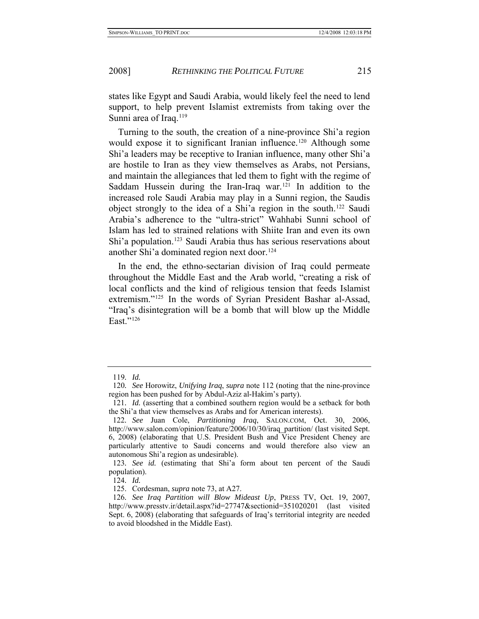states like Egypt and Saudi Arabia, would likely feel the need to lend support, to help prevent Islamist extremists from taking over the Sunni area of Iraq.<sup>[119](#page-25-0)</sup>

Turning to the south, the creation of a nine-province Shi'a region would expose it to significant Iranian influence.<sup>[120](#page-25-1)</sup> Although some Shi'a leaders may be receptive to Iranian influence, many other Shi'a are hostile to Iran as they view themselves as Arabs, not Persians, and maintain the allegiances that led them to fight with the regime of Saddam Hussein during the Iran-Iraq war.<sup>[121](#page-25-2)</sup> In addition to the increased role Saudi Arabia may play in a Sunni region, the Saudis object strongly to the idea of a Shi'a region in the south.[122](#page-25-3) Saudi Arabia's adherence to the "ultra-strict" Wahhabi Sunni school of Islam has led to strained relations with Shiite Iran and even its own Shi'a population.[123](#page-25-4) Saudi Arabia thus has serious reservations about another Shi'a dominated region next door.[124](#page-25-5)

In the end, the ethno-sectarian division of Iraq could permeate throughout the Middle East and the Arab world, "creating a risk of local conflicts and the kind of religious tension that feeds Islamist extremism."[125](#page-25-6) In the words of Syrian President Bashar al-Assad, "Iraq's disintegration will be a bomb that will blow up the Middle East." $^{126}$  $^{126}$  $^{126}$ 

<sup>119</sup>*. Id.*

<span id="page-25-1"></span><span id="page-25-0"></span><sup>120</sup>*. See* Horowitz, *Unifying Iraq*, *supra* note 112 (noting that the nine-province region has been pushed for by Abdul-Aziz al-Hakim's party).

<span id="page-25-2"></span><sup>121</sup>*. Id.* (asserting that a combined southern region would be a setback for both the Shi'a that view themselves as Arabs and for American interests).

<span id="page-25-3"></span><sup>122</sup>*. See* Juan Cole, *Partitioning Iraq*, SALON.COM, Oct. 30, 2006, http://www.salon.com/opinion/feature/2006/10/30/iraq\_partition/ (last visited Sept. 6, 2008) (elaborating that U.S. President Bush and Vice President Cheney are particularly attentive to Saudi concerns and would therefore also view an autonomous Shi'a region as undesirable).

<span id="page-25-5"></span><span id="page-25-4"></span><sup>123</sup>*. See id.* (estimating that Shi'a form about ten percent of the Saudi population).

<sup>124</sup>*. Id.*

 <sup>125.</sup> Cordesman, *supra* note 73, at A27.

<span id="page-25-7"></span><span id="page-25-6"></span><sup>126</sup>*. See Iraq Partition will Blow Mideast Up*, PRESS TV, Oct. 19, 2007, http://www.presstv.ir/detail.aspx?id=27747&sectionid=351020201 (last visited Sept. 6, 2008) (elaborating that safeguards of Iraq's territorial integrity are needed to avoid bloodshed in the Middle East).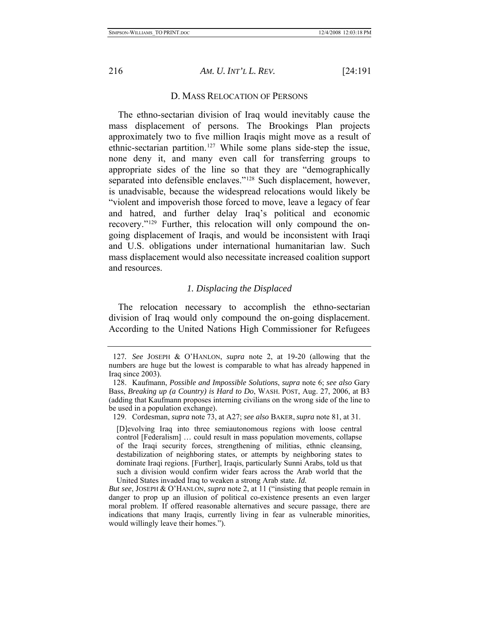<span id="page-26-0"></span>

## D. MASS RELOCATION OF PERSONS

The ethno-sectarian division of Iraq would inevitably cause the mass displacement of persons. The Brookings Plan projects approximately two to five million Iraqis might move as a result of ethnic-sectarian partition.<sup>[127](#page-26-1)</sup> While some plans side-step the issue, none deny it, and many even call for transferring groups to appropriate sides of the line so that they are "demographically separated into defensible enclaves."<sup>[128](#page-26-2)</sup> Such displacement, however, is unadvisable, because the widespread relocations would likely be "violent and impoverish those forced to move, leave a legacy of fear and hatred, and further delay Iraq's political and economic recovery."[129](#page-26-3) Further, this relocation will only compound the ongoing displacement of Iraqis, and would be inconsistent with Iraqi and U.S. obligations under international humanitarian law. Such mass displacement would also necessitate increased coalition support and resources.

#### *1. Displacing the Displaced*

The relocation necessary to accomplish the ethno-sectarian division of Iraq would only compound the on-going displacement. According to the United Nations High Commissioner for Refugees

<span id="page-26-1"></span><sup>127</sup>*. See* JOSEPH & O'HANLON, *supra* note 2, at 19-20 (allowing that the numbers are huge but the lowest is comparable to what has already happened in Iraq since 2003).

<span id="page-26-2"></span> <sup>128.</sup> Kaufmann, *Possible and Impossible Solutions*, *supra* note 6; *see also* Gary Bass, *Breaking up (a Country) is Hard to Do*, WASH. POST, Aug. 27, 2006, at B3 (adding that Kaufmann proposes interning civilians on the wrong side of the line to be used in a population exchange).

<span id="page-26-3"></span> <sup>129.</sup> Cordesman, *supra* note 73, at A27; *see also* BAKER, *supra* note 81, at 31.

<sup>[</sup>D]evolving Iraq into three semiautonomous regions with loose central control [Federalism] … could result in mass population movements, collapse of the Iraqi security forces, strengthening of militias, ethnic cleansing, destabilization of neighboring states, or attempts by neighboring states to dominate Iraqi regions. [Further], Iraqis, particularly Sunni Arabs, told us that such a division would confirm wider fears across the Arab world that the United States invaded Iraq to weaken a strong Arab state. *Id.* 

*But see*, JOSEPH & O'HANLON, *supra* note 2, at 11 ("insisting that people remain in danger to prop up an illusion of political co-existence presents an even larger moral problem. If offered reasonable alternatives and secure passage, there are indications that many Iraqis, currently living in fear as vulnerable minorities, would willingly leave their homes.").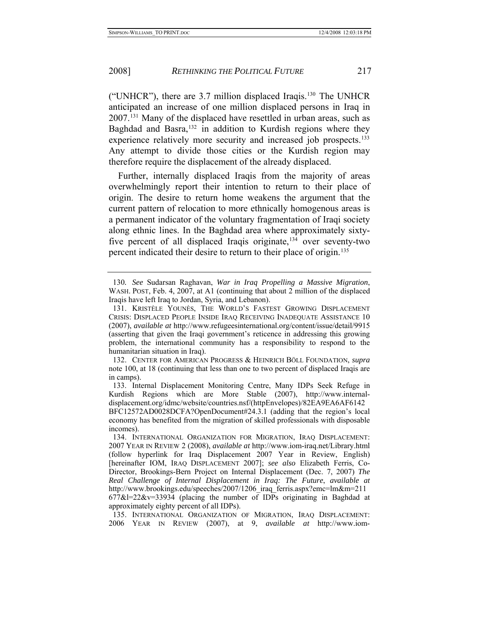("UNHCR"), there are 3.7 million displaced Iraqis.[130](#page-27-0) The UNHCR anticipated an increase of one million displaced persons in Iraq in 2007[.131](#page-27-1) Many of the displaced have resettled in urban areas, such as Baghdad and Basra, $132$  in addition to Kurdish regions where they experience relatively more security and increased job prospects.<sup>[133](#page-27-3)</sup> Any attempt to divide those cities or the Kurdish region may therefore require the displacement of the already displaced.

Further, internally displaced Iraqis from the majority of areas overwhelmingly report their intention to return to their place of origin. The desire to return home weakens the argument that the current pattern of relocation to more ethnically homogenous areas is a permanent indicator of the voluntary fragmentation of Iraqi society along ethnic lines. In the Baghdad area where approximately sixty-five percent of all displaced Iraqis originate,<sup>[134](#page-27-4)</sup> over seventy-two percent indicated their desire to return to their place of origin.[135](#page-27-5)

<span id="page-27-0"></span><sup>130</sup>*. See* Sudarsan Raghavan, *War in Iraq Propelling a Massive Migration*, WASH. POST, Feb. 4, 2007, at A1 (continuing that about 2 million of the displaced Iraqis have left Iraq to Jordan, Syria, and Lebanon).

<span id="page-27-1"></span> <sup>131.</sup> KRISTÈLE YOUNÈS, THE WORLD'S FASTEST GROWING DISPLACEMENT CRISIS: DISPLACED PEOPLE INSIDE IRAQ RECEIVING INADEQUATE ASSISTANCE 10 (2007), *available at* http://www.refugeesinternational.org/content/issue/detail/9915 (asserting that given the Iraqi government's reticence in addressing this growing problem, the international community has a responsibility to respond to the humanitarian situation in Iraq).

<span id="page-27-2"></span> <sup>132.</sup> CENTER FOR AMERICAN PROGRESS & HEINRICH BÖLL FOUNDATION, *supra* note 100, at 18 (continuing that less than one to two percent of displaced Iraqis are in camps).

<span id="page-27-3"></span> <sup>133.</sup> Internal Displacement Monitoring Centre, Many IDPs Seek Refuge in Kurdish Regions which are More Stable (2007), http://www.internaldisplacement.org/idmc/website/countries.nsf/(httpEnvelopes)/82EA9EA6AF6142 BFC12572AD0028DCFA?OpenDocument#24.3.1 (adding that the region's local economy has benefited from the migration of skilled professionals with disposable

incomes).

<span id="page-27-4"></span> <sup>134.</sup> INTERNATIONAL ORGANIZATION FOR MIGRATION, IRAQ DISPLACEMENT: 2007 YEAR IN REVIEW 2 (2008), *available at* http://www.iom-iraq.net/Library.html (follow hyperlink for Iraq Displacement 2007 Year in Review, English) [hereinafter IOM, IRAQ DISPLACEMENT 2007]; *see also* Elizabeth Ferris, Co-Director, Brookings-Bern Project on Internal Displacement (Dec. 7, 2007) *The Real Challenge of Internal Displacement in Iraq: The Future*, *available at* http://www.brookings.edu/speeches/2007/1206\_iraq\_ferris.aspx?emc=lm&m=211  $677&1=22&v=33934$  (placing the number of IDPs originating in Baghdad at approximately eighty percent of all IDPs).

<span id="page-27-5"></span> <sup>135.</sup> INTERNATIONAL ORGANIZATION OF MIGRATION, IRAQ DISPLACEMENT: 2006 YEAR IN REVIEW (2007), at 9, *available at* http://www.iom-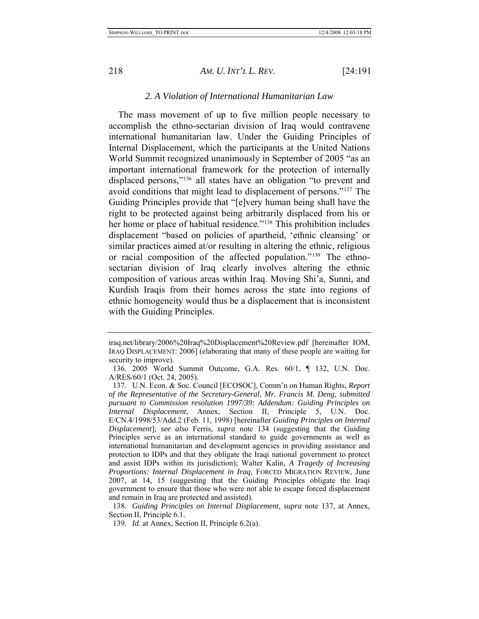<span id="page-28-0"></span>

## *2. A Violation of International Humanitarian Law*

The mass movement of up to five million people necessary to accomplish the ethno-sectarian division of Iraq would contravene international humanitarian law. Under the Guiding Principles of Internal Displacement, which the participants at the United Nations World Summit recognized unanimously in September of 2005 "as an important international framework for the protection of internally displaced persons,"<sup>[136](#page-28-1)</sup> all states have an obligation "to prevent and avoid conditions that might lead to displacement of persons."[137](#page-28-2) The Guiding Principles provide that "[e]very human being shall have the right to be protected against being arbitrarily displaced from his or her home or place of habitual residence."<sup>[138](#page-28-3)</sup> This prohibition includes displacement "based on policies of apartheid, 'ethnic cleansing' or similar practices aimed at/or resulting in altering the ethnic, religious or racial composition of the affected population."[139](#page-28-4) The ethnosectarian division of Iraq clearly involves altering the ethnic composition of various areas within Iraq. Moving Shi'a, Sunni, and Kurdish Iraqis from their homes across the state into regions of ethnic homogeneity would thus be a displacement that is inconsistent with the Guiding Principles.

iraq.net/library/2006%20Iraq%20Displacement%20Review.pdf [hereinafter IOM, IRAQ DISPLACEMENT: 2006] (elaborating that many of these people are waiting for security to improve).

<span id="page-28-1"></span> <sup>136. 2005</sup> World Summit Outcome, G.A. Res. 60/1, ¶ 132, U.N. Doc. A/RES/60/1 (Oct. 24, 2005).

<span id="page-28-2"></span> <sup>137.</sup> U.N. Econ. & Soc. Council [ECOSOC], Comm'n on Human Rights, *Report of the Representative of the Secretary-General, Mr. Francis M. Deng, submitted pursuant to Commission resolution 1997/39: Addendum: Guiding Principles on Internal Displacement*, Annex, Section II, Principle 5, U.N. Doc. E/CN.4/1998/53/Add.2 (Feb. 11, 1998) [hereinafter *Guiding Principles on Internal Displacement*]; *see also* Ferris, *supra* note 134 (suggesting that the Guiding Principles serve as an international standard to guide governments as well as international humanitarian and development agencies in providing assistance and protection to IDPs and that they obligate the Iraqi national government to protect and assist IDPs within its jurisdiction); Walter Kalin, *A Tragedy of Increasing Proportions: Internal Displacement in Iraq*, FORCED MIGRATION REVIEW, June 2007, at 14, 15 (suggesting that the Guiding Principles obligate the Iraqi government to ensure that those who were not able to escape forced displacement and remain in Iraq are protected and assisted).

<span id="page-28-4"></span><span id="page-28-3"></span><sup>138</sup>*. Guiding Principles on Internal Displacement*, *supra* note 137, at Annex, Section II, Principle 6.1.

<sup>139</sup>*. Id.* at Annex, Section II, Principle 6.2(a).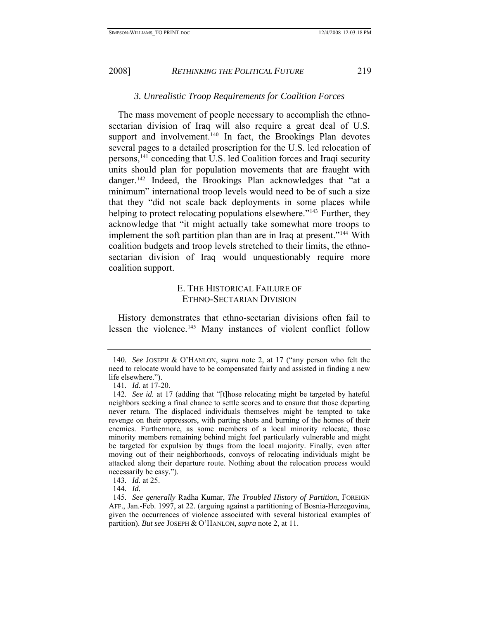## *3. Unrealistic Troop Requirements for Coalition Forces*

<span id="page-29-0"></span>The mass movement of people necessary to accomplish the ethnosectarian division of Iraq will also require a great deal of U.S. support and involvement.<sup>[140](#page-29-1)</sup> In fact, the Brookings Plan devotes several pages to a detailed proscription for the U.S. led relocation of persons,[141](#page-29-2) conceding that U.S. led Coalition forces and Iraqi security units should plan for population movements that are fraught with danger.<sup>[142](#page-29-3)</sup> Indeed, the Brookings Plan acknowledges that "at a minimum" international troop levels would need to be of such a size that they "did not scale back deployments in some places while helping to protect relocating populations elsewhere."<sup>[143](#page-29-4)</sup> Further, they acknowledge that "it might actually take somewhat more troops to implement the soft partition plan than are in Iraq at present."[144](#page-29-5) With coalition budgets and troop levels stretched to their limits, the ethnosectarian division of Iraq would unquestionably require more coalition support.

## E. THE HISTORICAL FAILURE OF ETHNO-SECTARIAN DIVISION

History demonstrates that ethno-sectarian divisions often fail to lessen the violence.[145](#page-29-6) Many instances of violent conflict follow

<span id="page-29-1"></span><sup>140</sup>*. See* JOSEPH & O'HANLON, *supra* note 2, at 17 ("any person who felt the need to relocate would have to be compensated fairly and assisted in finding a new life elsewhere.").

<sup>141</sup>*. Id.* at 17-20.

<span id="page-29-3"></span><span id="page-29-2"></span><sup>142</sup>*. See id.* at 17 (adding that "[t]hose relocating might be targeted by hateful neighbors seeking a final chance to settle scores and to ensure that those departing never return. The displaced individuals themselves might be tempted to take revenge on their oppressors, with parting shots and burning of the homes of their enemies. Furthermore, as some members of a local minority relocate, those minority members remaining behind might feel particularly vulnerable and might be targeted for expulsion by thugs from the local majority. Finally, even after moving out of their neighborhoods, convoys of relocating individuals might be attacked along their departure route. Nothing about the relocation process would necessarily be easy.").

<sup>143</sup>*. Id.* at 25.

<sup>144</sup>*. Id.*

<span id="page-29-6"></span><span id="page-29-5"></span><span id="page-29-4"></span><sup>145</sup>*. See generally* Radha Kumar, *The Troubled History of Partition*, FOREIGN AFF., Jan.-Feb. 1997, at 22. (arguing against a partitioning of Bosnia-Herzegovina, given the occurrences of violence associated with several historical examples of partition). *But see* JOSEPH & O'HANLON, *supra* note 2, at 11.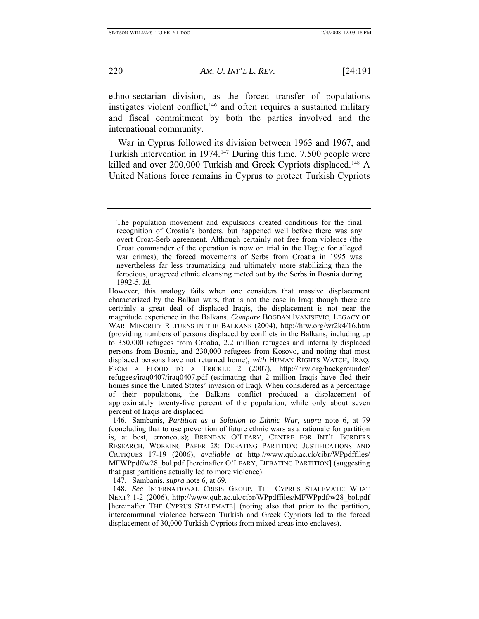ethno-sectarian division, as the forced transfer of populations instigates violent conflict,<sup>[146](#page-30-0)</sup> and often requires a sustained military and fiscal commitment by both the parties involved and the international community.

War in Cyprus followed its division between 1963 and 1967, and Turkish intervention in 1974.[147](#page-30-1) During this time, 7,500 people were killed and over 200,000 Turkish and Greek Cypriots displaced.<sup>[148](#page-30-2)</sup> A United Nations force remains in Cyprus to protect Turkish Cypriots

147. Sambanis, *supra* note 6, at 69.

The population movement and expulsions created conditions for the final recognition of Croatia's borders, but happened well before there was any overt Croat-Serb agreement. Although certainly not free from violence (the Croat commander of the operation is now on trial in the Hague for alleged war crimes), the forced movements of Serbs from Croatia in 1995 was nevertheless far less traumatizing and ultimately more stabilizing than the ferocious, unagreed ethnic cleansing meted out by the Serbs in Bosnia during 1992-5. *Id.* 

However, this analogy fails when one considers that massive displacement characterized by the Balkan wars, that is not the case in Iraq: though there are certainly a great deal of displaced Iraqis, the displacement is not near the magnitude experience in the Balkans. *Compare* BOGDAN IVANISEVIC, LEGACY OF WAR: MINORITY RETURNS IN THE BALKANS (2004), http://hrw.org/wr2k4/16.htm (providing numbers of persons displaced by conflicts in the Balkans, including up to 350,000 refugees from Croatia, 2.2 million refugees and internally displaced persons from Bosnia, and 230,000 refugees from Kosovo, and noting that most displaced persons have not returned home), *with* HUMAN RIGHTS WATCH, IRAQ: FROM A FLOOD TO A TRICKLE 2 (2007), http://hrw.org/backgrounder/ refugees/iraq0407/iraq0407.pdf (estimating that 2 million Iraqis have fled their homes since the United States' invasion of Iraq). When considered as a percentage of their populations, the Balkans conflict produced a displacement of approximately twenty-five percent of the population, while only about seven percent of Iraqis are displaced.

<span id="page-30-0"></span> <sup>146.</sup> Sambanis, *Partition as a Solution to Ethnic War*, *supra* note 6, at 79 (concluding that to use prevention of future ethnic wars as a rationale for partition is, at best, erroneous); BRENDAN O'LEARY, CENTRE FOR INT'L BORDERS RESEARCH, WORKING PAPER 28: DEBATING PARTITION: JUSTIFICATIONS AND CRITIQUES 17-19 (2006), *available at* http://www.qub.ac.uk/cibr/WPpdffiles/ MFWPpdf/w28\_bol.pdf [hereinafter O'LEARY, DEBATING PARTITION] (suggesting that past partitions actually led to more violence).

<span id="page-30-2"></span><span id="page-30-1"></span><sup>148</sup>*. See* INTERNATIONAL CRISIS GROUP, THE CYPRUS STALEMATE: WHAT NEXT? 1-2 (2006), http://www.qub.ac.uk/cibr/WPpdffiles/MFWPpdf/w28\_bol.pdf [hereinafter THE CYPRUS STALEMATE] (noting also that prior to the partition, intercommunal violence between Turkish and Greek Cypriots led to the forced displacement of 30,000 Turkish Cypriots from mixed areas into enclaves).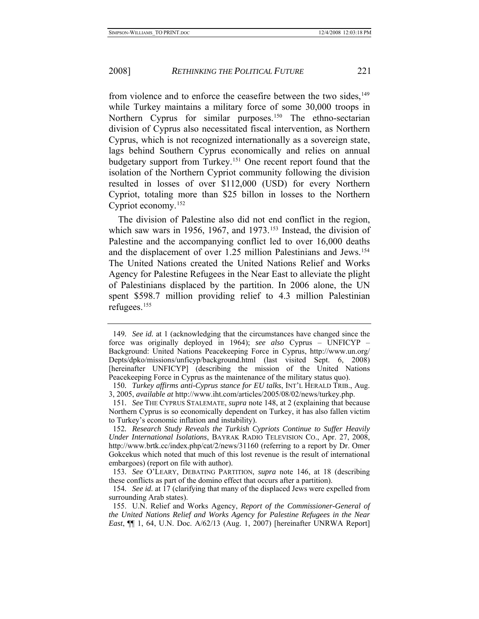from violence and to enforce the ceasefire between the two sides,<sup>[149](#page-31-0)</sup> while Turkey maintains a military force of some 30,000 troops in Northern Cyprus for similar purposes.<sup>[150](#page-31-1)</sup> The ethno-sectarian division of Cyprus also necessitated fiscal intervention, as Northern Cyprus, which is not recognized internationally as a sovereign state, lags behind Southern Cyprus economically and relies on annual budgetary support from Turkey[.151](#page-31-2) One recent report found that the isolation of the Northern Cypriot community following the division resulted in losses of over \$112,000 (USD) for every Northern Cypriot, totaling more than \$25 billon in losses to the Northern Cypriot economy.[152](#page-31-3)

The division of Palestine also did not end conflict in the region, which saw wars in 1956, 1967, and 1973.<sup>[153](#page-31-4)</sup> Instead, the division of Palestine and the accompanying conflict led to over 16,000 deaths and the displacement of over 1.25 million Palestinians and Jews.[154](#page-31-5) The United Nations created the United Nations Relief and Works Agency for Palestine Refugees in the Near East to alleviate the plight of Palestinians displaced by the partition. In 2006 alone, the UN spent \$598.7 million providing relief to 4.3 million Palestinian refugees.[155](#page-31-6)

<span id="page-31-0"></span><sup>149</sup>*. See id.* at 1 (acknowledging that the circumstances have changed since the force was originally deployed in 1964); *see also* Cyprus – UNFICYP – Background: United Nations Peacekeeping Force in Cyprus, http://www.un.org/ Depts/dpko/missions/unficyp/background.html (last visited Sept. 6, 2008) [hereinafter UNFICYP] (describing the mission of the United Nations Peacekeeping Force in Cyprus as the maintenance of the military status quo).

<span id="page-31-1"></span><sup>150</sup>*. Turkey affirms anti-Cyprus stance for EU talks*, INT'L HERALD TRIB., Aug. 3, 2005, *available at* http://www.iht.com/articles/2005/08/02/news/turkey.php.

<span id="page-31-2"></span><sup>151</sup>*. See* THE CYPRUS STALEMATE, *supra* note 148, at 2 (explaining that because Northern Cyprus is so economically dependent on Turkey, it has also fallen victim to Turkey's economic inflation and instability).

<span id="page-31-3"></span><sup>152</sup>*. Research Study Reveals the Turkish Cypriots Continue to Suffer Heavily Under International Isolations*, BAYRAK RADIO TELEVISION CO., Apr. 27, 2008, http://www.brtk.cc/index.php/cat/2/news/31160 (referring to a report by Dr. Omer Gokcekus which noted that much of this lost revenue is the result of international embargoes) (report on file with author).

<span id="page-31-4"></span><sup>153</sup>*. See* O'LEARY, DEBATING PARTITION, *supra* note 146, at 18 (describing these conflicts as part of the domino effect that occurs after a partition).

<span id="page-31-5"></span><sup>154</sup>*. See id.* at 17 (clarifying that many of the displaced Jews were expelled from surrounding Arab states).

<span id="page-31-6"></span> <sup>155.</sup> U.N. Relief and Works Agency, *Report of the Commissioner-General of the United Nations Relief and Works Agency for Palestine Refugees in the Near East*, ¶¶ 1, 64, U.N. Doc. A/62/13 (Aug. 1, 2007) [hereinafter UNRWA Report]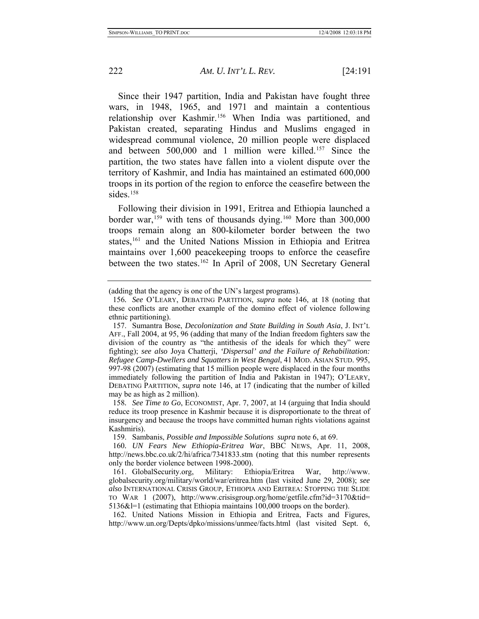Since their 1947 partition, India and Pakistan have fought three wars, in 1948, 1965, and 1971 and maintain a contentious relationship over Kashmir.<sup>[156](#page-32-0)</sup> When India was partitioned, and Pakistan created, separating Hindus and Muslims engaged in widespread communal violence, 20 million people were displaced and between 500,000 and 1 million were killed.[157](#page-32-1) Since the partition, the two states have fallen into a violent dispute over the territory of Kashmir, and India has maintained an estimated 600,000 troops in its portion of the region to enforce the ceasefire between the sides.<sup>158</sup>

Following their division in 1991, Eritrea and Ethiopia launched a border war,<sup>[159](#page-32-3)</sup> with tens of thousands dying.<sup>[160](#page-32-4)</sup> More than 300,000 troops remain along an 800-kilometer border between the two states,<sup>[161](#page-32-5)</sup> and the United Nations Mission in Ethiopia and Eritrea maintains over 1,600 peacekeeping troops to enforce the ceasefire between the two states.[162](#page-32-6) In April of 2008, UN Secretary General

<span id="page-32-2"></span>158*. See Time to Go*, ECONOMIST, Apr. 7, 2007, at 14 (arguing that India should reduce its troop presence in Kashmir because it is disproportionate to the threat of insurgency and because the troops have committed human rights violations against Kashmiris).

159. Sambanis, *Possible and Impossible Solutions supra* note 6, at 69.

<span id="page-32-4"></span><span id="page-32-3"></span>160*. UN Fears New Ethiopia-Eritrea War*, BBC NEWS, Apr. 11, 2008, http://news.bbc.co.uk/2/hi/africa/7341833.stm (noting that this number represents only the border violence between 1998-2000).

<span id="page-32-6"></span> 162. United Nations Mission in Ethiopia and Eritrea, Facts and Figures, http://www.un.org/Depts/dpko/missions/unmee/facts.html (last visited Sept. 6,

<span id="page-32-0"></span><sup>(</sup>adding that the agency is one of the UN's largest programs).

<sup>156</sup>*. See* O'LEARY, DEBATING PARTITION, *supra* note 146, at 18 (noting that these conflicts are another example of the domino effect of violence following ethnic partitioning).

<span id="page-32-1"></span> <sup>157.</sup> Sumantra Bose, *Decolonization and State Building in South Asia*, J. INT'L AFF., Fall 2004, at 95, 96 (adding that many of the Indian freedom fighters saw the division of the country as "the antithesis of the ideals for which they" were fighting); *see also* Joya Chatterji, *'Dispersal' and the Failure of Rehabilitation: Refugee Camp-Dwellers and Squatters in West Bengal*, 41 MOD. ASIAN STUD. 995, 997-98 (2007) (estimating that 15 million people were displaced in the four months immediately following the partition of India and Pakistan in 1947); O'LEARY, DEBATING PARTITION, *supra* note 146, at 17 (indicating that the number of killed may be as high as 2 million).

<span id="page-32-5"></span> <sup>161.</sup> GlobalSecurity.org, Military: Ethiopia/Eritrea War, http://www. globalsecurity.org/military/world/war/eritrea.htm (last visited June 29, 2008); *see also* INTERNATIONAL CRISIS GROUP, ETHIOPIA AND ERITREA: STOPPING THE SLIDE TO WAR 1 (2007), http://www.crisisgroup.org/home/getfile.cfm?id=3170&tid= 5136&l=1 (estimating that Ethiopia maintains 100,000 troops on the border).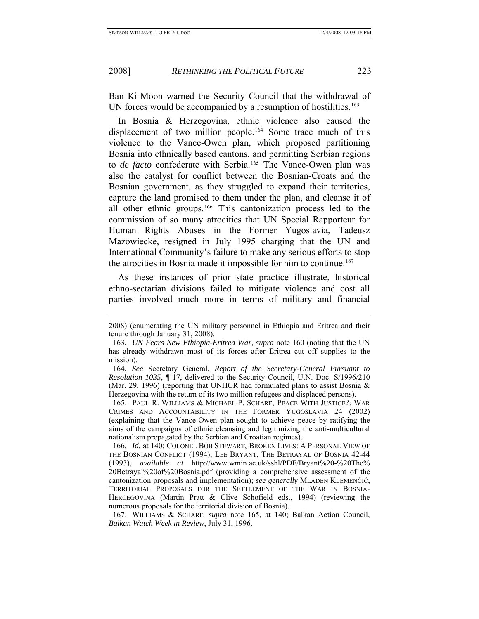Ban Ki-Moon warned the Security Council that the withdrawal of UN forces would be accompanied by a resumption of hostilities.<sup>[163](#page-33-0)</sup>

In Bosnia & Herzegovina, ethnic violence also caused the displacement of two million people.<sup>[164](#page-33-1)</sup> Some trace much of this violence to the Vance-Owen plan, which proposed partitioning Bosnia into ethnically based cantons, and permitting Serbian regions to *de facto* confederate with Serbia.<sup>165</sup> The Vance-Owen plan was also the catalyst for conflict between the Bosnian-Croats and the Bosnian government, as they struggled to expand their territories, capture the land promised to them under the plan, and cleanse it of all other ethnic groups.[166](#page-33-3) This cantonization process led to the commission of so many atrocities that UN Special Rapporteur for Human Rights Abuses in the Former Yugoslavia, Tadeusz Mazowiecke, resigned in July 1995 charging that the UN and International Community's failure to make any serious efforts to stop the atrocities in Bosnia made it impossible for him to continue.<sup>[167](#page-33-4)</sup>

As these instances of prior state practice illustrate, historical ethno-sectarian divisions failed to mitigate violence and cost all parties involved much more in terms of military and financial

<sup>2008) (</sup>enumerating the UN military personnel in Ethiopia and Eritrea and their tenure through January 31, 2008).

<span id="page-33-0"></span><sup>163</sup>*. UN Fears New Ethiopia-Eritrea War*, *supra* note 160 (noting that the UN has already withdrawn most of its forces after Eritrea cut off supplies to the mission).

<span id="page-33-1"></span><sup>164</sup>*. See* Secretary General, *Report of the Secretary-General Pursuant to Resolution 1035*, ¶ 17, delivered to the Security Council, U.N. Doc. S/1996/210 (Mar. 29, 1996) (reporting that UNHCR had formulated plans to assist Bosnia  $\&$ Herzegovina with the return of its two million refugees and displaced persons).

<span id="page-33-2"></span> <sup>165.</sup> PAUL R. WILLIAMS & MICHAEL P. SCHARF, PEACE WITH JUSTICE?: WAR CRIMES AND ACCOUNTABILITY IN THE FORMER YUGOSLAVIA 24 (2002) (explaining that the Vance-Owen plan sought to achieve peace by ratifying the aims of the campaigns of ethnic cleansing and legitimizing the anti-multicultural nationalism propagated by the Serbian and Croatian regimes).

<span id="page-33-3"></span><sup>166</sup>*. Id.* at 140; COLONEL BOB STEWART, BROKEN LIVES: A PERSONAL VIEW OF THE BOSNIAN CONFLICT (1994); LEE BRYANT, THE BETRAYAL OF BOSNIA 42-44 (1993), *available at* http://www.wmin.ac.uk/sshl/PDF/Bryant%20-%20The% 20Betrayal%20of%20Bosnia.pdf (providing a comprehensive assessment of the cantonization proposals and implementation); *see generally* MLADEN KLEMENČIĆ, TERRITORIAL PROPOSALS FOR THE SETTLEMENT OF THE WAR IN BOSNIA-HERCEGOVINA (Martin Pratt & Clive Schofield eds., 1994) (reviewing the numerous proposals for the territorial division of Bosnia).

<span id="page-33-4"></span> <sup>167.</sup> WILLIAMS & SCHARF, *supra* note 165, at 140; Balkan Action Council, *Balkan Watch Week in Review*, July 31, 1996.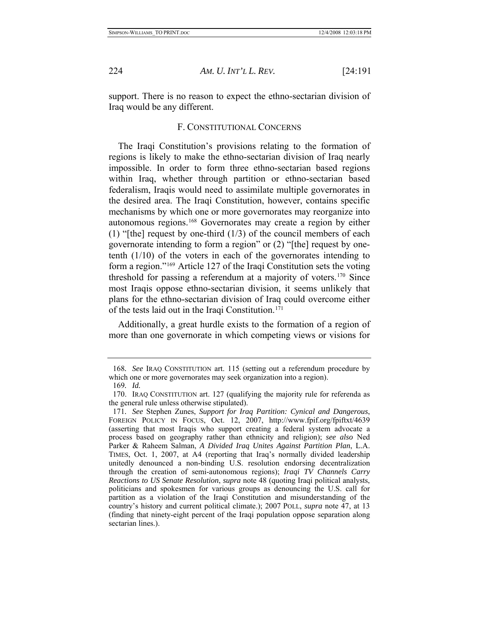<span id="page-34-0"></span>

support. There is no reason to expect the ethno-sectarian division of Iraq would be any different.

## F. CONSTITUTIONAL CONCERNS

The Iraqi Constitution's provisions relating to the formation of regions is likely to make the ethno-sectarian division of Iraq nearly impossible. In order to form three ethno-sectarian based regions within Iraq, whether through partition or ethno-sectarian based federalism, Iraqis would need to assimilate multiple governorates in the desired area. The Iraqi Constitution, however, contains specific mechanisms by which one or more governorates may reorganize into autonomous regions.[168](#page-34-1) Governorates may create a region by either (1) "[the] request by one-third  $(1/3)$  of the council members of each governorate intending to form a region" or (2) "[the] request by onetenth (1/10) of the voters in each of the governorates intending to form a region."[169](#page-34-2) Article 127 of the Iraqi Constitution sets the voting threshold for passing a referendum at a majority of voters.[170](#page-34-3) Since most Iraqis oppose ethno-sectarian division, it seems unlikely that plans for the ethno-sectarian division of Iraq could overcome either of the tests laid out in the Iraqi Constitution.[171](#page-34-4)

Additionally, a great hurdle exists to the formation of a region of more than one governorate in which competing views or visions for

<span id="page-34-1"></span><sup>168</sup>*. See* IRAQ CONSTITUTION art. 115 (setting out a referendum procedure by which one or more governorates may seek organization into a region).

<sup>169</sup>*. Id.*

<span id="page-34-3"></span><span id="page-34-2"></span> <sup>170.</sup> IRAQ CONSTITUTION art. 127 (qualifying the majority rule for referenda as the general rule unless otherwise stipulated).

<span id="page-34-4"></span><sup>171</sup>*. See* Stephen Zunes, *Support for Iraq Partition: Cynical and Dangerous*, FOREIGN POLICY IN FOCUS, Oct. 12, 2007, http://www.fpif.org/fpiftxt/4639 (asserting that most Iraqis who support creating a federal system advocate a process based on geography rather than ethnicity and religion); *see also* Ned Parker & Raheem Salman, *A Divided Iraq Unites Against Partition Plan*, L.A. TIMES, Oct. 1, 2007, at A4 (reporting that Iraq's normally divided leadership unitedly denounced a non-binding U.S. resolution endorsing decentralization through the creation of semi-autonomous regions); *Iraqi TV Channels Carry Reactions to US Senate Resolution*, *supra* note 48 (quoting Iraqi political analysts, politicians and spokesmen for various groups as denouncing the U.S. call for partition as a violation of the Iraqi Constitution and misunderstanding of the country's history and current political climate.); 2007 POLL, *supra* note 47, at 13 (finding that ninety-eight percent of the Iraqi population oppose separation along sectarian lines.).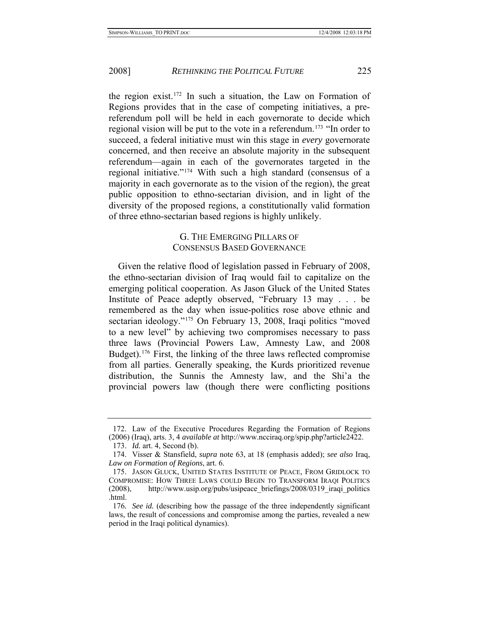<span id="page-35-0"></span>the region exist.[172](#page-35-1) In such a situation, the Law on Formation of Regions provides that in the case of competing initiatives, a prereferendum poll will be held in each governorate to decide which regional vision will be put to the vote in a referendum.<sup>[173](#page-35-2)</sup> "In order to succeed, a federal initiative must win this stage in *every* governorate concerned, and then receive an absolute majority in the subsequent referendum—again in each of the governorates targeted in the regional initiative."[174](#page-35-3) With such a high standard (consensus of a majority in each governorate as to the vision of the region), the great public opposition to ethno-sectarian division, and in light of the diversity of the proposed regions, a constitutionally valid formation of three ethno-sectarian based regions is highly unlikely.

## G. THE EMERGING PILLARS OF CONSENSUS BASED GOVERNANCE

Given the relative flood of legislation passed in February of 2008, the ethno-sectarian division of Iraq would fail to capitalize on the emerging political cooperation. As Jason Gluck of the United States Institute of Peace adeptly observed, "February 13 may . . . be remembered as the day when issue-politics rose above ethnic and sectarian ideology."[175](#page-35-4) On February 13, 2008, Iraqi politics "moved to a new level" by achieving two compromises necessary to pass three laws (Provincial Powers Law, Amnesty Law, and 2008 Budget).[176](#page-35-5) First, the linking of the three laws reflected compromise from all parties. Generally speaking, the Kurds prioritized revenue distribution, the Sunnis the Amnesty law, and the Shi'a the provincial powers law (though there were conflicting positions

<span id="page-35-1"></span> <sup>172.</sup> Law of the Executive Procedures Regarding the Formation of Regions (2006) (Iraq), arts. 3, 4 *available at* http://www.ncciraq.org/spip.php?article2422.

 <sup>173.</sup> *Id.* art. 4, Second (b).

<span id="page-35-3"></span><span id="page-35-2"></span> <sup>174.</sup> Visser & Stansfield, *supra* note 63, at 18 (emphasis added); *see also* Iraq, *Law on Formation of Regions*, art. 6.

<span id="page-35-4"></span> <sup>175.</sup> JASON GLUCK, UNITED STATES INSTITUTE OF PEACE, FROM GRIDLOCK TO COMPROMISE: HOW THREE LAWS COULD BEGIN TO TRANSFORM IRAQI POLITICS  $(2008)$ , http://www.usip.org/pubs/usipeace\_briefings/2008/0319\_iraqi\_politics .html.

<span id="page-35-5"></span><sup>176</sup>*. See id.* (describing how the passage of the three independently significant laws, the result of concessions and compromise among the parties, revealed a new period in the Iraqi political dynamics).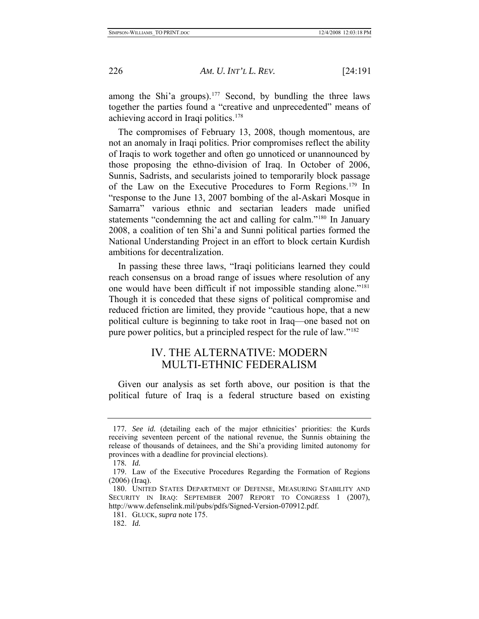<span id="page-36-0"></span>among the Shi'a groups).<sup>[177](#page-36-1)</sup> Second, by bundling the three laws together the parties found a "creative and unprecedented" means of achieving accord in Iraqi politics.<sup>178</sup>

The compromises of February 13, 2008, though momentous, are not an anomaly in Iraqi politics. Prior compromises reflect the ability of Iraqis to work together and often go unnoticed or unannounced by those proposing the ethno-division of Iraq. In October of 2006, Sunnis, Sadrists, and secularists joined to temporarily block passage of the Law on the Executive Procedures to Form Regions.[179](#page-36-3) In "response to the June 13, 2007 bombing of the al-Askari Mosque in Samarra" various ethnic and sectarian leaders made unified statements "condemning the act and calling for calm."[180](#page-36-4) In January 2008, a coalition of ten Shi'a and Sunni political parties formed the National Understanding Project in an effort to block certain Kurdish ambitions for decentralization.

In passing these three laws, "Iraqi politicians learned they could reach consensus on a broad range of issues where resolution of any one would have been difficult if not impossible standing alone."[181](#page-36-5) Though it is conceded that these signs of political compromise and reduced friction are limited, they provide "cautious hope, that a new political culture is beginning to take root in Iraq—one based not on pure power politics, but a principled respect for the rule of law."[182](#page-36-6)

## IV. THE ALTERNATIVE: MODERN MULTI-ETHNIC FEDERALISM

Given our analysis as set forth above, our position is that the political future of Iraq is a federal structure based on existing

<span id="page-36-1"></span><sup>177</sup>*. See id.* (detailing each of the major ethnicities' priorities: the Kurds receiving seventeen percent of the national revenue, the Sunnis obtaining the release of thousands of detainees, and the Shi'a providing limited autonomy for provinces with a deadline for provincial elections).

<sup>178</sup>*. Id.*

<span id="page-36-3"></span><span id="page-36-2"></span> <sup>179.</sup> Law of the Executive Procedures Regarding the Formation of Regions (2006) (Iraq).

<span id="page-36-5"></span><span id="page-36-4"></span> <sup>180.</sup> UNITED STATES DEPARTMENT OF DEFENSE, MEASURING STABILITY AND SECURITY IN IRAQ: SEPTEMBER 2007 REPORT TO CONGRESS 1 (2007), http://www.defenselink.mil/pubs/pdfs/Signed-Version-070912.pdf.

 <sup>181.</sup> GLUCK, *supra* note 175.

<span id="page-36-6"></span> <sup>182.</sup> *Id.*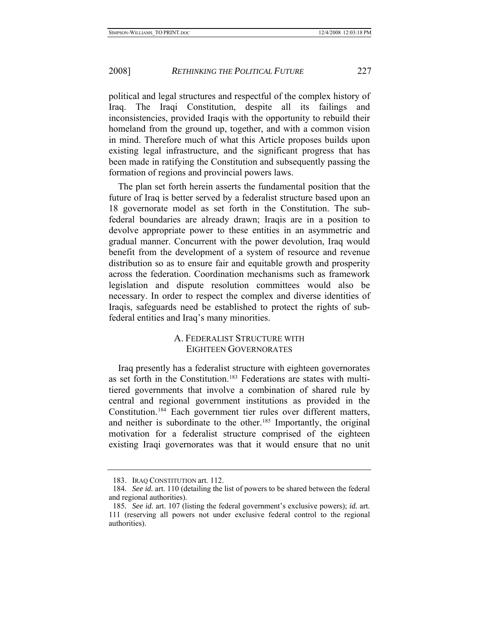<span id="page-37-0"></span>political and legal structures and respectful of the complex history of Iraq. The Iraqi Constitution, despite all its failings and inconsistencies, provided Iraqis with the opportunity to rebuild their homeland from the ground up, together, and with a common vision in mind. Therefore much of what this Article proposes builds upon existing legal infrastructure, and the significant progress that has been made in ratifying the Constitution and subsequently passing the formation of regions and provincial powers laws.

The plan set forth herein asserts the fundamental position that the future of Iraq is better served by a federalist structure based upon an 18 governorate model as set forth in the Constitution. The subfederal boundaries are already drawn; Iraqis are in a position to devolve appropriate power to these entities in an asymmetric and gradual manner. Concurrent with the power devolution, Iraq would benefit from the development of a system of resource and revenue distribution so as to ensure fair and equitable growth and prosperity across the federation. Coordination mechanisms such as framework legislation and dispute resolution committees would also be necessary. In order to respect the complex and diverse identities of Iraqis, safeguards need be established to protect the rights of subfederal entities and Iraq's many minorities.

## A. FEDERALIST STRUCTURE WITH EIGHTEEN GOVERNORATES

Iraq presently has a federalist structure with eighteen governorates as set forth in the Constitution.<sup>[183](#page-37-1)</sup> Federations are states with multitiered governments that involve a combination of shared rule by central and regional government institutions as provided in the Constitution.[184](#page-37-2) Each government tier rules over different matters, and neither is subordinate to the other.<sup>[185](#page-37-3)</sup> Importantly, the original motivation for a federalist structure comprised of the eighteen existing Iraqi governorates was that it would ensure that no unit

 <sup>183.</sup> IRAQ CONSTITUTION art. 112.

<span id="page-37-2"></span><span id="page-37-1"></span><sup>184</sup>*. See id.* art. 110 (detailing the list of powers to be shared between the federal and regional authorities).

<span id="page-37-3"></span><sup>185</sup>*. See id.* art. 107 (listing the federal government's exclusive powers); *id.* art. 111 (reserving all powers not under exclusive federal control to the regional authorities).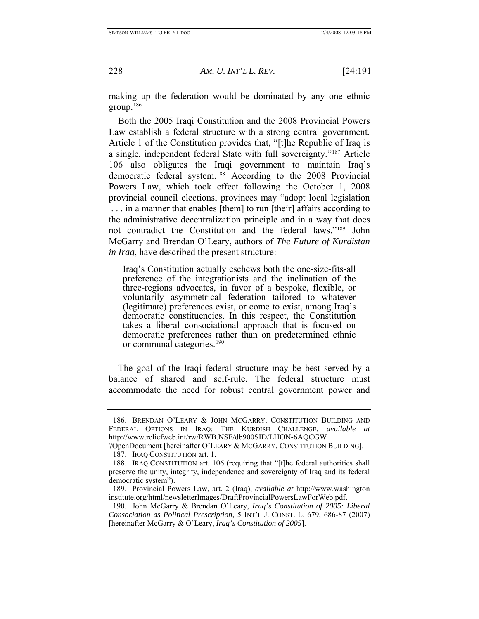making up the federation would be dominated by any one ethnic group.[186](#page-38-0)

Both the 2005 Iraqi Constitution and the 2008 Provincial Powers Law establish a federal structure with a strong central government. Article 1 of the Constitution provides that, "[t]he Republic of Iraq is a single, independent federal State with full sovereignty."[187](#page-38-1) Article 106 also obligates the Iraqi government to maintain Iraq's democratic federal system.[188](#page-38-2) According to the 2008 Provincial Powers Law, which took effect following the October 1, 2008 provincial council elections, provinces may "adopt local legislation . . . in a manner that enables [them] to run [their] affairs according to the administrative decentralization principle and in a way that does not contradict the Constitution and the federal laws."[189](#page-38-3) John McGarry and Brendan O'Leary, authors of *The Future of Kurdistan in Iraq*, have described the present structure:

Iraq's Constitution actually eschews both the one-size-fits-all preference of the integrationists and the inclination of the three-regions advocates, in favor of a bespoke, flexible, or voluntarily asymmetrical federation tailored to whatever (legitimate) preferences exist, or come to exist, among Iraq's democratic constituencies. In this respect, the Constitution takes a liberal consociational approach that is focused on democratic preferences rather than on predetermined ethnic or communal categories.<sup>[190](#page-38-4)</sup>

The goal of the Iraqi federal structure may be best served by a balance of shared and self-rule. The federal structure must accommodate the need for robust central government power and

<span id="page-38-0"></span> <sup>186.</sup> BRENDAN O'LEARY & JOHN MCGARRY, CONSTITUTION BUILDING AND FEDERAL OPTIONS IN IRAQ: THE KURDISH CHALLENGE, *available at* http://www.reliefweb.int/rw/RWB.NSF/db900SID/LHON-6AQCGW

<span id="page-38-1"></span><sup>?</sup>OpenDocument [hereinafter O'LEARY & MCGARRY, CONSTITUTION BUILDING].

 <sup>187.</sup> IRAQ CONSTITUTION art. 1.

<span id="page-38-2"></span> <sup>188.</sup> IRAQ CONSTITUTION art. 106 (requiring that "[t]he federal authorities shall preserve the unity, integrity, independence and sovereignty of Iraq and its federal democratic system").

<span id="page-38-3"></span> <sup>189.</sup> Provincial Powers Law, art. 2 (Iraq), *available at* http://www.washington institute.org/html/newsletterImages/DraftProvincialPowersLawForWeb.pdf.

<span id="page-38-4"></span> <sup>190.</sup> John McGarry & Brendan O'Leary, *Iraq's Constitution of 2005: Liberal Consociation as Political Prescription*, 5 INT'L J. CONST. L. 679, 686-87 (2007) [hereinafter McGarry & O'Leary, *Iraq's Constitution of 2005*].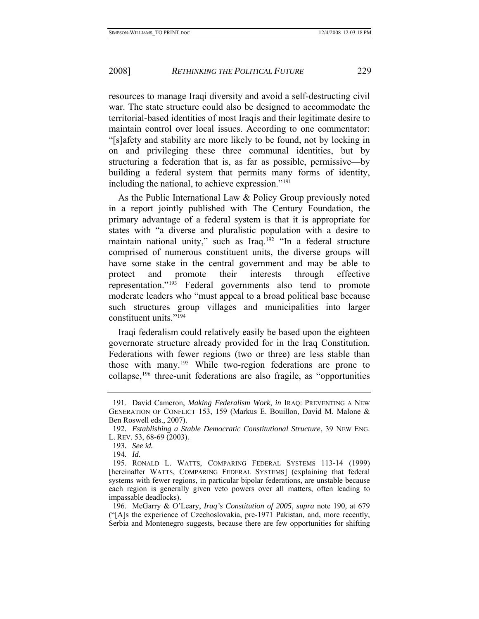resources to manage Iraqi diversity and avoid a self-destructing civil war. The state structure could also be designed to accommodate the territorial-based identities of most Iraqis and their legitimate desire to maintain control over local issues. According to one commentator: "[s]afety and stability are more likely to be found, not by locking in on and privileging these three communal identities, but by structuring a federation that is, as far as possible, permissive—by building a federal system that permits many forms of identity, including the national, to achieve expression."[191](#page-39-0)

As the Public International Law & Policy Group previously noted in a report jointly published with The Century Foundation, the primary advantage of a federal system is that it is appropriate for states with "a diverse and pluralistic population with a desire to maintain national unity," such as Iraq.<sup>[192](#page-39-1)</sup> "In a federal structure comprised of numerous constituent units, the diverse groups will have some stake in the central government and may be able to protect and promote their interests through effective representation."[193](#page-39-2) Federal governments also tend to promote moderate leaders who "must appeal to a broad political base because such structures group villages and municipalities into larger constituent units."[194](#page-39-3)

Iraqi federalism could relatively easily be based upon the eighteen governorate structure already provided for in the Iraq Constitution. Federations with fewer regions (two or three) are less stable than those with many.[195](#page-39-4) While two-region federations are prone to collapse,[196](#page-39-5) three-unit federations are also fragile, as "opportunities

<span id="page-39-0"></span> <sup>191.</sup> David Cameron, *Making Federalism Work*, *in* IRAQ: PREVENTING A NEW GENERATION OF CONFLICT 153, 159 (Markus E. Bouillon, David M. Malone & Ben Roswell eds., 2007).

<span id="page-39-2"></span><span id="page-39-1"></span><sup>192</sup>*. Establishing a Stable Democratic Constitutional Structure*, 39 NEW ENG. L. REV. 53, 68-69 (2003).

<sup>193</sup>*. See id.*

<sup>194</sup>*. Id.*

<span id="page-39-4"></span><span id="page-39-3"></span> <sup>195.</sup> RONALD L. WATTS, COMPARING FEDERAL SYSTEMS 113-14 (1999) [hereinafter WATTS, COMPARING FEDERAL SYSTEMS] (explaining that federal systems with fewer regions, in particular bipolar federations, are unstable because each region is generally given veto powers over all matters, often leading to impassable deadlocks).

<span id="page-39-5"></span> <sup>196.</sup> McGarry & O'Leary, *Iraq's Constitution of 2005*, *supra* note 190, at 679 ("[A]s the experience of Czechoslovakia, pre-1971 Pakistan, and, more recently, Serbia and Montenegro suggests, because there are few opportunities for shifting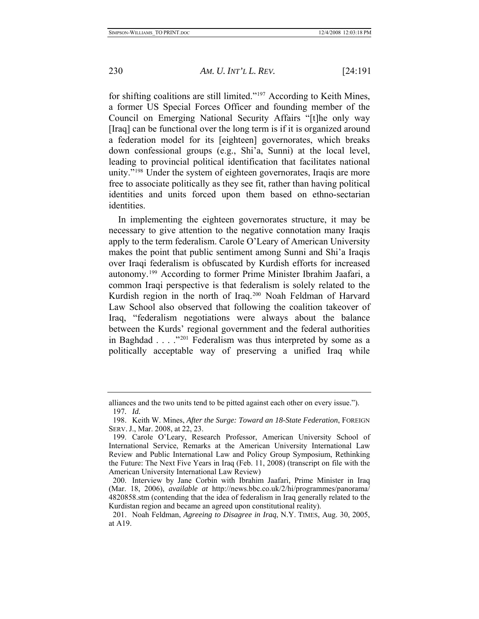for shifting coalitions are still limited."[197](#page-40-0) According to Keith Mines, a former US Special Forces Officer and founding member of the Council on Emerging National Security Affairs "[t]he only way [Iraq] can be functional over the long term is if it is organized around a federation model for its [eighteen] governorates, which breaks down confessional groups (e.g., Shi'a, Sunni) at the local level, leading to provincial political identification that facilitates national unity."<sup>198</sup> Under the system of eighteen governorates, Iraqis are more free to associate politically as they see fit, rather than having political identities and units forced upon them based on ethno-sectarian identities.

In implementing the eighteen governorates structure, it may be necessary to give attention to the negative connotation many Iraqis apply to the term federalism. Carole O'Leary of American University makes the point that public sentiment among Sunni and Shi'a Iraqis over Iraqi federalism is obfuscated by Kurdish efforts for increased autonomy.[199](#page-40-2) According to former Prime Minister Ibrahim Jaafari, a common Iraqi perspective is that federalism is solely related to the Kurdish region in the north of Iraq.<sup>[200](#page-40-3)</sup> Noah Feldman of Harvard Law School also observed that following the coalition takeover of Iraq, "federalism negotiations were always about the balance between the Kurds' regional government and the federal authorities in Baghdad . . . ."[201](#page-40-4) Federalism was thus interpreted by some as a politically acceptable way of preserving a unified Iraq while

alliances and the two units tend to be pitted against each other on every issue."). 197*. Id.*

<span id="page-40-1"></span><span id="page-40-0"></span> <sup>198.</sup> Keith W. Mines, *After the Surge: Toward an 18-State Federation*, FOREIGN SERV. J., Mar. 2008, at 22, 23.

<span id="page-40-2"></span> <sup>199.</sup> Carole O'Leary, Research Professor, American University School of International Service, Remarks at the American University International Law Review and Public International Law and Policy Group Symposium, Rethinking the Future: The Next Five Years in Iraq (Feb. 11, 2008) (transcript on file with the American University International Law Review)

<span id="page-40-3"></span> <sup>200.</sup> Interview by Jane Corbin with Ibrahim Jaafari, Prime Minister in Iraq (Mar. 18, 2006), *available at* http://news.bbc.co.uk/2/hi/programmes/panorama/ 4820858.stm (contending that the idea of federalism in Iraq generally related to the Kurdistan region and became an agreed upon constitutional reality).

<span id="page-40-4"></span> <sup>201.</sup> Noah Feldman, *Agreeing to Disagree in Iraq*, N.Y. TIMES, Aug. 30, 2005, at A19.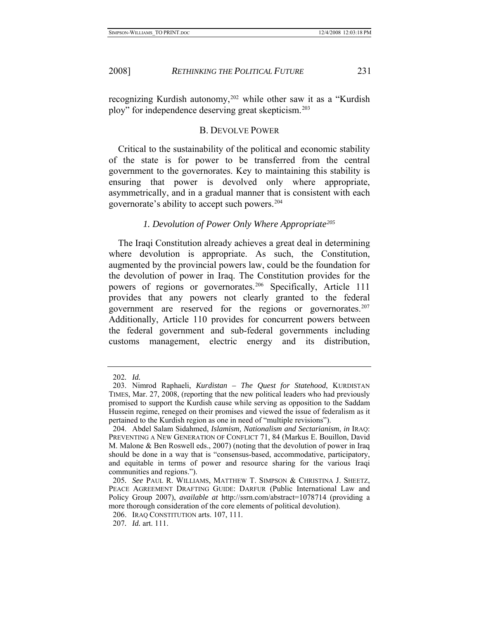<span id="page-41-0"></span>

recognizing Kurdish autonomy,<sup>[202](#page-41-1)</sup> while other saw it as a "Kurdish" ploy" for independence deserving great skepticism.[203](#page-41-2)

## B. DEVOLVE POWER

Critical to the sustainability of the political and economic stability of the state is for power to be transferred from the central government to the governorates. Key to maintaining this stability is ensuring that power is devolved only where appropriate, asymmetrically, and in a gradual manner that is consistent with each governorate's ability to accept such powers.[204](#page-41-3)

## *1. Devolution of Power Only Where Appropriate[205](#page-41-4)*

The Iraqi Constitution already achieves a great deal in determining where devolution is appropriate. As such, the Constitution, augmented by the provincial powers law, could be the foundation for the devolution of power in Iraq. The Constitution provides for the powers of regions or governorates.<sup>[206](#page-41-5)</sup> Specifically, Article 111 provides that any powers not clearly granted to the federal government are reserved for the regions or governorates.<sup>[207](#page-41-6)</sup> Additionally, Article 110 provides for concurrent powers between the federal government and sub-federal governments including customs management, electric energy and its distribution,

<sup>202</sup>*. Id.*

<span id="page-41-2"></span><span id="page-41-1"></span> <sup>203.</sup> Nimrod Raphaeli, *Kurdistan – The Quest for Statehood*, KURDISTAN TIMES, Mar. 27, 2008, (reporting that the new political leaders who had previously promised to support the Kurdish cause while serving as opposition to the Saddam Hussein regime, reneged on their promises and viewed the issue of federalism as it pertained to the Kurdish region as one in need of "multiple revisions").

<span id="page-41-3"></span> <sup>204.</sup> Abdel Salam Sidahmed, *Islamism, Nationalism and Sectarianism*, *in* IRAQ: PREVENTING A NEW GENERATION OF CONFLICT 71, 84 (Markus E. Bouillon, David M. Malone & Ben Roswell eds., 2007) (noting that the devolution of power in Iraq should be done in a way that is "consensus-based, accommodative, participatory, and equitable in terms of power and resource sharing for the various Iraqi communities and regions.").

<span id="page-41-4"></span><sup>205</sup>*. See* PAUL R. WILLIAMS, MATTHEW T. SIMPSON & CHRISTINA J. SHEETZ, PEACE AGREEMENT DRAFTING GUIDE: DARFUR (Public International Law and Policy Group 2007), *available at* http://ssrn.com/abstract=1078714 (providing a more thorough consideration of the core elements of political devolution).

<span id="page-41-5"></span> <sup>206.</sup> IRAQ CONSTITUTION arts. 107, 111.

<span id="page-41-6"></span><sup>207</sup>*. Id.* art. 111.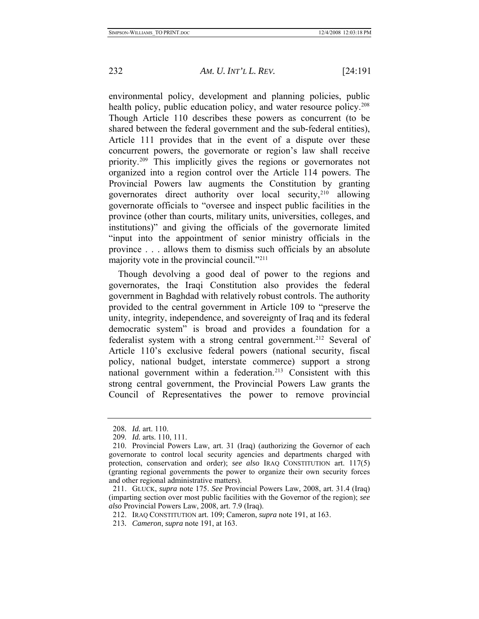environmental policy, development and planning policies, public health policy, public education policy, and water resource policy.<sup>[208](#page-42-0)</sup> Though Article 110 describes these powers as concurrent (to be shared between the federal government and the sub-federal entities), Article 111 provides that in the event of a dispute over these concurrent powers, the governorate or region's law shall receive priority[.209](#page-42-1) This implicitly gives the regions or governorates not organized into a region control over the Article 114 powers. The Provincial Powers law augments the Constitution by granting governorates direct authority over local security,  $2^{10}$  allowing governorate officials to "oversee and inspect public facilities in the province (other than courts, military units, universities, colleges, and institutions)" and giving the officials of the governorate limited "input into the appointment of senior ministry officials in the province . . . allows them to dismiss such officials by an absolute majority vote in the provincial council."[211](#page-42-3)

Though devolving a good deal of power to the regions and governorates, the Iraqi Constitution also provides the federal government in Baghdad with relatively robust controls. The authority provided to the central government in Article 109 to "preserve the unity, integrity, independence, and sovereignty of Iraq and its federal democratic system" is broad and provides a foundation for a federalist system with a strong central government.<sup>[212](#page-42-4)</sup> Several of Article 110's exclusive federal powers (national security, fiscal policy, national budget, interstate commerce) support a strong national government within a federation.<sup>213</sup> Consistent with this strong central government, the Provincial Powers Law grants the Council of Representatives the power to remove provincial

<sup>208</sup>*. Id.* art. 110.

<sup>209</sup>*. Id.* arts. 110, 111.

<span id="page-42-2"></span><span id="page-42-1"></span><span id="page-42-0"></span> <sup>210.</sup> Provincial Powers Law, art. 31 (Iraq) (authorizing the Governor of each governorate to control local security agencies and departments charged with protection, conservation and order); *see also* IRAQ CONSTITUTION art. 117(5) (granting regional governments the power to organize their own security forces and other regional administrative matters).

<span id="page-42-4"></span><span id="page-42-3"></span> <sup>211.</sup> GLUCK, *supra* note 175. *See* Provincial Powers Law, 2008, art. 31.4 (Iraq) (imparting section over most public facilities with the Governor of the region); *see also* Provincial Powers Law, 2008, art. 7.9 (Iraq).

 <sup>212.</sup> IRAQ CONSTITUTION art. 109; Cameron, *supra* note 191, at 163.

<span id="page-42-5"></span><sup>213</sup>*. Cameron*, *supra* note 191, at 163.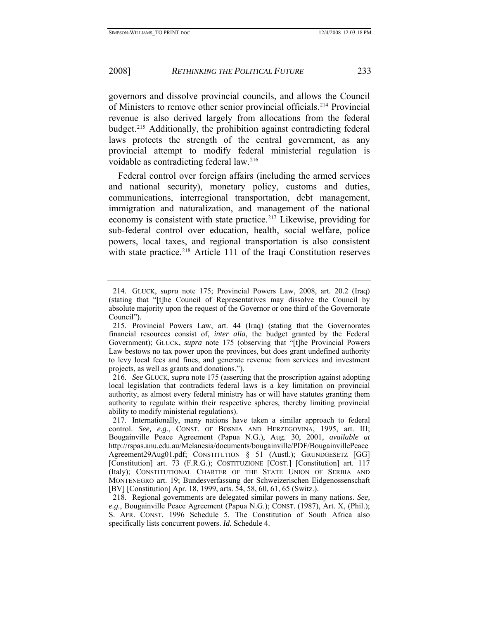governors and dissolve provincial councils, and allows the Council of Ministers to remove other senior provincial officials.[214](#page-43-0) Provincial revenue is also derived largely from allocations from the federal budget.[215](#page-43-1) Additionally, the prohibition against contradicting federal laws protects the strength of the central government, as any provincial attempt to modify federal ministerial regulation is voidable as contradicting federal law.[216](#page-43-2)

Federal control over foreign affairs (including the armed services and national security), monetary policy, customs and duties, communications, interregional transportation, debt management, immigration and naturalization, and management of the national economy is consistent with state practice.<sup>[217](#page-43-3)</sup> Likewise, providing for sub-federal control over education, health, social welfare, police powers, local taxes, and regional transportation is also consistent with state practice.<sup>[218](#page-43-4)</sup> Article 111 of the Iraqi Constitution reserves

<span id="page-43-0"></span> <sup>214.</sup> GLUCK, *supra* note 175; Provincial Powers Law, 2008, art. 20.2 (Iraq) (stating that "[t]he Council of Representatives may dissolve the Council by absolute majority upon the request of the Governor or one third of the Governorate Council").

<span id="page-43-1"></span> <sup>215.</sup> Provincial Powers Law, art. 44 (Iraq) (stating that the Governorates financial resources consist of, *inter alia*, the budget granted by the Federal Government); GLUCK, *supra* note 175 (observing that "[t]he Provincial Powers Law bestows no tax power upon the provinces, but does grant undefined authority to levy local fees and fines, and generate revenue from services and investment projects, as well as grants and donations.").

<span id="page-43-2"></span><sup>216</sup>*. See* GLUCK, *supra* note 175 (asserting that the proscription against adopting local legislation that contradicts federal laws is a key limitation on provincial authority, as almost every federal ministry has or will have statutes granting them authority to regulate within their respective spheres, thereby limiting provincial ability to modify ministerial regulations).

<span id="page-43-3"></span> <sup>217.</sup> Internationally, many nations have taken a similar approach to federal control. *See, e.g.*, CONST. OF BOSNIA AND HERZEGOVINA, 1995, art. III; Bougainville Peace Agreement (Papua N.G.), Aug. 30, 2001, *available at* http://rspas.anu.edu.au/Melanesia/documents/bougainville/PDF/BougainvillePeace Agreement29Aug01.pdf; CONSTITUTION § 51 (Austl.); GRUNDGESETZ [GG] [Constitution] art. 73 (F.R.G.); COSTITUZIONE [COST.] [Constitution] art. 117 (Italy); CONSTITUTIONAL CHARTER OF THE STATE UNION OF SERBIA AND MONTENEGRO art. 19; Bundesverfassung der Schweizerischen Eidgenossenschaft [BV] [Constitution] Apr. 18, 1999, arts. 54, 58, 60, 61, 65 (Switz.).

<span id="page-43-4"></span> <sup>218.</sup> Regional governments are delegated similar powers in many nations. *See, e.g.*, Bougainville Peace Agreement (Papua N.G.); CONST. (1987), Art. X, (Phil.); S. AFR. CONST. 1996 Schedule 5. The Constitution of South Africa also specifically lists concurrent powers. *Id.* Schedule 4.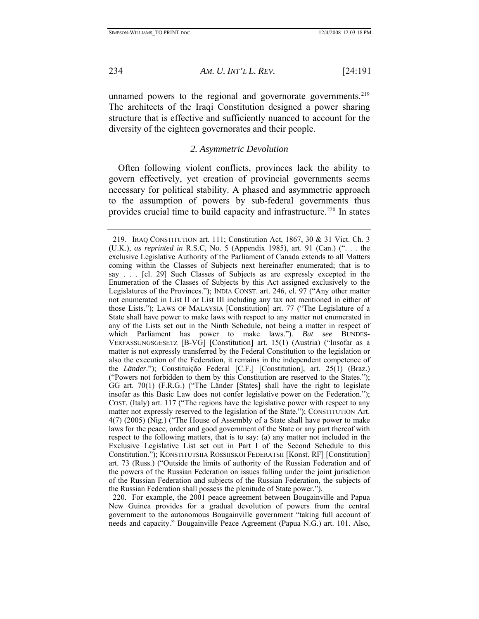unnamed powers to the regional and governorate governments. $219$ The architects of the Iraqi Constitution designed a power sharing structure that is effective and sufficiently nuanced to account for the diversity of the eighteen governorates and their people.

#### *2. Asymmetric Devolution*

Often following violent conflicts, provinces lack the ability to govern effectively, yet creation of provincial governments seems necessary for political stability. A phased and asymmetric approach to the assumption of powers by sub-federal governments thus provides crucial time to build capacity and infrastructure.<sup>220</sup> In states

<span id="page-44-2"></span> 220. For example, the 2001 peace agreement between Bougainville and Papua New Guinea provides for a gradual devolution of powers from the central government to the autonomous Bougainville government "taking full account of needs and capacity." Bougainville Peace Agreement (Papua N.G.) art. 101. Also,

<span id="page-44-0"></span>

<span id="page-44-1"></span> <sup>219.</sup> IRAQ CONSTITUTION art. 111; Constitution Act, 1867, 30 & 31 Vict. Ch. 3 (U.K.), *as reprinted in* R.S.C, No. 5 (Appendix 1985), art. 91 (Can.) (". . . the exclusive Legislative Authority of the Parliament of Canada extends to all Matters coming within the Classes of Subjects next hereinafter enumerated; that is to say . . . [cl. 29] Such Classes of Subjects as are expressly excepted in the Enumeration of the Classes of Subjects by this Act assigned exclusively to the Legislatures of the Provinces."); INDIA CONST. art. 246, cl. 97 ("Any other matter not enumerated in List II or List III including any tax not mentioned in either of those Lists."); LAWS OF MALAYSIA [Constitution] art. 77 ("The Legislature of a State shall have power to make laws with respect to any matter not enumerated in any of the Lists set out in the Ninth Schedule, not being a matter in respect of which Parliament has power to make laws."). *But see* BUNDES-VERFASSUNGSGESETZ [B-VG] [Constitution] art. 15(1) (Austria) ("Insofar as a matter is not expressly transferred by the Federal Constitution to the legislation or also the execution of the Federation, it remains in the independent competence of the *Länder*."); Constituição Federal [C.F.] [Constitution], art. 25(1) (Braz.) ("Powers not forbidden to them by this Constitution are reserved to the States."); GG art. 70(1) (F.R.G.) ("The Länder [States] shall have the right to legislate insofar as this Basic Law does not confer legislative power on the Federation."); COST. (Italy) art. 117 ("The regions have the legislative power with respect to any matter not expressly reserved to the legislation of the State."); CONSTITUTION Art. 4(7) (2005) (Nig.) ("The House of Assembly of a State shall have power to make laws for the peace, order and good government of the State or any part thereof with respect to the following matters, that is to say: (a) any matter not included in the Exclusive Legislative List set out in Part I of the Second Schedule to this Constitution."); KONSTITUTSIIA ROSSIISKOI FEDERATSII [Konst. RF] [Constitution] art. 73 (Russ.) ("Outside the limits of authority of the Russian Federation and of the powers of the Russian Federation on issues falling under the joint jurisdiction of the Russian Federation and subjects of the Russian Federation, the subjects of the Russian Federation shall possess the plenitude of State power.").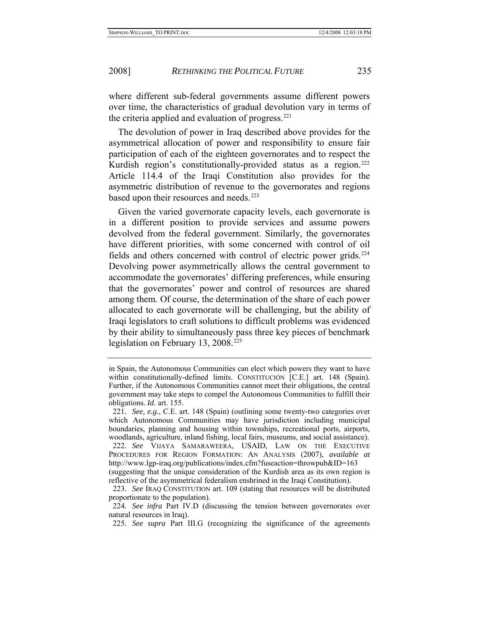where different sub-federal governments assume different powers over time, the characteristics of gradual devolution vary in terms of the criteria applied and evaluation of progress. $^{221}$  $^{221}$  $^{221}$ 

The devolution of power in Iraq described above provides for the asymmetrical allocation of power and responsibility to ensure fair participation of each of the eighteen governorates and to respect the Kurdish region's constitutionally-provided status as a region.<sup>[222](#page-45-1)</sup> Article 114.4 of the Iraqi Constitution also provides for the asymmetric distribution of revenue to the governorates and regions based upon their resources and needs.<sup>[223](#page-45-2)</sup>

Given the varied governorate capacity levels, each governorate is in a different position to provide services and assume powers devolved from the federal government. Similarly, the governorates have different priorities, with some concerned with control of oil fields and others concerned with control of electric power grids.<sup>[224](#page-45-3)</sup> Devolving power asymmetrically allows the central government to accommodate the governorates' differing preferences, while ensuring that the governorates' power and control of resources are shared among them. Of course, the determination of the share of each power allocated to each governorate will be challenging, but the ability of Iraqi legislators to craft solutions to difficult problems was evidenced by their ability to simultaneously pass three key pieces of benchmark legislation on February 13, 2008.<sup>[225](#page-45-4)</sup>

in Spain, the Autonomous Communities can elect which powers they want to have within constitutionally-defined limits. CONSTITUCIÓN [C.E.] art. 148 (Spain). Further, if the Autonomous Communities cannot meet their obligations, the central government may take steps to compel the Autonomous Communities to fulfill their obligations. *Id.* art. 155.

<span id="page-45-0"></span><sup>221</sup>*. See, e.g.*, C.E. art. 148 (Spain) (outlining some twenty-two categories over which Autonomous Communities may have jurisdiction including municipal boundaries, planning and housing within townships, recreational ports, airports, woodlands, agriculture, inland fishing, local fairs, museums, and social assistance). 222*. See* VIJAYA SAMARAWEERA, USAID, LAW ON THE EXECUTIVE PROCEDURES FOR REGION FORMATION: AN ANALYSIS (2007), *available at* http://www.lgp-iraq.org/publications/index.cfm?fuseaction=throwpub&ID=163

<span id="page-45-1"></span><sup>(</sup>suggesting that the unique consideration of the Kurdish area as its own region is reflective of the asymmetrical federalism enshrined in the Iraqi Constitution).

<span id="page-45-2"></span><sup>223</sup>*. See* IRAQ CONSTITUTION art. 109 (stating that resources will be distributed proportionate to the population).

<span id="page-45-4"></span><span id="page-45-3"></span><sup>224</sup>*. See infra* Part IV.D (discussing the tension between governorates over natural resources in Iraq).

<sup>225</sup>*. See supra* Part III.G (recognizing the significance of the agreements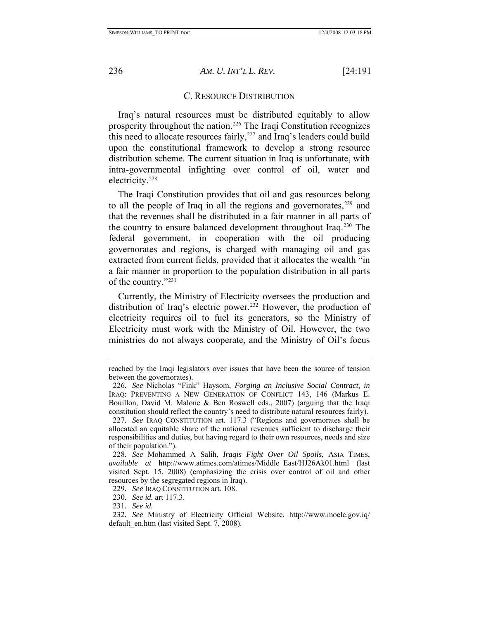<span id="page-46-0"></span>

## C. RESOURCE DISTRIBUTION

Iraq's natural resources must be distributed equitably to allow prosperity throughout the nation.[226](#page-46-1) The Iraqi Constitution recognizes this need to allocate resources fairly, $227$  and Iraq's leaders could build upon the constitutional framework to develop a strong resource distribution scheme. The current situation in Iraq is unfortunate, with intra-governmental infighting over control of oil, water and electricity[.228](#page-46-3)

The Iraqi Constitution provides that oil and gas resources belong to all the people of Iraq in all the regions and governorates, $229$  and that the revenues shall be distributed in a fair manner in all parts of the country to ensure balanced development throughout Iraq.[230](#page-46-5) The federal government, in cooperation with the oil producing governorates and regions, is charged with managing oil and gas extracted from current fields, provided that it allocates the wealth "in a fair manner in proportion to the population distribution in all parts of the country."[231](#page-46-6)

Currently, the Ministry of Electricity oversees the production and distribution of Iraq's electric power.<sup>[232](#page-46-7)</sup> However, the production of electricity requires oil to fuel its generators, so the Ministry of Electricity must work with the Ministry of Oil. However, the two ministries do not always cooperate, and the Ministry of Oil's focus

reached by the Iraqi legislators over issues that have been the source of tension between the governorates).

<span id="page-46-1"></span><sup>226</sup>*. See* Nicholas "Fink" Haysom, *Forging an Inclusive Social Contract*, *in* IRAQ: PREVENTING A NEW GENERATION OF CONFLICT 143, 146 (Markus E. Bouillon, David M. Malone & Ben Roswell eds., 2007) (arguing that the Iraqi constitution should reflect the country's need to distribute natural resources fairly). 227*. See* IRAQ CONSTITUTION art. 117.3 ("Regions and governorates shall be

<span id="page-46-2"></span>allocated an equitable share of the national revenues sufficient to discharge their responsibilities and duties, but having regard to their own resources, needs and size of their population.").

<span id="page-46-3"></span><sup>228</sup>*. See* Mohammed A Salih, *Iraqis Fight Over Oil Spoils*, ASIA TIMES, *available at* http://www.atimes.com/atimes/Middle\_East/HJ26Ak01.html (last visited Sept. 15, 2008) (emphasizing the crisis over control of oil and other resources by the segregated regions in Iraq).

<sup>229</sup>*. See* IRAQ CONSTITUTION art. 108.

<sup>230</sup>*. See id.* art 117.3.

<sup>231</sup>*. See id.*

<span id="page-46-7"></span><span id="page-46-6"></span><span id="page-46-5"></span><span id="page-46-4"></span><sup>232</sup>*. See* Ministry of Electricity Official Website, http://www.moelc.gov.iq/ default en.htm (last visited Sept. 7, 2008).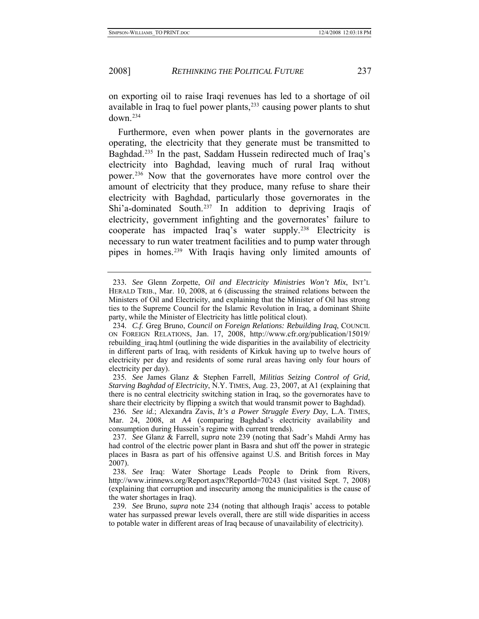on exporting oil to raise Iraqi revenues has led to a shortage of oil available in Iraq to fuel power plants,<sup>[233](#page-47-0)</sup> causing power plants to shut  $down^{234}$  $down^{234}$  $down^{234}$ 

Furthermore, even when power plants in the governorates are operating, the electricity that they generate must be transmitted to Baghdad.<sup>[235](#page-47-2)</sup> In the past, Saddam Hussein redirected much of Iraq's electricity into Baghdad, leaving much of rural Iraq without power[.236](#page-47-3) Now that the governorates have more control over the amount of electricity that they produce, many refuse to share their electricity with Baghdad, particularly those governorates in the Shi'a-dominated South.<sup>[237](#page-47-4)</sup> In addition to depriving Iraqis of electricity, government infighting and the governorates' failure to cooperate has impacted Iraq's water supply[.238](#page-47-5) Electricity is necessary to run water treatment facilities and to pump water through pipes in homes.[239](#page-47-6) With Iraqis having only limited amounts of

<span id="page-47-0"></span><sup>233</sup>*. See* Glenn Zorpette, *Oil and Electricity Ministries Won't Mix*, INT'L HERALD TRIB., Mar. 10, 2008, at 6 (discussing the strained relations between the Ministers of Oil and Electricity, and explaining that the Minister of Oil has strong ties to the Supreme Council for the Islamic Revolution in Iraq, a dominant Shiite party, while the Minister of Electricity has little political clout).

<span id="page-47-1"></span><sup>234</sup>*. C.f.* Greg Bruno, *Council on Foreign Relations: Rebuilding Iraq*, COUNCIL ON FOREIGN RELATIONS, Jan. 17, 2008, http://www.cfr.org/publication/15019/ rebuilding iraq.html (outlining the wide disparities in the availability of electricity in different parts of Iraq, with residents of Kirkuk having up to twelve hours of electricity per day and residents of some rural areas having only four hours of electricity per day).

<span id="page-47-2"></span><sup>235</sup>*. See* James Glanz & Stephen Farrell, *Militias Seizing Control of Grid, Starving Baghdad of Electricity*, N.Y. TIMES, Aug. 23, 2007, at A1 (explaining that there is no central electricity switching station in Iraq, so the governorates have to share their electricity by flipping a switch that would transmit power to Baghdad).

<span id="page-47-3"></span><sup>236</sup>*. See id.*; Alexandra Zavis, *It's a Power Struggle Every Day*, L.A. TIMES, Mar. 24, 2008, at A4 (comparing Baghdad's electricity availability and consumption during Hussein's regime with current trends).

<span id="page-47-4"></span><sup>237</sup>*. See* Glanz & Farrell, *supra* note 239 (noting that Sadr's Mahdi Army has had control of the electric power plant in Basra and shut off the power in strategic places in Basra as part of his offensive against U.S. and British forces in May 2007).

<span id="page-47-5"></span><sup>238</sup>*. See* Iraq: Water Shortage Leads People to Drink from Rivers, http://www.irinnews.org/Report.aspx?ReportId=70243 (last visited Sept. 7, 2008) (explaining that corruption and insecurity among the municipalities is the cause of the water shortages in Iraq).

<span id="page-47-6"></span><sup>239</sup>*. See* Bruno, *supra* note 234 (noting that although Iraqis' access to potable water has surpassed prewar levels overall, there are still wide disparities in access to potable water in different areas of Iraq because of unavailability of electricity).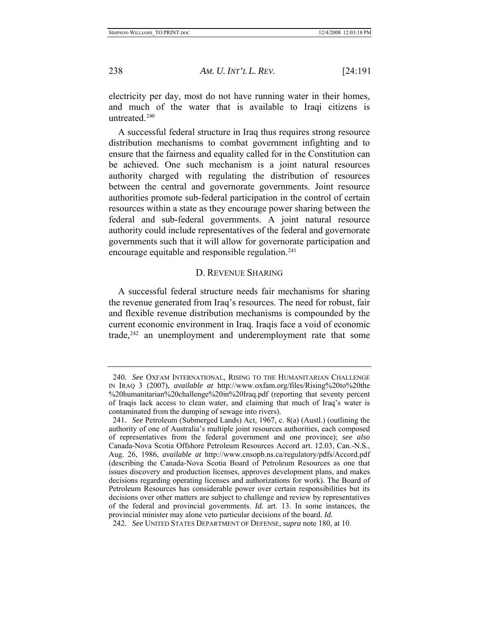electricity per day, most do not have running water in their homes, and much of the water that is available to Iraqi citizens is untreated $240$ 

A successful federal structure in Iraq thus requires strong resource distribution mechanisms to combat government infighting and to ensure that the fairness and equality called for in the Constitution can be achieved. One such mechanism is a joint natural resources authority charged with regulating the distribution of resources between the central and governorate governments. Joint resource authorities promote sub-federal participation in the control of certain resources within a state as they encourage power sharing between the federal and sub-federal governments. A joint natural resource authority could include representatives of the federal and governorate governments such that it will allow for governorate participation and encourage equitable and responsible regulation.<sup>[241](#page-48-2)</sup>

## D. REVENUE SHARING

A successful federal structure needs fair mechanisms for sharing the revenue generated from Iraq's resources. The need for robust, fair and flexible revenue distribution mechanisms is compounded by the current economic environment in Iraq. Iraqis face a void of economic trade, $242$  an unemployment and underemployment rate that some

<span id="page-48-0"></span>

<span id="page-48-1"></span><sup>240</sup>*. See* OXFAM INTERNATIONAL, RISING TO THE HUMANITARIAN CHALLENGE IN IRAQ 3 (2007), *available at* http://www.oxfam.org/files/Rising%20to%20the %20humanitarian%20challenge%20in%20Iraq.pdf (reporting that seventy percent of Iraqis lack access to clean water, and claiming that much of Iraq's water is contaminated from the dumping of sewage into rivers).

<span id="page-48-2"></span><sup>241</sup>*. See* Petroleum (Submerged Lands) Act, 1967, c. 8(a) (Austl.) (outlining the authority of one of Australia's multiple joint resources authorities, each composed of representatives from the federal government and one province); *see also* Canada-Nova Scotia Offshore Petroleum Resources Accord art. 12.03, Can.-N.S., Aug. 26, 1986, *available at* http://www.cnsopb.ns.ca/regulatory/pdfs/Accord.pdf (describing the Canada-Nova Scotia Board of Petroleum Resources as one that issues discovery and production licenses, approves development plans, and makes decisions regarding operating licenses and authorizations for work). The Board of Petroleum Resources has considerable power over certain responsibilities but its decisions over other matters are subject to challenge and review by representatives of the federal and provincial governments. *Id.* art. 13. In some instances, the provincial minister may alone veto particular decisions of the board. *Id.*

<span id="page-48-3"></span><sup>242</sup>*. See* UNITED STATES DEPARTMENT OF DEFENSE, *supra* note 180, at 10.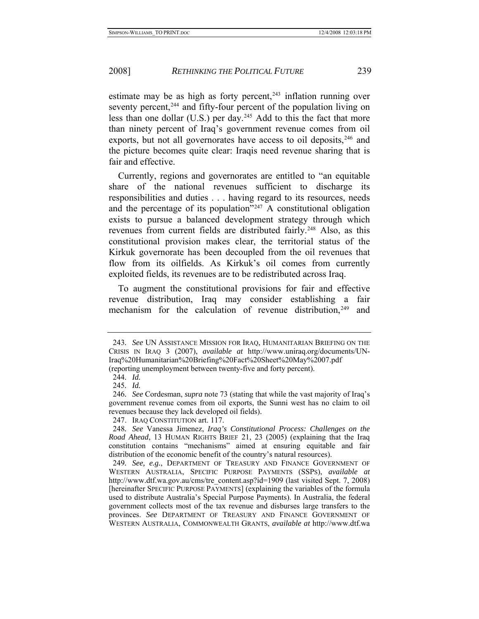estimate may be as high as forty percent, $243$  inflation running over seventy percent,<sup>[244](#page-49-1)</sup> and fifty-four percent of the population living on less than one dollar  $(U.S.)$  per day.<sup>[245](#page-49-2)</sup> Add to this the fact that more than ninety percent of Iraq's government revenue comes from oil exports, but not all governorates have access to oil deposits, <sup>[246](#page-49-3)</sup> and the picture becomes quite clear: Iraqis need revenue sharing that is fair and effective.

Currently, regions and governorates are entitled to "an equitable share of the national revenues sufficient to discharge its responsibilities and duties . . . having regard to its resources, needs and the percentage of its population<sup> $247$ </sup> A constitutional obligation exists to pursue a balanced development strategy through which revenues from current fields are distributed fairly.<sup>[248](#page-49-5)</sup> Also, as this constitutional provision makes clear, the territorial status of the Kirkuk governorate has been decoupled from the oil revenues that flow from its oilfields. As Kirkuk's oil comes from currently exploited fields, its revenues are to be redistributed across Iraq.

To augment the constitutional provisions for fair and effective revenue distribution, Iraq may consider establishing a fair mechanism for the calculation of revenue distribution, $249$  and

<span id="page-49-0"></span><sup>243</sup>*. See* UN ASSISTANCE MISSION FOR IRAQ, HUMANITARIAN BRIEFING ON THE CRISIS IN IRAQ 3 (2007), *available at* http://www.uniraq.org/documents/UN-Iraq%20Humanitarian%20Briefing%20Fact%20Sheet%20May%2007.pdf (reporting unemployment between twenty-five and forty percent).

<sup>244</sup>*. Id.*

<sup>245</sup>*. Id.*

<span id="page-49-3"></span><span id="page-49-2"></span><span id="page-49-1"></span><sup>246</sup>*. See* Cordesman, *supra* note 73 (stating that while the vast majority of Iraq's government revenue comes from oil exports, the Sunni west has no claim to oil revenues because they lack developed oil fields).

 <sup>247.</sup> IRAQ CONSTITUTION art. 117.

<span id="page-49-5"></span><span id="page-49-4"></span><sup>248</sup>*. See* Vanessa Jimenez, *Iraq's Constitutional Process: Challenges on the Road Ahead*, 13 HUMAN RIGHTS BRIEF 21, 23 (2005) (explaining that the Iraq constitution contains "mechanisms" aimed at ensuring equitable and fair distribution of the economic benefit of the country's natural resources).

<span id="page-49-6"></span><sup>249</sup>*. See, e.g.*, DEPARTMENT OF TREASURY AND FINANCE GOVERNMENT OF WESTERN AUSTRALIA, SPECIFIC PURPOSE PAYMENTS (SSPS), *available at* http://www.dtf.wa.gov.au/cms/tre\_content.asp?id=1909 (last visited Sept. 7, 2008) [hereinafter SPECIFIC PURPOSE PAYMENTS] (explaining the variables of the formula used to distribute Australia's Special Purpose Payments). In Australia, the federal government collects most of the tax revenue and disburses large transfers to the provinces. *See* DEPARTMENT OF TREASURY AND FINANCE GOVERNMENT OF WESTERN AUSTRALIA, COMMONWEALTH GRANTS, *available at* http://www.dtf.wa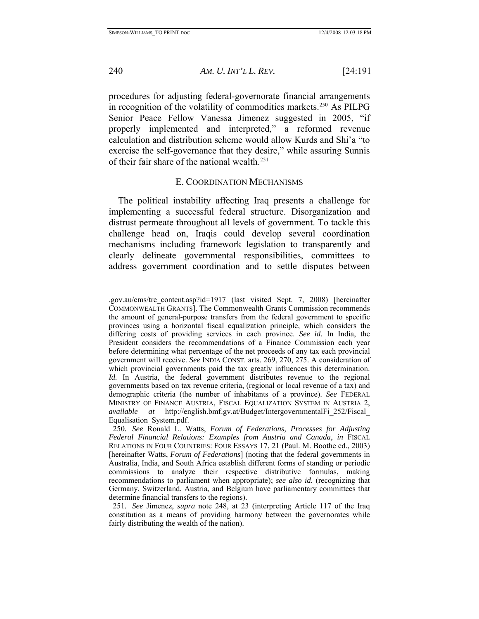procedures for adjusting federal-governorate financial arrangements in recognition of the volatility of commodities markets.<sup>[250](#page-50-1)</sup> As PILPG Senior Peace Fellow Vanessa Jimenez suggested in 2005, "if properly implemented and interpreted," a reformed revenue calculation and distribution scheme would allow Kurds and Shi'a "to exercise the self-governance that they desire," while assuring Sunnis of their fair share of the national wealth.[251](#page-50-2)

## E. COORDINATION MECHANISMS

The political instability affecting Iraq presents a challenge for implementing a successful federal structure. Disorganization and distrust permeate throughout all levels of government. To tackle this challenge head on, Iraqis could develop several coordination mechanisms including framework legislation to transparently and clearly delineate governmental responsibilities, committees to address government coordination and to settle disputes between

<span id="page-50-0"></span>

<sup>.</sup>gov.au/cms/tre\_content.asp?id=1917 (last visited Sept. 7, 2008) [hereinafter COMMONWEALTH GRANTS]. The Commonwealth Grants Commission recommends the amount of general-purpose transfers from the federal government to specific provinces using a horizontal fiscal equalization principle, which considers the differing costs of providing services in each province. *See id.* In India, the President considers the recommendations of a Finance Commission each year before determining what percentage of the net proceeds of any tax each provincial government will receive. *See* INDIA CONST. arts. 269, 270, 275. A consideration of which provincial governments paid the tax greatly influences this determination. *Id.* In Austria, the federal government distributes revenue to the regional governments based on tax revenue criteria, (regional or local revenue of a tax) and demographic criteria (the number of inhabitants of a province). *See* FEDERAL MINISTRY OF FINANCE AUSTRIA, FISCAL EQUALIZATION SYSTEM IN AUSTRIA 2, *available at* http://english.bmf.gv.at/Budget/IntergovernmentalFi\_252/Fiscal\_ Equalisation\_System.pdf.

<span id="page-50-1"></span><sup>250</sup>*. See* Ronald L. Watts, *Forum of Federations, Processes for Adjusting Federal Financial Relations: Examples from Austria and Canada*, *in* FISCAL RELATIONS IN FOUR COUNTRIES: FOUR ESSAYS 17, 21 (Paul. M. Boothe ed., 2003) [hereinafter Watts, *Forum of Federations*] (noting that the federal governments in Australia, India, and South Africa establish different forms of standing or periodic commissions to analyze their respective distributive formulas, making recommendations to parliament when appropriate); *see also id*. (recognizing that Germany, Switzerland, Austria, and Belgium have parliamentary committees that determine financial transfers to the regions).

<span id="page-50-2"></span><sup>251</sup>*. See* Jimenez, *supra* note 248, at 23 (interpreting Article 117 of the Iraq constitution as a means of providing harmony between the governorates while fairly distributing the wealth of the nation).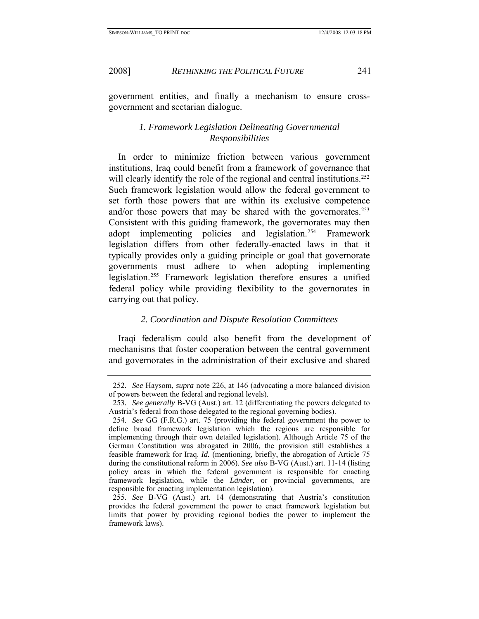<span id="page-51-0"></span>

government entities, and finally a mechanism to ensure crossgovernment and sectarian dialogue.

## *1. Framework Legislation Delineating Governmental Responsibilities*

In order to minimize friction between various government institutions, Iraq could benefit from a framework of governance that will clearly identify the role of the regional and central institutions.<sup>[252](#page-51-1)</sup> Such framework legislation would allow the federal government to set forth those powers that are within its exclusive competence and/or those powers that may be shared with the governorates.<sup>[253](#page-51-2)</sup> Consistent with this guiding framework, the governorates may then adopt implementing policies and legislation.[254](#page-51-3) Framework legislation differs from other federally-enacted laws in that it typically provides only a guiding principle or goal that governorate governments must adhere to when adopting implementing legislation.<sup>[255](#page-51-4)</sup> Framework legislation therefore ensures a unified federal policy while providing flexibility to the governorates in carrying out that policy.

#### *2. Coordination and Dispute Resolution Committees*

Iraqi federalism could also benefit from the development of mechanisms that foster cooperation between the central government and governorates in the administration of their exclusive and shared

<span id="page-51-1"></span><sup>252</sup>*. See* Haysom, *supra* note 226, at 146 (advocating a more balanced division of powers between the federal and regional levels).

<span id="page-51-2"></span><sup>253</sup>*. See generally* B-VG (Aust.) art. 12 (differentiating the powers delegated to Austria's federal from those delegated to the regional governing bodies).

<span id="page-51-3"></span><sup>254</sup>*. See* GG (F.R.G.) art. 75 (providing the federal government the power to define broad framework legislation which the regions are responsible for implementing through their own detailed legislation). Although Article 75 of the German Constitution was abrogated in 2006, the provision still establishes a feasible framework for Iraq. *Id.* (mentioning, briefly, the abrogation of Article 75 during the constitutional reform in 2006). *See also* B-VG (Aust.) art. 11-14 (listing policy areas in which the federal government is responsible for enacting framework legislation, while the *Länder*, or provincial governments, are responsible for enacting implementation legislation).

<span id="page-51-4"></span><sup>255</sup>*. See* B-VG (Aust.) art. 14 (demonstrating that Austria's constitution provides the federal government the power to enact framework legislation but limits that power by providing regional bodies the power to implement the framework laws).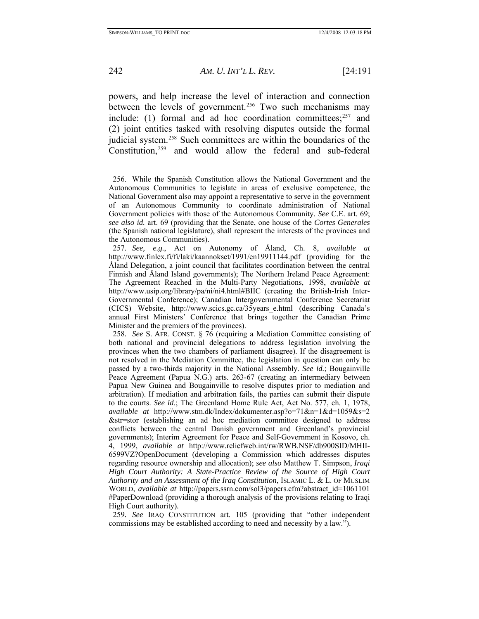powers, and help increase the level of interaction and connection between the levels of government.<sup>[256](#page-52-0)</sup> Two such mechanisms may include: (1) formal and ad hoc coordination committees; $257$  and (2) joint entities tasked with resolving disputes outside the formal judicial system.<sup>[258](#page-52-2)</sup> Such committees are within the boundaries of the Constitution,[259](#page-52-3) and would allow the federal and sub-federal

<span id="page-52-3"></span>259*. See* IRAQ CONSTITUTION art. 105 (providing that "other independent commissions may be established according to need and necessity by a law.").

<span id="page-52-0"></span> <sup>256.</sup> While the Spanish Constitution allows the National Government and the Autonomous Communities to legislate in areas of exclusive competence, the National Government also may appoint a representative to serve in the government of an Autonomous Community to coordinate administration of National Government policies with those of the Autonomous Community. *See* C.E. art. 69; *see also id.* art. 69 (providing that the Senate, one house of the *Cortes Generales* (the Spanish national legislature), shall represent the interests of the provinces and the Autonomous Communities).

<span id="page-52-1"></span><sup>257</sup>*. See, e.g.*, Act on Autonomy of Åland, Ch. 8, *available at* http://www.finlex.fi/fi/laki/kaannokset/1991/en19911144.pdf (providing for the Åland Delegation, a joint council that facilitates coordination between the central Finnish and Åland Island governments); The Northern Ireland Peace Agreement: The Agreement Reached in the Multi-Party Negotiations, 1998, *available at* http://www.usip.org/library/pa/ni/ni4.html#BIIC (creating the British-Irish Inter-Governmental Conference); Canadian Intergovernmental Conference Secretariat (CICS) Website, http://www.scics.gc.ca/35years\_e.html (describing Canada's annual First Ministers' Conference that brings together the Canadian Prime Minister and the premiers of the provinces).

<span id="page-52-2"></span><sup>258</sup>*. See* S. AFR. CONST. § 76 (requiring a Mediation Committee consisting of both national and provincial delegations to address legislation involving the provinces when the two chambers of parliament disagree). If the disagreement is not resolved in the Mediation Committee, the legislation in question can only be passed by a two-thirds majority in the National Assembly. *See id.*; Bougainville Peace Agreement (Papua N.G.) arts. 263-67 (creating an intermediary between Papua New Guinea and Bougainville to resolve disputes prior to mediation and arbitration). If mediation and arbitration fails, the parties can submit their dispute to the courts. *See id*.; The Greenland Home Rule Act, Act No. 577, ch. 1, 1978, *available at* http://www.stm.dk/Index/dokumenter.asp?o=71&n=1&d=1059&s=2 &str=stor (establishing an ad hoc mediation committee designed to address conflicts between the central Danish government and Greenland's provincial governments); Interim Agreement for Peace and Self-Government in Kosovo, ch. 4, 1999, *available at* http://www.reliefweb.int/rw/RWB.NSF/db900SID/MHII-6599VZ?OpenDocument (developing a Commission which addresses disputes regarding resource ownership and allocation); *see also* Matthew T. Simpson, *Iraqi High Court Authority: A State-Practice Review of the Source of High Court Authority and an Assessment of the Iraq Constitution*, ISLAMIC L. & L. OF MUSLIM WORLD, *available at* http://papers.ssrn.com/sol3/papers.cfm?abstract\_id=1061101 #PaperDownload (providing a thorough analysis of the provisions relating to Iraqi High Court authority)*.*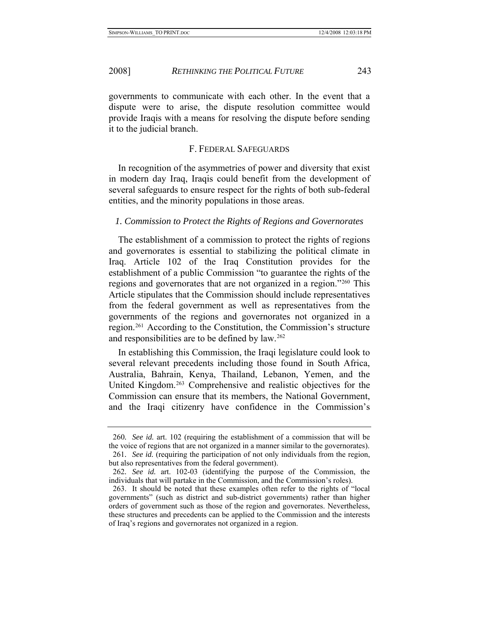<span id="page-53-0"></span>governments to communicate with each other. In the event that a dispute were to arise, the dispute resolution committee would provide Iraqis with a means for resolving the dispute before sending it to the judicial branch.

#### F. FEDERAL SAFEGUARDS

In recognition of the asymmetries of power and diversity that exist in modern day Iraq, Iraqis could benefit from the development of several safeguards to ensure respect for the rights of both sub-federal entities, and the minority populations in those areas.

## *1. Commission to Protect the Rights of Regions and Governorates*

The establishment of a commission to protect the rights of regions and governorates is essential to stabilizing the political climate in Iraq. Article 102 of the Iraq Constitution provides for the establishment of a public Commission "to guarantee the rights of the regions and governorates that are not organized in a region."[260](#page-53-1) This Article stipulates that the Commission should include representatives from the federal government as well as representatives from the governments of the regions and governorates not organized in a region.[261](#page-53-2) According to the Constitution, the Commission's structure and responsibilities are to be defined by law.<sup>[262](#page-53-3)</sup>

In establishing this Commission, the Iraqi legislature could look to several relevant precedents including those found in South Africa, Australia, Bahrain, Kenya, Thailand, Lebanon, Yemen, and the United Kingdom.[263](#page-53-4) Comprehensive and realistic objectives for the Commission can ensure that its members, the National Government, and the Iraqi citizenry have confidence in the Commission's

<span id="page-53-2"></span><span id="page-53-1"></span><sup>260</sup>*. See id.* art. 102 (requiring the establishment of a commission that will be the voice of regions that are not organized in a manner similar to the governorates). 261*. See id.* (requiring the participation of not only individuals from the region, but also representatives from the federal government).

<span id="page-53-3"></span><sup>262</sup>*. See id.* art. 102-03 (identifying the purpose of the Commission, the individuals that will partake in the Commission, and the Commission's roles).

<span id="page-53-4"></span> <sup>263.</sup> It should be noted that these examples often refer to the rights of "local governments" (such as district and sub-district governments) rather than higher orders of government such as those of the region and governorates. Nevertheless, these structures and precedents can be applied to the Commission and the interests of Iraq's regions and governorates not organized in a region.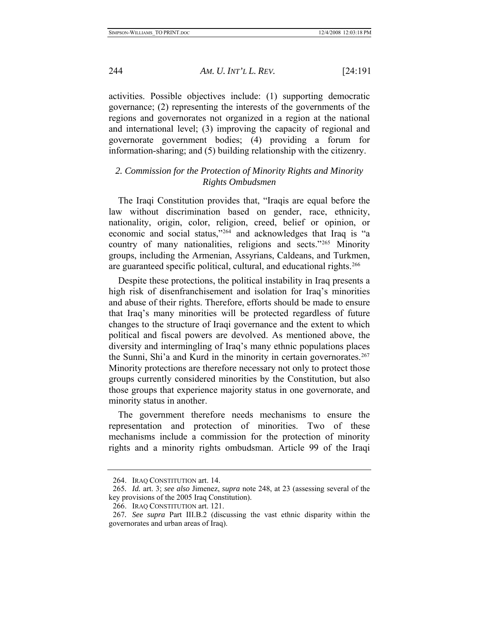activities. Possible objectives include: (1) supporting democratic governance; (2) representing the interests of the governments of the regions and governorates not organized in a region at the national and international level; (3) improving the capacity of regional and governorate government bodies; (4) providing a forum for information-sharing; and (5) building relationship with the citizenry.

## *2. Commission for the Protection of Minority Rights and Minority Rights Ombudsmen*

The Iraqi Constitution provides that, "Iraqis are equal before the law without discrimination based on gender, race, ethnicity, nationality, origin, color, religion, creed, belief or opinion, or economic and social status,"[264](#page-54-1) and acknowledges that Iraq is "a country of many nationalities, religions and sects."[265](#page-54-2) Minority groups, including the Armenian, Assyrians, Caldeans, and Turkmen, are guaranteed specific political, cultural, and educational rights.<sup>[266](#page-54-3)</sup>

Despite these protections, the political instability in Iraq presents a high risk of disenfranchisement and isolation for Iraq's minorities and abuse of their rights. Therefore, efforts should be made to ensure that Iraq's many minorities will be protected regardless of future changes to the structure of Iraqi governance and the extent to which political and fiscal powers are devolved. As mentioned above, the diversity and intermingling of Iraq's many ethnic populations places the Sunni, Shi'a and Kurd in the minority in certain governorates.<sup>[267](#page-54-4)</sup> Minority protections are therefore necessary not only to protect those groups currently considered minorities by the Constitution, but also those groups that experience majority status in one governorate, and minority status in another.

The government therefore needs mechanisms to ensure the representation and protection of minorities. Two of these mechanisms include a commission for the protection of minority rights and a minority rights ombudsman. Article 99 of the Iraqi

<span id="page-54-0"></span>

 <sup>264.</sup> IRAQ CONSTITUTION art. 14.

<span id="page-54-2"></span><span id="page-54-1"></span><sup>265</sup>*. Id.* art. 3; *see also* Jimenez, *supra* note 248, at 23 (assessing several of the key provisions of the 2005 Iraq Constitution).

 <sup>266.</sup> IRAQ CONSTITUTION art. 121.

<span id="page-54-4"></span><span id="page-54-3"></span><sup>267</sup>*. See supra* Part III.B.2 (discussing the vast ethnic disparity within the governorates and urban areas of Iraq).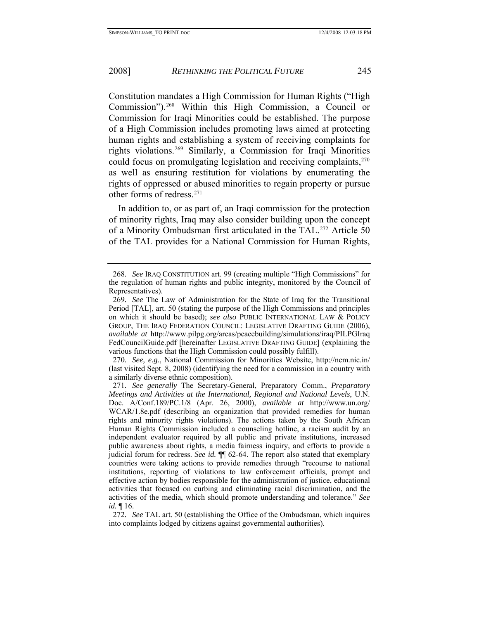Constitution mandates a High Commission for Human Rights ("High Commission").[268](#page-55-0) Within this High Commission, a Council or Commission for Iraqi Minorities could be established. The purpose of a High Commission includes promoting laws aimed at protecting human rights and establishing a system of receiving complaints for rights violations.[269](#page-55-1) Similarly, a Commission for Iraqi Minorities could focus on promulgating legislation and receiving complaints, <sup>[270](#page-55-2)</sup> as well as ensuring restitution for violations by enumerating the rights of oppressed or abused minorities to regain property or pursue other forms of redress.[271](#page-55-3)

In addition to, or as part of, an Iraqi commission for the protection of minority rights, Iraq may also consider building upon the concept of a Minority Ombudsman first articulated in the TAL.[272](#page-55-4) Article 50 of the TAL provides for a National Commission for Human Rights,

<span id="page-55-2"></span>270*. See, e.g.*, National Commission for Minorities Website, http://ncm.nic.in/ (last visited Sept. 8, 2008) (identifying the need for a commission in a country with a similarly diverse ethnic composition).

<span id="page-55-0"></span><sup>268</sup>*. See* IRAQ CONSTITUTION art. 99 (creating multiple "High Commissions" for the regulation of human rights and public integrity, monitored by the Council of Representatives).

<span id="page-55-1"></span><sup>269</sup>*. See* The Law of Administration for the State of Iraq for the Transitional Period [TAL], art. 50 (stating the purpose of the High Commissions and principles on which it should be based); *see also* PUBLIC INTERNATIONAL LAW & POLICY GROUP, THE IRAQ FEDERATION COUNCIL: LEGISLATIVE DRAFTING GUIDE (2006), *available at* http://www.pilpg.org/areas/peacebuilding/simulations/iraq/PILPGIraq FedCouncilGuide.pdf [hereinafter LEGISLATIVE DRAFTING GUIDE] (explaining the various functions that the High Commission could possibly fulfill).

<span id="page-55-3"></span><sup>271</sup>*. See generally* The Secretary-General, Preparatory Comm., *Preparatory Meetings and Activities at the International, Regional and National Levels*, U.N. Doc. A/Conf.189/PC.1/8 (Apr. 26, 2000), *available at* http://www.un.org/ WCAR/1.8e.pdf (describing an organization that provided remedies for human rights and minority rights violations). The actions taken by the South African Human Rights Commission included a counseling hotline, a racism audit by an independent evaluator required by all public and private institutions, increased public awareness about rights, a media fairness inquiry, and efforts to provide a judicial forum for redress. *See id.* ¶¶ 62-64. The report also stated that exemplary countries were taking actions to provide remedies through "recourse to national institutions, reporting of violations to law enforcement officials, prompt and effective action by bodies responsible for the administration of justice, educational activities that focused on curbing and eliminating racial discrimination, and the activities of the media, which should promote understanding and tolerance." *See id.* ¶ 16.

<span id="page-55-4"></span><sup>272</sup>*. See* TAL art. 50 (establishing the Office of the Ombudsman, which inquires into complaints lodged by citizens against governmental authorities).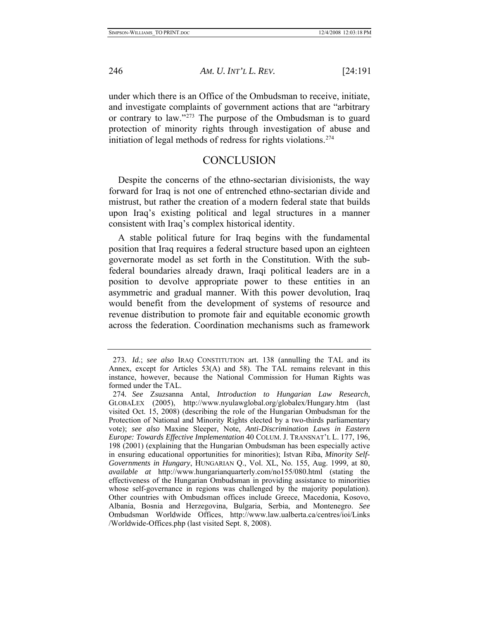<span id="page-56-0"></span>under which there is an Office of the Ombudsman to receive, initiate, and investigate complaints of government actions that are "arbitrary or contrary to law."[273](#page-56-1) The purpose of the Ombudsman is to guard protection of minority rights through investigation of abuse and initiation of legal methods of redress for rights violations.[274](#page-56-2)

## **CONCLUSION**

Despite the concerns of the ethno-sectarian divisionists, the way forward for Iraq is not one of entrenched ethno-sectarian divide and mistrust, but rather the creation of a modern federal state that builds upon Iraq's existing political and legal structures in a manner consistent with Iraq's complex historical identity.

A stable political future for Iraq begins with the fundamental position that Iraq requires a federal structure based upon an eighteen governorate model as set forth in the Constitution. With the subfederal boundaries already drawn, Iraqi political leaders are in a position to devolve appropriate power to these entities in an asymmetric and gradual manner. With this power devolution, Iraq would benefit from the development of systems of resource and revenue distribution to promote fair and equitable economic growth across the federation. Coordination mechanisms such as framework

<span id="page-56-1"></span><sup>273</sup>*. Id.*; *see also* IRAQ CONSTITUTION art. 138 (annulling the TAL and its Annex, except for Articles 53(A) and 58). The TAL remains relevant in this instance, however, because the National Commission for Human Rights was formed under the TAL.

<span id="page-56-2"></span><sup>274</sup>*. See* Zsuzsanna Antal, *Introduction to Hungarian Law Research*, GLOBALEX (2005), http://www.nyulawglobal.org/globalex/Hungary.htm (last visited Oct. 15, 2008) (describing the role of the Hungarian Ombudsman for the Protection of National and Minority Rights elected by a two-thirds parliamentary vote); *see also* Maxine Sleeper, Note, *Anti-Discrimination Laws in Eastern Europe: Towards Effective Implementation* 40 COLUM. J. TRANSNAT'L L. 177, 196, 198 (2001) (explaining that the Hungarian Ombudsman has been especially active in ensuring educational opportunities for minorities); Istvan Riba, *Minority Self-Governments in Hungary*, HUNGARIAN Q., Vol. XL, No. 155, Aug. 1999, at 80, *available at* http://www.hungarianquarterly.com/no155/080.html (stating the effectiveness of the Hungarian Ombudsman in providing assistance to minorities whose self-governance in regions was challenged by the majority population). Other countries with Ombudsman offices include Greece, Macedonia, Kosovo, Albania, Bosnia and Herzegovina, Bulgaria, Serbia, and Montenegro. *See* Ombudsman Worldwide Offices, http://www.law.ualberta.ca/centres/ioi/Links /Worldwide-Offices.php (last visited Sept. 8, 2008).